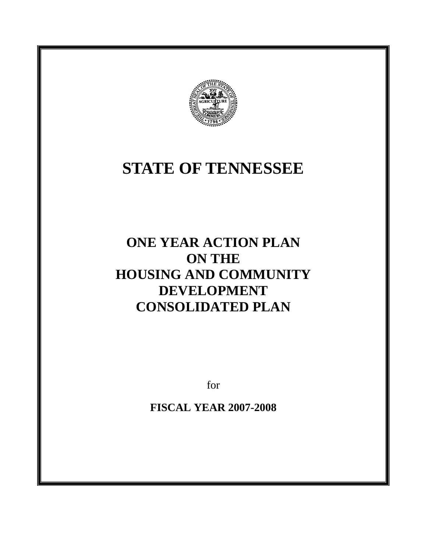

# **STATE OF TENNESSEE**

# **ONE YEAR ACTION PLAN ON THE HOUSING AND COMMUNITY DEVELOPMENT CONSOLIDATED PLAN**

for

**FISCAL YEAR 2007-2008**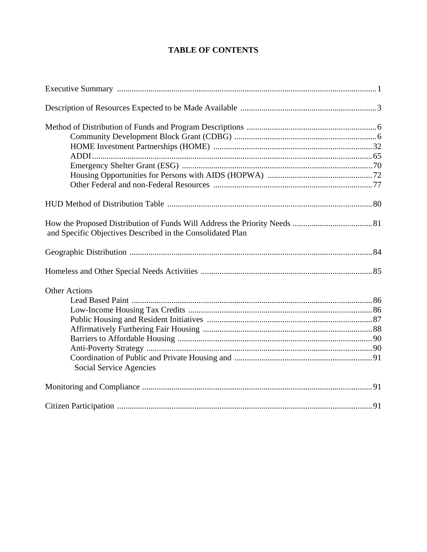# **TABLE OF CONTENTS**

| and Specific Objectives Described in the Consolidated Plan |
|------------------------------------------------------------|
|                                                            |
|                                                            |
| <b>Other Actions</b>                                       |
|                                                            |
|                                                            |
|                                                            |
|                                                            |
|                                                            |
|                                                            |
| Social Service Agencies                                    |
|                                                            |
|                                                            |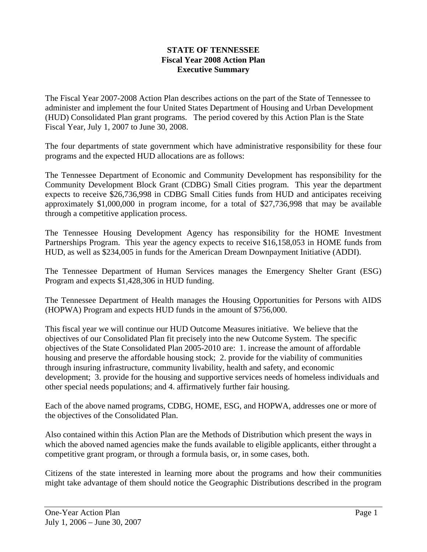#### **STATE OF TENNESSEE Fiscal Year 2008 Action Plan Executive Summary**

The Fiscal Year 2007-2008 Action Plan describes actions on the part of the State of Tennessee to administer and implement the four United States Department of Housing and Urban Development (HUD) Consolidated Plan grant programs. The period covered by this Action Plan is the State Fiscal Year, July 1, 2007 to June 30, 2008.

The four departments of state government which have administrative responsibility for these four programs and the expected HUD allocations are as follows:

The Tennessee Department of Economic and Community Development has responsibility for the Community Development Block Grant (CDBG) Small Cities program. This year the department expects to receive \$26,736,998 in CDBG Small Cities funds from HUD and anticipates receiving approximately \$1,000,000 in program income, for a total of \$27,736,998 that may be available through a competitive application process.

The Tennessee Housing Development Agency has responsibility for the HOME Investment Partnerships Program. This year the agency expects to receive \$16,158,053 in HOME funds from HUD, as well as \$234,005 in funds for the American Dream Downpayment Initiative (ADDI).

The Tennessee Department of Human Services manages the Emergency Shelter Grant (ESG) Program and expects \$1,428,306 in HUD funding.

The Tennessee Department of Health manages the Housing Opportunities for Persons with AIDS (HOPWA) Program and expects HUD funds in the amount of \$756,000.

This fiscal year we will continue our HUD Outcome Measures initiative. We believe that the objectives of our Consolidated Plan fit precisely into the new Outcome System. The specific objectives of the State Consolidated Plan 2005-2010 are: 1. increase the amount of affordable housing and preserve the affordable housing stock; 2. provide for the viability of communities through insuring infrastructure, community livability, health and safety, and economic development; 3. provide for the housing and supportive services needs of homeless individuals and other special needs populations; and 4. affirmatively further fair housing.

Each of the above named programs, CDBG, HOME, ESG, and HOPWA, addresses one or more of the objectives of the Consolidated Plan.

Also contained within this Action Plan are the Methods of Distribution which present the ways in which the aboved named agencies make the funds available to eligible applicants, either throught a competitive grant program, or through a formula basis, or, in some cases, both.

Citizens of the state interested in learning more about the programs and how their communities might take advantage of them should notice the Geographic Distributions described in the program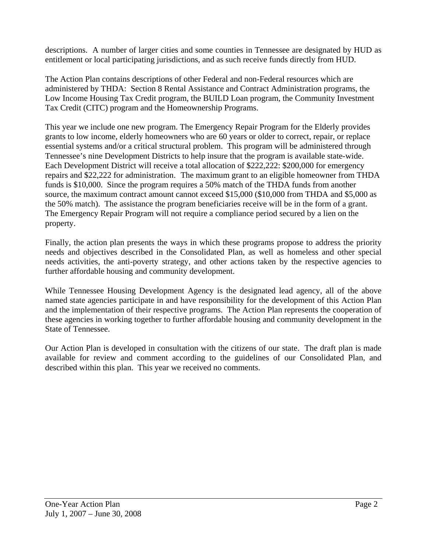descriptions. A number of larger cities and some counties in Tennessee are designated by HUD as entitlement or local participating jurisdictions, and as such receive funds directly from HUD.

The Action Plan contains descriptions of other Federal and non-Federal resources which are administered by THDA: Section 8 Rental Assistance and Contract Administration programs, the Low Income Housing Tax Credit program, the BUILD Loan program, the Community Investment Tax Credit (CITC) program and the Homeownership Programs.

This year we include one new program. The Emergency Repair Program for the Elderly provides grants to low income, elderly homeowners who are 60 years or older to correct, repair, or replace essential systems and/or a critical structural problem. This program will be administered through Tennessee's nine Development Districts to help insure that the program is available state-wide. Each Development District will receive a total allocation of \$222,222: \$200,000 for emergency repairs and \$22,222 for administration. The maximum grant to an eligible homeowner from THDA funds is \$10,000. Since the program requires a 50% match of the THDA funds from another source, the maximum contract amount cannot exceed \$15,000 (\$10,000 from THDA and \$5,000 as the 50% match). The assistance the program beneficiaries receive will be in the form of a grant. The Emergency Repair Program will not require a compliance period secured by a lien on the property.

Finally, the action plan presents the ways in which these programs propose to address the priority needs and objectives described in the Consolidated Plan, as well as homeless and other special needs activities, the anti-poverty strategy, and other actions taken by the respective agencies to further affordable housing and community development.

While Tennessee Housing Development Agency is the designated lead agency, all of the above named state agencies participate in and have responsibility for the development of this Action Plan and the implementation of their respective programs. The Action Plan represents the cooperation of these agencies in working together to further affordable housing and community development in the State of Tennessee.

Our Action Plan is developed in consultation with the citizens of our state. The draft plan is made available for review and comment according to the guidelines of our Consolidated Plan, and described within this plan. This year we received no comments.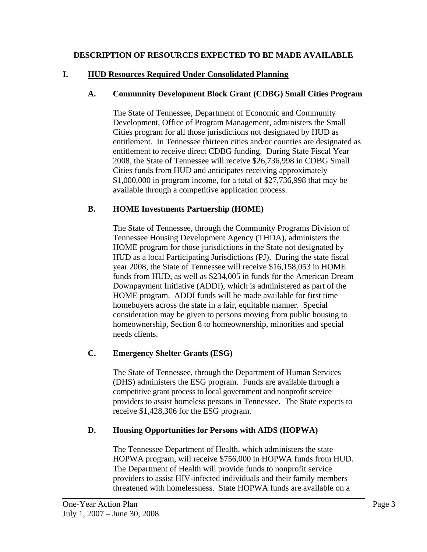#### **DESCRIPTION OF RESOURCES EXPECTED TO BE MADE AVAILABLE**

#### **I. HUD Resources Required Under Consolidated Planning**

#### **A. Community Development Block Grant (CDBG) Small Cities Program**

The State of Tennessee, Department of Economic and Community Development, Office of Program Management, administers the Small Cities program for all those jurisdictions not designated by HUD as entitlement. In Tennessee thirteen cities and/or counties are designated as entitlement to receive direct CDBG funding. During State Fiscal Year 2008, the State of Tennessee will receive \$26,736,998 in CDBG Small Cities funds from HUD and anticipates receiving approximately \$1,000,000 in program income, for a total of \$27,736,998 that may be available through a competitive application process.

#### **B. HOME Investments Partnership (HOME)**

The State of Tennessee, through the Community Programs Division of Tennessee Housing Development Agency (THDA), administers the HOME program for those jurisdictions in the State not designated by HUD as a local Participating Jurisdictions (PJ). During the state fiscal year 2008, the State of Tennessee will receive \$16,158,053 in HOME funds from HUD, as well as \$234,005 in funds for the American Dream Downpayment Initiative (ADDI), which is administered as part of the HOME program. ADDI funds will be made available for first time homebuyers across the state in a fair, equitable manner. Special consideration may be given to persons moving from public housing to homeownership, Section 8 to homeownership, minorities and special needs clients.

#### **C. Emergency Shelter Grants (ESG)**

The State of Tennessee, through the Department of Human Services (DHS) administers the ESG program. Funds are available through a competitive grant process to local government and nonprofit service providers to assist homeless persons in Tennessee. The State expects to receive \$1,428,306 for the ESG program.

#### **D. Housing Opportunities for Persons with AIDS (HOPWA)**

The Tennessee Department of Health, which administers the state HOPWA program, will receive \$756,000 in HOPWA funds from HUD. The Department of Health will provide funds to nonprofit service providers to assist HIV-infected individuals and their family members threatened with homelessness. State HOPWA funds are available on a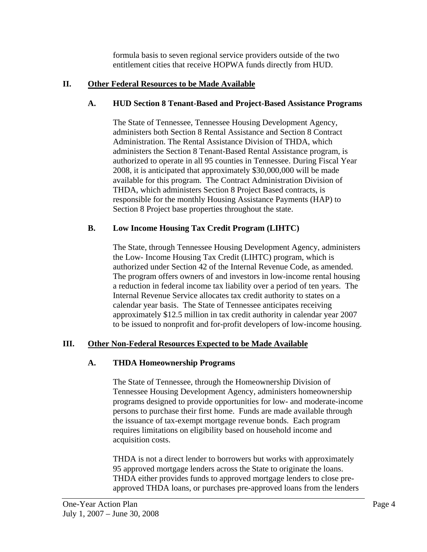formula basis to seven regional service providers outside of the two entitlement cities that receive HOPWA funds directly from HUD.

#### **II. Other Federal Resources to be Made Available**

#### **A. HUD Section 8 Tenant-Based and Project-Based Assistance Programs**

The State of Tennessee, Tennessee Housing Development Agency, administers both Section 8 Rental Assistance and Section 8 Contract Administration. The Rental Assistance Division of THDA, which administers the Section 8 Tenant-Based Rental Assistance program, is authorized to operate in all 95 counties in Tennessee. During Fiscal Year 2008, it is anticipated that approximately \$30,000,000 will be made available for this program. The Contract Administration Division of THDA, which administers Section 8 Project Based contracts, is responsible for the monthly Housing Assistance Payments (HAP) to Section 8 Project base properties throughout the state.

#### **B. Low Income Housing Tax Credit Program (LIHTC)**

The State, through Tennessee Housing Development Agency, administers the Low- Income Housing Tax Credit (LIHTC) program, which is authorized under Section 42 of the Internal Revenue Code, as amended. The program offers owners of and investors in low-income rental housing a reduction in federal income tax liability over a period of ten years. The Internal Revenue Service allocates tax credit authority to states on a calendar year basis. The State of Tennessee anticipates receiving approximately \$12.5 million in tax credit authority in calendar year 2007 to be issued to nonprofit and for-profit developers of low-income housing.

#### **III. Other Non-Federal Resources Expected to be Made Available**

#### **A. THDA Homeownership Programs**

The State of Tennessee, through the Homeownership Division of Tennessee Housing Development Agency, administers homeownership programs designed to provide opportunities for low- and moderate-income persons to purchase their first home. Funds are made available through the issuance of tax-exempt mortgage revenue bonds. Each program requires limitations on eligibility based on household income and acquisition costs.

THDA is not a direct lender to borrowers but works with approximately 95 approved mortgage lenders across the State to originate the loans. THDA either provides funds to approved mortgage lenders to close preapproved THDA loans, or purchases pre-approved loans from the lenders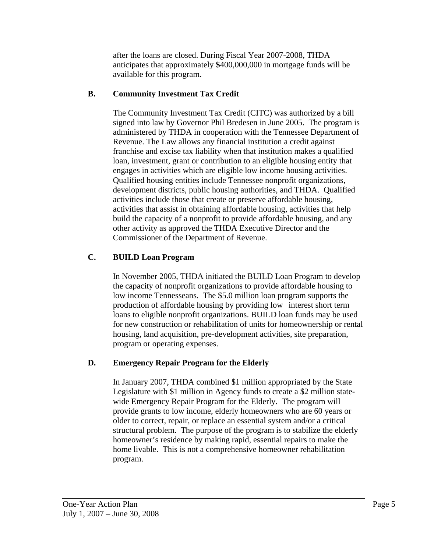after the loans are closed. During Fiscal Year 2007-2008, THDA anticipates that approximately **\$**400,000,000 in mortgage funds will be available for this program.

#### **B. Community Investment Tax Credit**

The Community Investment Tax Credit (CITC) was authorized by a bill signed into law by Governor Phil Bredesen in June 2005. The program is administered by THDA in cooperation with the Tennessee Department of Revenue. The Law allows any financial institution a credit against franchise and excise tax liability when that institution makes a qualified loan, investment, grant or contribution to an eligible housing entity that engages in activities which are eligible low income housing activities. Qualified housing entities include Tennessee nonprofit organizations, development districts, public housing authorities, and THDA. Qualified activities include those that create or preserve affordable housing, activities that assist in obtaining affordable housing, activities that help build the capacity of a nonprofit to provide affordable housing, and any other activity as approved the THDA Executive Director and the Commissioner of the Department of Revenue.

# **C. BUILD Loan Program**

In November 2005, THDA initiated the BUILD Loan Program to develop the capacity of nonprofit organizations to provide affordable housing to low income Tennesseans. The \$5.0 million loan program supports the production of affordable housing by providing low interest short term loans to eligible nonprofit organizations. BUILD loan funds may be used for new construction or rehabilitation of units for homeownership or rental housing, land acquisition, pre-development activities, site preparation, program or operating expenses.

# **D. Emergency Repair Program for the Elderly**

In January 2007, THDA combined \$1 million appropriated by the State Legislature with \$1 million in Agency funds to create a \$2 million statewide Emergency Repair Program for the Elderly. The program will provide grants to low income, elderly homeowners who are 60 years or older to correct, repair, or replace an essential system and/or a critical structural problem. The purpose of the program is to stabilize the elderly homeowner's residence by making rapid, essential repairs to make the home livable. This is not a comprehensive homeowner rehabilitation program.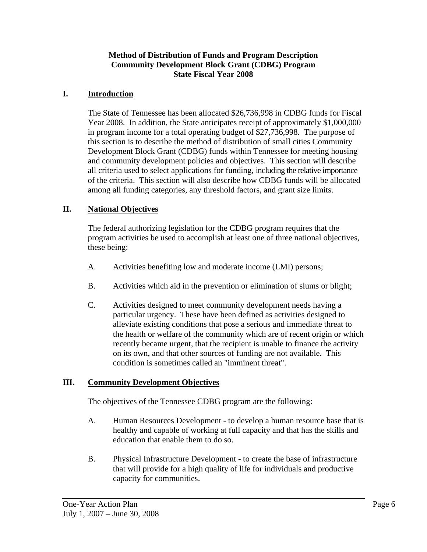#### **Method of Distribution of Funds and Program Description Community Development Block Grant (CDBG) Program State Fiscal Year 2008**

#### **I. Introduction**

The State of Tennessee has been allocated \$26,736,998 in CDBG funds for Fiscal Year 2008. In addition, the State anticipates receipt of approximately \$1,000,000 in program income for a total operating budget of \$27,736,998. The purpose of this section is to describe the method of distribution of small cities Community Development Block Grant (CDBG) funds within Tennessee for meeting housing and community development policies and objectives. This section will describe all criteria used to select applications for funding, including the relative importance of the criteria. This section will also describe how CDBG funds will be allocated among all funding categories, any threshold factors, and grant size limits.

#### **II. National Objectives**

The federal authorizing legislation for the CDBG program requires that the program activities be used to accomplish at least one of three national objectives, these being:

- A. Activities benefiting low and moderate income (LMI) persons;
- B. Activities which aid in the prevention or elimination of slums or blight;
- C. Activities designed to meet community development needs having a particular urgency. These have been defined as activities designed to alleviate existing conditions that pose a serious and immediate threat to the health or welfare of the community which are of recent origin or which recently became urgent, that the recipient is unable to finance the activity on its own, and that other sources of funding are not available. This condition is sometimes called an "imminent threat".

#### **III. Community Development Objectives**

The objectives of the Tennessee CDBG program are the following:

- A. Human Resources Development to develop a human resource base that is healthy and capable of working at full capacity and that has the skills and education that enable them to do so.
- B. Physical Infrastructure Development to create the base of infrastructure that will provide for a high quality of life for individuals and productive capacity for communities.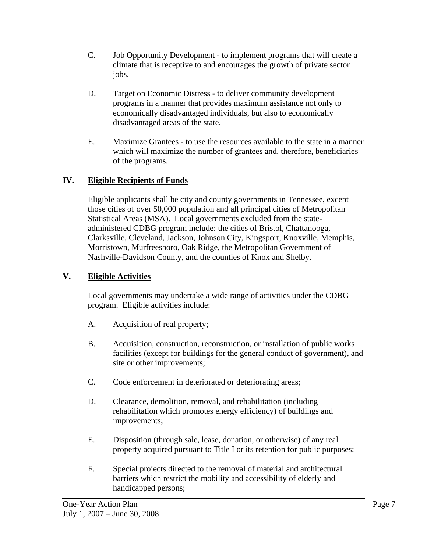- C. Job Opportunity Development to implement programs that will create a climate that is receptive to and encourages the growth of private sector jobs.
- D. Target on Economic Distress to deliver community development programs in a manner that provides maximum assistance not only to economically disadvantaged individuals, but also to economically disadvantaged areas of the state.
- E. Maximize Grantees to use the resources available to the state in a manner which will maximize the number of grantees and, therefore, beneficiaries of the programs.

# **IV. Eligible Recipients of Funds**

Eligible applicants shall be city and county governments in Tennessee, except those cities of over 50,000 population and all principal cities of Metropolitan Statistical Areas (MSA). Local governments excluded from the stateadministered CDBG program include: the cities of Bristol, Chattanooga, Clarksville, Cleveland, Jackson, Johnson City, Kingsport, Knoxville, Memphis, Morristown, Murfreesboro, Oak Ridge, the Metropolitan Government of Nashville-Davidson County, and the counties of Knox and Shelby.

# **V. Eligible Activities**

Local governments may undertake a wide range of activities under the CDBG program. Eligible activities include:

- A. Acquisition of real property;
- B. Acquisition, construction, reconstruction, or installation of public works facilities (except for buildings for the general conduct of government), and site or other improvements;
- C. Code enforcement in deteriorated or deteriorating areas;
- D. Clearance, demolition, removal, and rehabilitation (including rehabilitation which promotes energy efficiency) of buildings and improvements;
- E. Disposition (through sale, lease, donation, or otherwise) of any real property acquired pursuant to Title I or its retention for public purposes;
- F. Special projects directed to the removal of material and architectural barriers which restrict the mobility and accessibility of elderly and handicapped persons;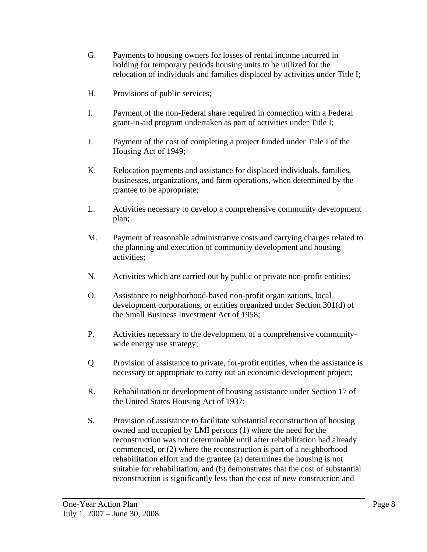- G. Payments to housing owners for losses of rental income incurred in holding for temporary periods housing units to be utilized for the relocation of individuals and families displaced by activities under Title I;
- H. Provisions of public services;
- I. Payment of the non-Federal share required in connection with a Federal grant-in-aid program undertaken as part of activities under Title I;
- J. Payment of the cost of completing a project funded under Title I of the Housing Act of 1949;
- K. Relocation payments and assistance for displaced individuals, families, businesses, organizations, and farm operations, when determined by the grantee to be appropriate;
- L. Activities necessary to develop a comprehensive community development plan;
- M. Payment of reasonable administrative costs and carrying charges related to the planning and execution of community development and housing activities;
- N. Activities which are carried out by public or private non-profit entities;
- O. Assistance to neighborhood-based non-profit organizations, local development corporations, or entities organized under Section 301(d) of the Small Business Investment Act of 1958;
- P. Activities necessary to the development of a comprehensive communitywide energy use strategy;
- Q. Provision of assistance to private, for-profit entities, when the assistance is necessary or appropriate to carry out an economic development project;
- R. Rehabilitation or development of housing assistance under Section 17 of the United States Housing Act of 1937;
- S. Provision of assistance to facilitate substantial reconstruction of housing owned and occupied by LMI persons (1) where the need for the reconstruction was not determinable until after rehabilitation had already commenced, or (2) where the reconstruction is part of a neighborhood rehabilitation effort and the grantee (a) determines the housing is not suitable for rehabilitation, and (b) demonstrates that the cost of substantial reconstruction is significantly less than the cost of new construction and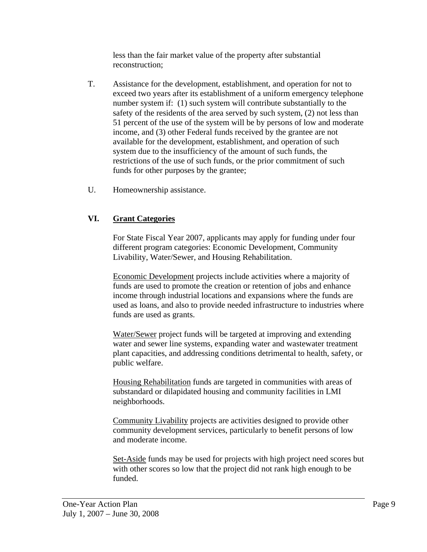less than the fair market value of the property after substantial reconstruction;

- T. Assistance for the development, establishment, and operation for not to exceed two years after its establishment of a uniform emergency telephone number system if: (1) such system will contribute substantially to the safety of the residents of the area served by such system, (2) not less than 51 percent of the use of the system will be by persons of low and moderate income, and (3) other Federal funds received by the grantee are not available for the development, establishment, and operation of such system due to the insufficiency of the amount of such funds, the restrictions of the use of such funds, or the prior commitment of such funds for other purposes by the grantee;
- U. Homeownership assistance.

#### **VI. Grant Categories**

For State Fiscal Year 2007, applicants may apply for funding under four different program categories: Economic Development, Community Livability, Water/Sewer, and Housing Rehabilitation.

Economic Development projects include activities where a majority of funds are used to promote the creation or retention of jobs and enhance income through industrial locations and expansions where the funds are used as loans, and also to provide needed infrastructure to industries where funds are used as grants.

Water/Sewer project funds will be targeted at improving and extending water and sewer line systems, expanding water and wastewater treatment plant capacities, and addressing conditions detrimental to health, safety, or public welfare.

Housing Rehabilitation funds are targeted in communities with areas of substandard or dilapidated housing and community facilities in LMI neighborhoods.

Community Livability projects are activities designed to provide other community development services, particularly to benefit persons of low and moderate income.

Set-Aside funds may be used for projects with high project need scores but with other scores so low that the project did not rank high enough to be funded.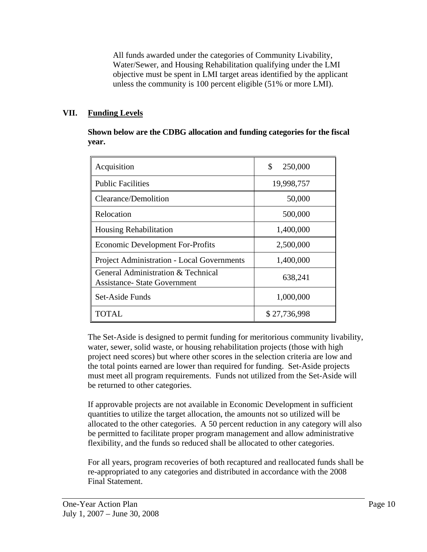All funds awarded under the categories of Community Livability, Water/Sewer, and Housing Rehabilitation qualifying under the LMI objective must be spent in LMI target areas identified by the applicant unless the community is 100 percent eligible (51% or more LMI).

# **VII. Funding Levels**

**Shown below are the CDBG allocation and funding categories for the fiscal year.** 

| Acquisition                                                               | \$<br>250,000 |
|---------------------------------------------------------------------------|---------------|
| <b>Public Facilities</b>                                                  | 19,998,757    |
| Clearance/Demolition                                                      | 50,000        |
| Relocation                                                                | 500,000       |
| <b>Housing Rehabilitation</b>                                             | 1,400,000     |
| <b>Economic Development For-Profits</b>                                   | 2,500,000     |
| <b>Project Administration - Local Governments</b>                         | 1,400,000     |
| General Administration & Technical<br><b>Assistance- State Government</b> | 638,241       |
| Set-Aside Funds                                                           | 1,000,000     |
| TOTAL                                                                     | \$27,736,998  |

The Set-Aside is designed to permit funding for meritorious community livability, water, sewer, solid waste, or housing rehabilitation projects (those with high project need scores) but where other scores in the selection criteria are low and the total points earned are lower than required for funding. Set-Aside projects must meet all program requirements. Funds not utilized from the Set-Aside will be returned to other categories.

If approvable projects are not available in Economic Development in sufficient quantities to utilize the target allocation, the amounts not so utilized will be allocated to the other categories. A 50 percent reduction in any category will also be permitted to facilitate proper program management and allow administrative flexibility, and the funds so reduced shall be allocated to other categories.

For all years, program recoveries of both recaptured and reallocated funds shall be re-appropriated to any categories and distributed in accordance with the 2008 Final Statement.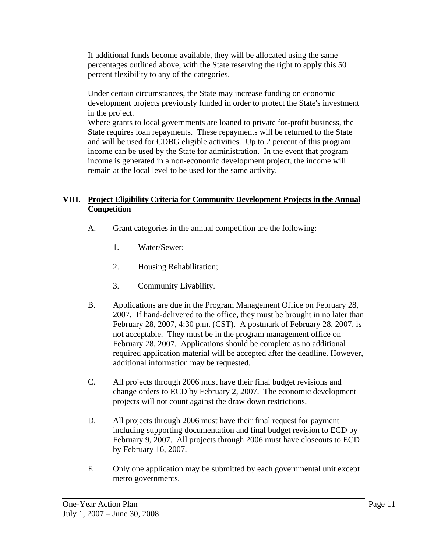If additional funds become available, they will be allocated using the same percentages outlined above, with the State reserving the right to apply this 50 percent flexibility to any of the categories.

Under certain circumstances, the State may increase funding on economic development projects previously funded in order to protect the State's investment in the project.

Where grants to local governments are loaned to private for-profit business, the State requires loan repayments. These repayments will be returned to the State and will be used for CDBG eligible activities. Up to 2 percent of this program income can be used by the State for administration. In the event that program income is generated in a non-economic development project, the income will remain at the local level to be used for the same activity.

#### **VIII. Project Eligibility Criteria for Community Development Projects in the Annual Competition**

- A. Grant categories in the annual competition are the following:
	- 1. Water/Sewer;
	- 2. Housing Rehabilitation;
	- 3. Community Livability.
- B. Applications are due in the Program Management Office on February 28, 2007**.** If hand-delivered to the office, they must be brought in no later than February 28, 2007, 4:30 p.m. (CST). A postmark of February 28, 2007, is not acceptable. They must be in the program management office on February 28, 2007. Applications should be complete as no additional required application material will be accepted after the deadline. However, additional information may be requested.
- C. All projects through 2006 must have their final budget revisions and change orders to ECD by February 2, 2007. The economic development projects will not count against the draw down restrictions.
- D. All projects through 2006 must have their final request for payment including supporting documentation and final budget revision to ECD by February 9, 2007. All projects through 2006 must have closeouts to ECD by February 16, 2007.
- E Only one application may be submitted by each governmental unit except metro governments.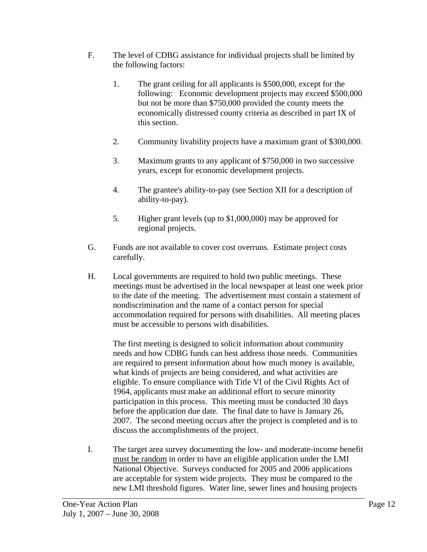- F. The level of CDBG assistance for individual projects shall be limited by the following factors:
	- 1. The grant ceiling for all applicants is \$500,000, except for the following: Economic development projects may exceed \$500,000 but not be more than \$750,000 provided the county meets the economically distressed county criteria as described in part IX of this section.
	- 2. Community livability projects have a maximum grant of \$300,000.
	- 3. Maximum grants to any applicant of \$750,000 in two successive years, except for economic development projects.
	- 4. The grantee's ability-to-pay (see Section XII for a description of ability-to-pay).
	- 5. Higher grant levels (up to \$1,000,000) may be approved for regional projects.
- G. Funds are not available to cover cost overruns. Estimate project costs carefully.
- H. Local governments are required to hold two public meetings. These meetings must be advertised in the local newspaper at least one week prior to the date of the meeting. The advertisement must contain a statement of nondiscrimination and the name of a contact person for special accommodation required for persons with disabilities. All meeting places must be accessible to persons with disabilities.

 The first meeting is designed to solicit information about community needs and how CDBG funds can best address those needs. Communities are required to present information about how much money is available, what kinds of projects are being considered, and what activities are eligible. To ensure compliance with Title VI of the Civil Rights Act of 1964, applicants must make an additional effort to secure minority participation in this process. This meeting must be conducted 30 days before the application due date. The final date to have is January 26, 2007. The second meeting occurs after the project is completed and is to discuss the accomplishments of the project.

I. The target area survey documenting the low- and moderate-income benefit must be random in order to have an eligible application under the LMI National Objective. Surveys conducted for 2005 and 2006 applications are acceptable for system wide projects. They must be compared to the new LMI threshold figures. Water line, sewer lines and housing projects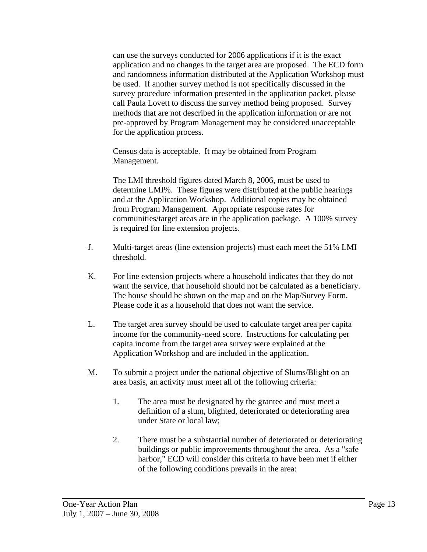can use the surveys conducted for 2006 applications if it is the exact application and no changes in the target area are proposed. The ECD form and randomness information distributed at the Application Workshop must be used. If another survey method is not specifically discussed in the survey procedure information presented in the application packet, please call Paula Lovett to discuss the survey method being proposed. Survey methods that are not described in the application information or are not pre-approved by Program Management may be considered unacceptable for the application process.

 Census data is acceptable. It may be obtained from Program Management.

 The LMI threshold figures dated March 8, 2006, must be used to determine LMI%. These figures were distributed at the public hearings and at the Application Workshop. Additional copies may be obtained from Program Management. Appropriate response rates for communities/target areas are in the application package. A 100% survey is required for line extension projects.

- J. Multi-target areas (line extension projects) must each meet the 51% LMI threshold.
- K. For line extension projects where a household indicates that they do not want the service, that household should not be calculated as a beneficiary. The house should be shown on the map and on the Map/Survey Form. Please code it as a household that does not want the service.
- L. The target area survey should be used to calculate target area per capita income for the community-need score. Instructions for calculating per capita income from the target area survey were explained at the Application Workshop and are included in the application.
- M. To submit a project under the national objective of Slums/Blight on an area basis, an activity must meet all of the following criteria:
	- 1. The area must be designated by the grantee and must meet a definition of a slum, blighted, deteriorated or deteriorating area under State or local law;
	- 2. There must be a substantial number of deteriorated or deteriorating buildings or public improvements throughout the area. As a "safe harbor," ECD will consider this criteria to have been met if either of the following conditions prevails in the area: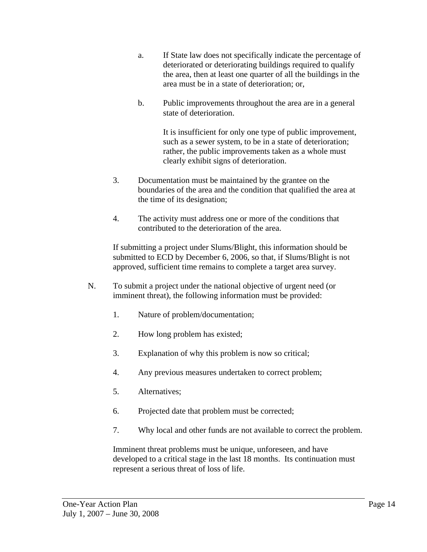- a. If State law does not specifically indicate the percentage of deteriorated or deteriorating buildings required to qualify the area, then at least one quarter of all the buildings in the area must be in a state of deterioration; or,
- b. Public improvements throughout the area are in a general state of deterioration.

 It is insufficient for only one type of public improvement, such as a sewer system, to be in a state of deterioration; rather, the public improvements taken as a whole must clearly exhibit signs of deterioration.

- 3. Documentation must be maintained by the grantee on the boundaries of the area and the condition that qualified the area at the time of its designation;
- 4. The activity must address one or more of the conditions that contributed to the deterioration of the area.

If submitting a project under Slums/Blight, this information should be submitted to ECD by December 6, 2006, so that, if Slums/Blight is not approved, sufficient time remains to complete a target area survey.

- N. To submit a project under the national objective of urgent need (or imminent threat), the following information must be provided:
	- 1. Nature of problem/documentation;
	- 2. How long problem has existed;
	- 3. Explanation of why this problem is now so critical;
	- 4. Any previous measures undertaken to correct problem;
	- 5. Alternatives;
	- 6. Projected date that problem must be corrected;
	- 7. Why local and other funds are not available to correct the problem.

Imminent threat problems must be unique, unforeseen, and have developed to a critical stage in the last 18 months. Its continuation must represent a serious threat of loss of life.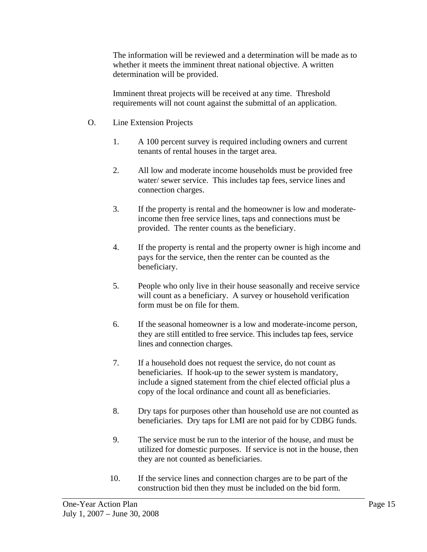The information will be reviewed and a determination will be made as to whether it meets the imminent threat national objective. A written determination will be provided.

Imminent threat projects will be received at any time. Threshold requirements will not count against the submittal of an application.

- O. Line Extension Projects
	- 1. A 100 percent survey is required including owners and current tenants of rental houses in the target area.
	- 2. All low and moderate income households must be provided free water/ sewer service. This includes tap fees, service lines and connection charges.
	- 3. If the property is rental and the homeowner is low and moderateincome then free service lines, taps and connections must be provided. The renter counts as the beneficiary.
	- 4. If the property is rental and the property owner is high income and pays for the service, then the renter can be counted as the beneficiary.
	- 5. People who only live in their house seasonally and receive service will count as a beneficiary. A survey or household verification form must be on file for them.
	- 6. If the seasonal homeowner is a low and moderate-income person, they are still entitled to free service. This includes tap fees, service lines and connection charges.
	- 7. If a household does not request the service, do not count as beneficiaries. If hook-up to the sewer system is mandatory, include a signed statement from the chief elected official plus a copy of the local ordinance and count all as beneficiaries.
	- 8. Dry taps for purposes other than household use are not counted as beneficiaries. Dry taps for LMI are not paid for by CDBG funds.
	- 9. The service must be run to the interior of the house, and must be utilized for domestic purposes. If service is not in the house, then they are not counted as beneficiaries.
	- 10. If the service lines and connection charges are to be part of the construction bid then they must be included on the bid form.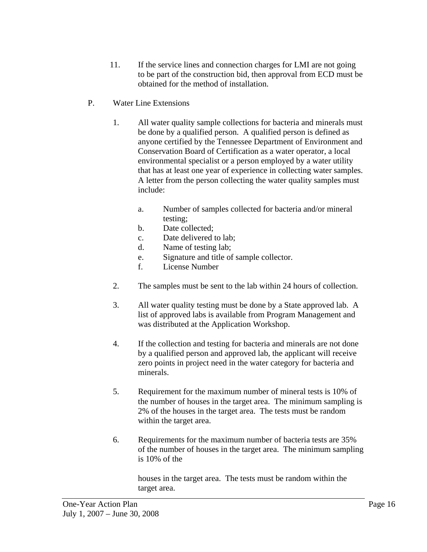- 11. If the service lines and connection charges for LMI are not going to be part of the construction bid, then approval from ECD must be obtained for the method of installation.
- P. Water Line Extensions
	- 1. All water quality sample collections for bacteria and minerals must be done by a qualified person. A qualified person is defined as anyone certified by the Tennessee Department of Environment and Conservation Board of Certification as a water operator, a local environmental specialist or a person employed by a water utility that has at least one year of experience in collecting water samples. A letter from the person collecting the water quality samples must include:
		- a. Number of samples collected for bacteria and/or mineral testing;
		- b. Date collected;
		- c. Date delivered to lab;
		- d. Name of testing lab;
		- e. Signature and title of sample collector.
		- f. License Number
	- 2. The samples must be sent to the lab within 24 hours of collection.
	- 3. All water quality testing must be done by a State approved lab. A list of approved labs is available from Program Management and was distributed at the Application Workshop.
	- 4. If the collection and testing for bacteria and minerals are not done by a qualified person and approved lab, the applicant will receive zero points in project need in the water category for bacteria and minerals.
	- 5. Requirement for the maximum number of mineral tests is 10% of the number of houses in the target area. The minimum sampling is 2% of the houses in the target area. The tests must be random within the target area.
	- 6. Requirements for the maximum number of bacteria tests are 35% of the number of houses in the target area. The minimum sampling is 10% of the

 houses in the target area. The tests must be random within the target area.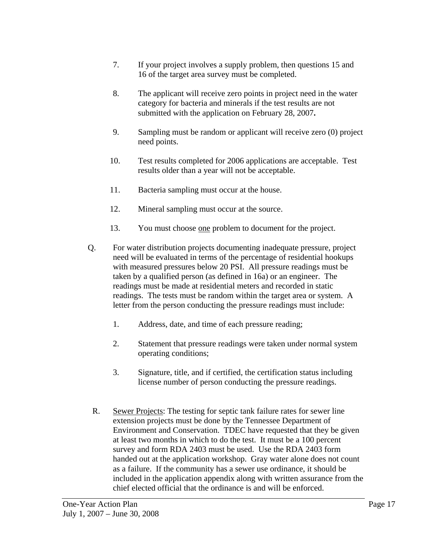- 7. If your project involves a supply problem, then questions 15 and 16 of the target area survey must be completed.
- 8. The applicant will receive zero points in project need in the water category for bacteria and minerals if the test results are not submitted with the application on February 28, 2007**.**
- 9. Sampling must be random or applicant will receive zero (0) project need points.
- 10. Test results completed for 2006 applications are acceptable. Test results older than a year will not be acceptable.
- 11. Bacteria sampling must occur at the house.
- 12. Mineral sampling must occur at the source.
- 13. You must choose one problem to document for the project.
- Q. For water distribution projects documenting inadequate pressure, project need will be evaluated in terms of the percentage of residential hookups with measured pressures below 20 PSI. All pressure readings must be taken by a qualified person (as defined in 16a) or an engineer. The readings must be made at residential meters and recorded in static readings. The tests must be random within the target area or system. A letter from the person conducting the pressure readings must include:
	- 1. Address, date, and time of each pressure reading;
	- 2. Statement that pressure readings were taken under normal system operating conditions;
	- 3. Signature, title, and if certified, the certification status including license number of person conducting the pressure readings.
- R. Sewer Projects: The testing for septic tank failure rates for sewer line extension projects must be done by the Tennessee Department of Environment and Conservation. TDEC have requested that they be given at least two months in which to do the test. It must be a 100 percent survey and form RDA 2403 must be used. Use the RDA 2403 form handed out at the application workshop. Gray water alone does not count as a failure. If the community has a sewer use ordinance, it should be included in the application appendix along with written assurance from the chief elected official that the ordinance is and will be enforced.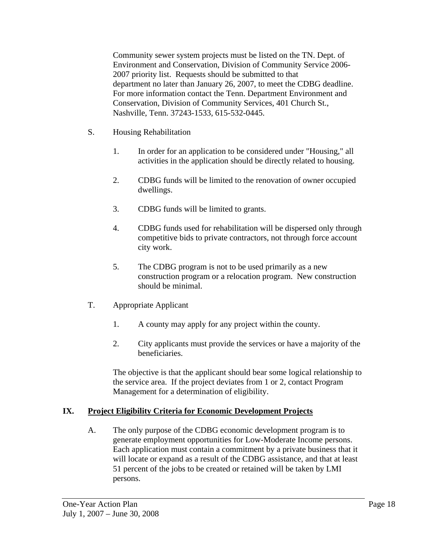Community sewer system projects must be listed on the TN. Dept. of Environment and Conservation, Division of Community Service 2006- 2007 priority list. Requests should be submitted to that department no later than January 26, 2007, to meet the CDBG deadline. For more information contact the Tenn. Department Environment and Conservation, Division of Community Services, 401 Church St., Nashville, Tenn. 37243-1533, 615-532-0445.

- S. Housing Rehabilitation
	- 1. In order for an application to be considered under "Housing," all activities in the application should be directly related to housing.
	- 2. CDBG funds will be limited to the renovation of owner occupied dwellings.
	- 3. CDBG funds will be limited to grants.
	- 4. CDBG funds used for rehabilitation will be dispersed only through competitive bids to private contractors, not through force account city work.
	- 5. The CDBG program is not to be used primarily as a new construction program or a relocation program. New construction should be minimal.
- T. Appropriate Applicant
	- 1. A county may apply for any project within the county.
	- 2. City applicants must provide the services or have a majority of the beneficiaries.

The objective is that the applicant should bear some logical relationship to the service area. If the project deviates from 1 or 2, contact Program Management for a determination of eligibility.

#### **IX. Project Eligibility Criteria for Economic Development Projects**

A. The only purpose of the CDBG economic development program is to generate employment opportunities for Low-Moderate Income persons. Each application must contain a commitment by a private business that it will locate or expand as a result of the CDBG assistance, and that at least 51 percent of the jobs to be created or retained will be taken by LMI persons.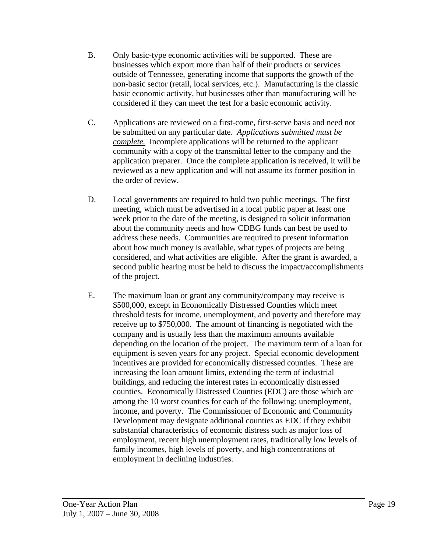- B. Only basic-type economic activities will be supported. These are businesses which export more than half of their products or services outside of Tennessee, generating income that supports the growth of the non-basic sector (retail, local services, etc.). Manufacturing is the classic basic economic activity, but businesses other than manufacturing will be considered if they can meet the test for a basic economic activity.
- C. Applications are reviewed on a first-come, first-serve basis and need not be submitted on any particular date. *Applications submitted must be complete.* Incomplete applications will be returned to the applicant community with a copy of the transmittal letter to the company and the application preparer. Once the complete application is received, it will be reviewed as a new application and will not assume its former position in the order of review.
- D. Local governments are required to hold two public meetings. The first meeting, which must be advertised in a local public paper at least one week prior to the date of the meeting, is designed to solicit information about the community needs and how CDBG funds can best be used to address these needs. Communities are required to present information about how much money is available, what types of projects are being considered, and what activities are eligible. After the grant is awarded, a second public hearing must be held to discuss the impact/accomplishments of the project.
- E. The maximum loan or grant any community/company may receive is \$500,000, except in Economically Distressed Counties which meet threshold tests for income, unemployment, and poverty and therefore may receive up to \$750,000. The amount of financing is negotiated with the company and is usually less than the maximum amounts available depending on the location of the project. The maximum term of a loan for equipment is seven years for any project. Special economic development incentives are provided for economically distressed counties. These are increasing the loan amount limits, extending the term of industrial buildings, and reducing the interest rates in economically distressed counties. Economically Distressed Counties (EDC) are those which are among the 10 worst counties for each of the following: unemployment, income, and poverty. The Commissioner of Economic and Community Development may designate additional counties as EDC if they exhibit substantial characteristics of economic distress such as major loss of employment, recent high unemployment rates, traditionally low levels of family incomes, high levels of poverty, and high concentrations of employment in declining industries.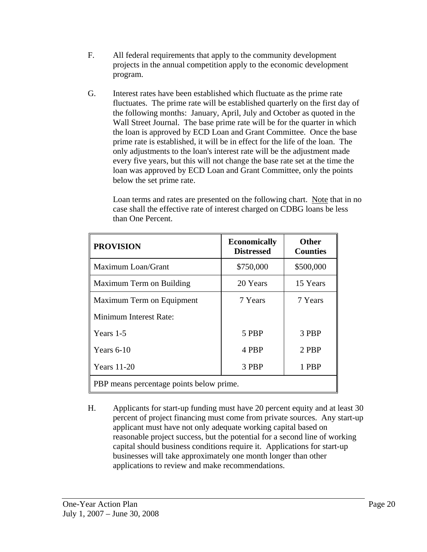- F. All federal requirements that apply to the community development projects in the annual competition apply to the economic development program.
- G. Interest rates have been established which fluctuate as the prime rate fluctuates. The prime rate will be established quarterly on the first day of the following months: January, April, July and October as quoted in the Wall Street Journal. The base prime rate will be for the quarter in which the loan is approved by ECD Loan and Grant Committee. Once the base prime rate is established, it will be in effect for the life of the loan. The only adjustments to the loan's interest rate will be the adjustment made every five years, but this will not change the base rate set at the time the loan was approved by ECD Loan and Grant Committee, only the points below the set prime rate.

Loan terms and rates are presented on the following chart. Note that in no case shall the effective rate of interest charged on CDBG loans be less than One Percent.

| <b>PROVISION</b>                         | <b>Economically</b><br><b>Distressed</b> | <b>Other</b><br><b>Counties</b> |  |
|------------------------------------------|------------------------------------------|---------------------------------|--|
| Maximum Loan/Grant                       | \$750,000                                | \$500,000                       |  |
| Maximum Term on Building                 | 20 Years                                 | 15 Years                        |  |
| Maximum Term on Equipment                | 7 Years                                  | 7 Years                         |  |
| Minimum Interest Rate:                   |                                          |                                 |  |
| Years 1-5                                | 5 PBP                                    | 3 PBP                           |  |
| Years $6-10$                             | 4 PBP                                    | 2 PBP                           |  |
| <b>Years</b> 11-20                       | 3 PBP                                    | 1 PBP                           |  |
| PBP means percentage points below prime. |                                          |                                 |  |

H. Applicants for start-up funding must have 20 percent equity and at least 30 percent of project financing must come from private sources. Any start-up applicant must have not only adequate working capital based on reasonable project success, but the potential for a second line of working capital should business conditions require it. Applications for start-up businesses will take approximately one month longer than other applications to review and make recommendations.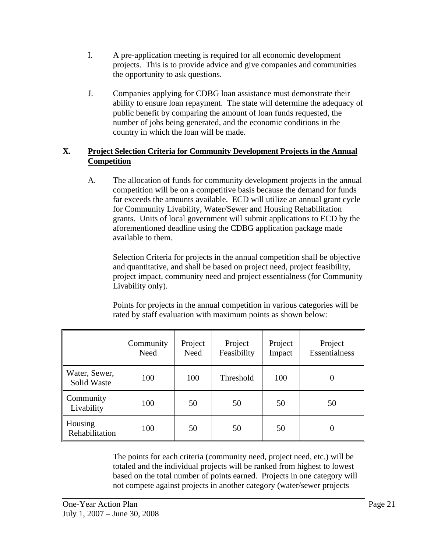- I. A pre-application meeting is required for all economic development projects. This is to provide advice and give companies and communities the opportunity to ask questions.
- J. Companies applying for CDBG loan assistance must demonstrate their ability to ensure loan repayment. The state will determine the adequacy of public benefit by comparing the amount of loan funds requested, the number of jobs being generated, and the economic conditions in the country in which the loan will be made.

#### **X. Project Selection Criteria for Community Development Projects in the Annual Competition**

A. The allocation of funds for community development projects in the annual competition will be on a competitive basis because the demand for funds far exceeds the amounts available. ECD will utilize an annual grant cycle for Community Livability, Water/Sewer and Housing Rehabilitation grants. Units of local government will submit applications to ECD by the aforementioned deadline using the CDBG application package made available to them.

Selection Criteria for projects in the annual competition shall be objective and quantitative, and shall be based on project need, project feasibility, project impact, community need and project essentialness (for Community Livability only).

Points for projects in the annual competition in various categories will be rated by staff evaluation with maximum points as shown below:

|                              | Community<br>Need | Project<br>Need | Project<br>Feasibility | Project<br>Impact | Project<br>Essentialness |
|------------------------------|-------------------|-----------------|------------------------|-------------------|--------------------------|
| Water, Sewer,<br>Solid Waste | 100               | 100             | Threshold              | 100               | 0                        |
| Community<br>Livability      | 100               | 50              | 50                     | 50                | 50                       |
| Housing<br>Rehabilitation    | 100               | 50              | 50                     | 50                | 0                        |

The points for each criteria (community need, project need, etc.) will be totaled and the individual projects will be ranked from highest to lowest based on the total number of points earned. Projects in one category will not compete against projects in another category (water/sewer projects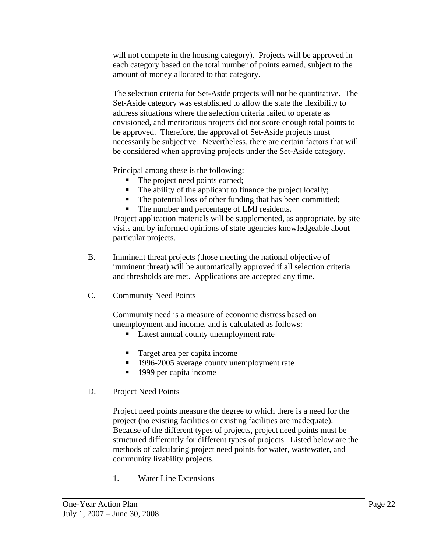will not compete in the housing category). Projects will be approved in each category based on the total number of points earned, subject to the amount of money allocated to that category.

The selection criteria for Set-Aside projects will not be quantitative. The Set-Aside category was established to allow the state the flexibility to address situations where the selection criteria failed to operate as envisioned, and meritorious projects did not score enough total points to be approved. Therefore, the approval of Set-Aside projects must necessarily be subjective. Nevertheless, there are certain factors that will be considered when approving projects under the Set-Aside category.

Principal among these is the following:

- The project need points earned;
- The ability of the applicant to finance the project locally;
- The potential loss of other funding that has been committed;
- The number and percentage of LMI residents.

Project application materials will be supplemented, as appropriate, by site visits and by informed opinions of state agencies knowledgeable about particular projects.

- B. Imminent threat projects (those meeting the national objective of imminent threat) will be automatically approved if all selection criteria and thresholds are met. Applications are accepted any time.
- C. Community Need Points

Community need is a measure of economic distress based on unemployment and income, and is calculated as follows:

- Latest annual county unemployment rate
- Target area per capita income
- <sup>1996-2005</sup> average county unemployment rate
- 1999 per capita income
- D. Project Need Points

Project need points measure the degree to which there is a need for the project (no existing facilities or existing facilities are inadequate). Because of the different types of projects, project need points must be structured differently for different types of projects. Listed below are the methods of calculating project need points for water, wastewater, and community livability projects.

1. Water Line Extensions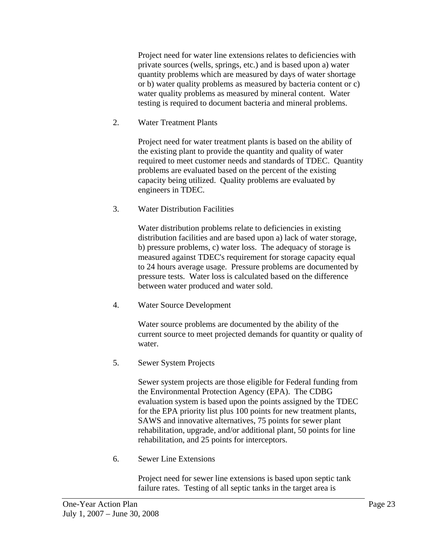Project need for water line extensions relates to deficiencies with private sources (wells, springs, etc.) and is based upon a) water quantity problems which are measured by days of water shortage or b) water quality problems as measured by bacteria content or c) water quality problems as measured by mineral content. Water testing is required to document bacteria and mineral problems.

2. Water Treatment Plants

Project need for water treatment plants is based on the ability of the existing plant to provide the quantity and quality of water required to meet customer needs and standards of TDEC. Quantity problems are evaluated based on the percent of the existing capacity being utilized. Quality problems are evaluated by engineers in TDEC.

3. Water Distribution Facilities

Water distribution problems relate to deficiencies in existing distribution facilities and are based upon a) lack of water storage, b) pressure problems, c) water loss. The adequacy of storage is measured against TDEC's requirement for storage capacity equal to 24 hours average usage. Pressure problems are documented by pressure tests. Water loss is calculated based on the difference between water produced and water sold.

4. Water Source Development

Water source problems are documented by the ability of the current source to meet projected demands for quantity or quality of water.

5. Sewer System Projects

Sewer system projects are those eligible for Federal funding from the Environmental Protection Agency (EPA). The CDBG evaluation system is based upon the points assigned by the TDEC for the EPA priority list plus 100 points for new treatment plants, SAWS and innovative alternatives, 75 points for sewer plant rehabilitation, upgrade, and/or additional plant, 50 points for line rehabilitation, and 25 points for interceptors.

6. Sewer Line Extensions

Project need for sewer line extensions is based upon septic tank failure rates. Testing of all septic tanks in the target area is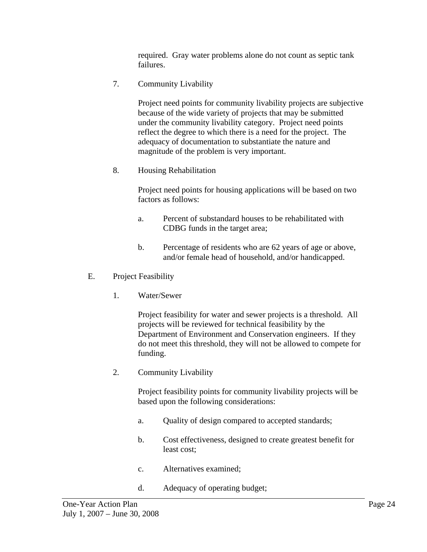required. Gray water problems alone do not count as septic tank failures.

7. Community Livability

Project need points for community livability projects are subjective because of the wide variety of projects that may be submitted under the community livability category. Project need points reflect the degree to which there is a need for the project. The adequacy of documentation to substantiate the nature and magnitude of the problem is very important.

8. Housing Rehabilitation

Project need points for housing applications will be based on two factors as follows:

- a. Percent of substandard houses to be rehabilitated with CDBG funds in the target area;
- b. Percentage of residents who are 62 years of age or above, and/or female head of household, and/or handicapped.
- E. Project Feasibility
	- 1. Water/Sewer

Project feasibility for water and sewer projects is a threshold. All projects will be reviewed for technical feasibility by the Department of Environment and Conservation engineers. If they do not meet this threshold, they will not be allowed to compete for funding.

2. Community Livability

Project feasibility points for community livability projects will be based upon the following considerations:

- a. Quality of design compared to accepted standards;
- b. Cost effectiveness, designed to create greatest benefit for least cost;
- c. Alternatives examined;
- d. Adequacy of operating budget;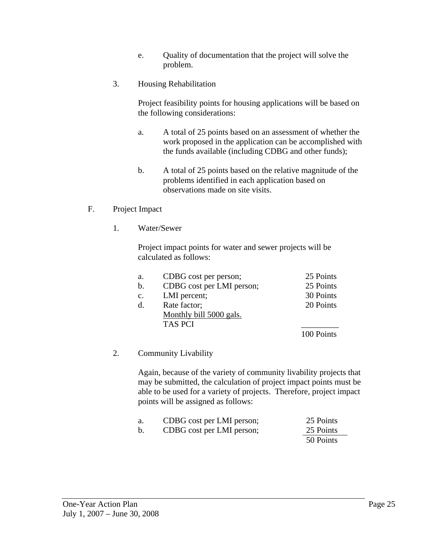- e. Quality of documentation that the project will solve the problem.
- 3. Housing Rehabilitation

Project feasibility points for housing applications will be based on the following considerations:

- a. A total of 25 points based on an assessment of whether the work proposed in the application can be accomplished with the funds available (including CDBG and other funds);
- b. A total of 25 points based on the relative magnitude of the problems identified in each application based on observations made on site visits.
- F. Project Impact
	- 1. Water/Sewer

Project impact points for water and sewer projects will be calculated as follows:

| a.             | CDBG cost per person;     | 25 Points  |
|----------------|---------------------------|------------|
| $\mathbf{b}$ . | CDBG cost per LMI person; | 25 Points  |
| $\mathbf{c}$ . | LMI percent;              | 30 Points  |
| $d$ .          | Rate factor;              | 20 Points  |
|                | Monthly bill 5000 gals.   |            |
|                | <b>TAS PCI</b>            |            |
|                |                           | 100 Points |

#### 2. Community Livability

Again, because of the variety of community livability projects that may be submitted, the calculation of project impact points must be able to be used for a variety of projects. Therefore, project impact points will be assigned as follows:

| a. | CDBG cost per LMI person; | 25 Points |
|----|---------------------------|-----------|
|    | CDBG cost per LMI person; | 25 Points |
|    |                           | 50 Points |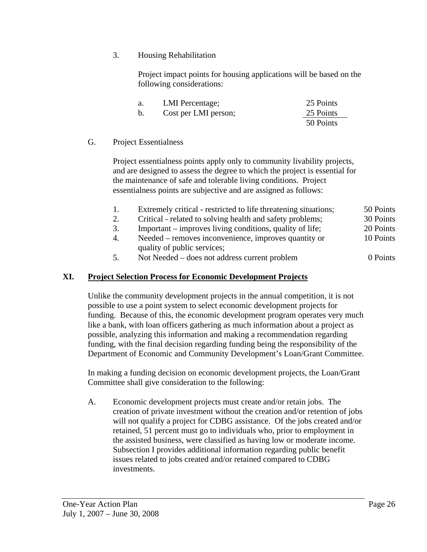3. Housing Rehabilitation

Project impact points for housing applications will be based on the following considerations:

| a. | LMI Percentage;      | 25 Points |
|----|----------------------|-----------|
| b. | Cost per LMI person; | 25 Points |
|    |                      | 50 Points |

#### G. Project Essentialness

Project essentialness points apply only to community livability projects, and are designed to assess the degree to which the project is essential for the maintenance of safe and tolerable living conditions. Project essentialness points are subjective and are assigned as follows:

- 1. Extremely critical restricted to life threatening situations; 50 Points
- 2. Critical related to solving health and safety problems; 30 Points
- 3. Important improves living conditions, quality of life; 20 Points
- 4. Needed removes inconvenience, improves quantity or 10 Points quality of public services;
- 5. Not Needed does not address current problem 0 Points

#### **XI. Project Selection Process for Economic Development Projects**

Unlike the community development projects in the annual competition, it is not possible to use a point system to select economic development projects for funding. Because of this, the economic development program operates very much like a bank, with loan officers gathering as much information about a project as possible, analyzing this information and making a recommendation regarding funding, with the final decision regarding funding being the responsibility of the Department of Economic and Community Development's Loan/Grant Committee.

In making a funding decision on economic development projects, the Loan/Grant Committee shall give consideration to the following:

A. Economic development projects must create and/or retain jobs. The creation of private investment without the creation and/or retention of jobs will not qualify a project for CDBG assistance. Of the jobs created and/or retained, 51 percent must go to individuals who, prior to employment in the assisted business, were classified as having low or moderate income. Subsection I provides additional information regarding public benefit issues related to jobs created and/or retained compared to CDBG investments.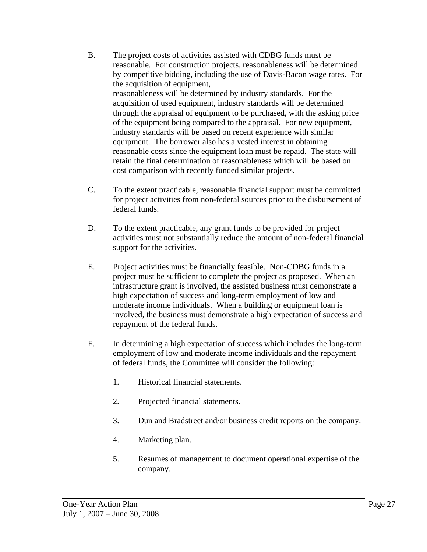- B. The project costs of activities assisted with CDBG funds must be reasonable. For construction projects, reasonableness will be determined by competitive bidding, including the use of Davis-Bacon wage rates. For the acquisition of equipment, reasonableness will be determined by industry standards. For the acquisition of used equipment, industry standards will be determined through the appraisal of equipment to be purchased, with the asking price of the equipment being compared to the appraisal. For new equipment, industry standards will be based on recent experience with similar equipment. The borrower also has a vested interest in obtaining reasonable costs since the equipment loan must be repaid. The state will retain the final determination of reasonableness which will be based on cost comparison with recently funded similar projects.
- C. To the extent practicable, reasonable financial support must be committed for project activities from non-federal sources prior to the disbursement of federal funds.
- D. To the extent practicable, any grant funds to be provided for project activities must not substantially reduce the amount of non-federal financial support for the activities.
- E. Project activities must be financially feasible. Non-CDBG funds in a project must be sufficient to complete the project as proposed. When an infrastructure grant is involved, the assisted business must demonstrate a high expectation of success and long-term employment of low and moderate income individuals. When a building or equipment loan is involved, the business must demonstrate a high expectation of success and repayment of the federal funds.
- F. In determining a high expectation of success which includes the long-term employment of low and moderate income individuals and the repayment of federal funds, the Committee will consider the following:
	- 1. Historical financial statements.
	- 2. Projected financial statements.
	- 3. Dun and Bradstreet and/or business credit reports on the company.
	- 4. Marketing plan.
	- 5. Resumes of management to document operational expertise of the company.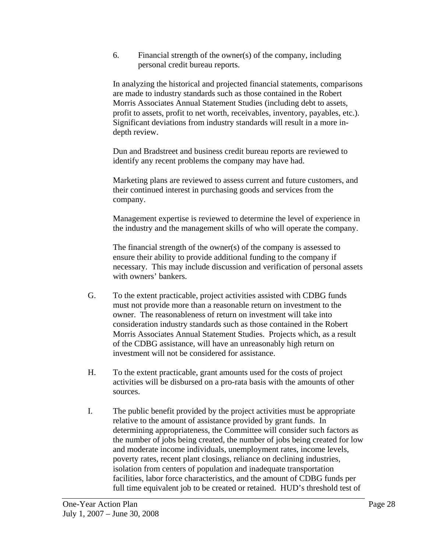6. Financial strength of the owner(s) of the company, including personal credit bureau reports.

 In analyzing the historical and projected financial statements, comparisons are made to industry standards such as those contained in the Robert Morris Associates Annual Statement Studies (including debt to assets, profit to assets, profit to net worth, receivables, inventory, payables, etc.). Significant deviations from industry standards will result in a more indepth review.

 Dun and Bradstreet and business credit bureau reports are reviewed to identify any recent problems the company may have had.

 Marketing plans are reviewed to assess current and future customers, and their continued interest in purchasing goods and services from the company.

 Management expertise is reviewed to determine the level of experience in the industry and the management skills of who will operate the company.

 The financial strength of the owner(s) of the company is assessed to ensure their ability to provide additional funding to the company if necessary. This may include discussion and verification of personal assets with owners' bankers.

- G. To the extent practicable, project activities assisted with CDBG funds must not provide more than a reasonable return on investment to the owner. The reasonableness of return on investment will take into consideration industry standards such as those contained in the Robert Morris Associates Annual Statement Studies. Projects which, as a result of the CDBG assistance, will have an unreasonably high return on investment will not be considered for assistance.
- H. To the extent practicable, grant amounts used for the costs of project activities will be disbursed on a pro-rata basis with the amounts of other sources.
- I. The public benefit provided by the project activities must be appropriate relative to the amount of assistance provided by grant funds. In determining appropriateness, the Committee will consider such factors as the number of jobs being created, the number of jobs being created for low and moderate income individuals, unemployment rates, income levels, poverty rates, recent plant closings, reliance on declining industries, isolation from centers of population and inadequate transportation facilities, labor force characteristics, and the amount of CDBG funds per full time equivalent job to be created or retained. HUD's threshold test of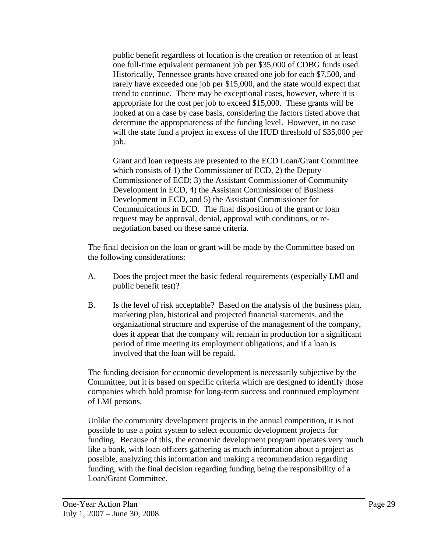public benefit regardless of location is the creation or retention of at least one full-time equivalent permanent job per \$35,000 of CDBG funds used. Historically, Tennessee grants have created one job for each \$7,500, and rarely have exceeded one job per \$15,000, and the state would expect that trend to continue. There may be exceptional cases, however, where it is appropriate for the cost per job to exceed \$15,000. These grants will be looked at on a case by case basis, considering the factors listed above that determine the appropriateness of the funding level. However, in no case will the state fund a project in excess of the HUD threshold of \$35,000 per job.

Grant and loan requests are presented to the ECD Loan/Grant Committee which consists of 1) the Commissioner of ECD, 2) the Deputy Commissioner of ECD; 3) the Assistant Commissioner of Community Development in ECD, 4) the Assistant Commissioner of Business Development in ECD, and 5) the Assistant Commissioner for Communications in ECD. The final disposition of the grant or loan request may be approval, denial, approval with conditions, or renegotiation based on these same criteria.

The final decision on the loan or grant will be made by the Committee based on the following considerations:

- A. Does the project meet the basic federal requirements (especially LMI and public benefit test)?
- B. Is the level of risk acceptable? Based on the analysis of the business plan, marketing plan, historical and projected financial statements, and the organizational structure and expertise of the management of the company, does it appear that the company will remain in production for a significant period of time meeting its employment obligations, and if a loan is involved that the loan will be repaid.

The funding decision for economic development is necessarily subjective by the Committee, but it is based on specific criteria which are designed to identify those companies which hold promise for long-term success and continued employment of LMI persons.

Unlike the community development projects in the annual competition, it is not possible to use a point system to select economic development projects for funding. Because of this, the economic development program operates very much like a bank, with loan officers gathering as much information about a project as possible, analyzing this information and making a recommendation regarding funding, with the final decision regarding funding being the responsibility of a Loan/Grant Committee.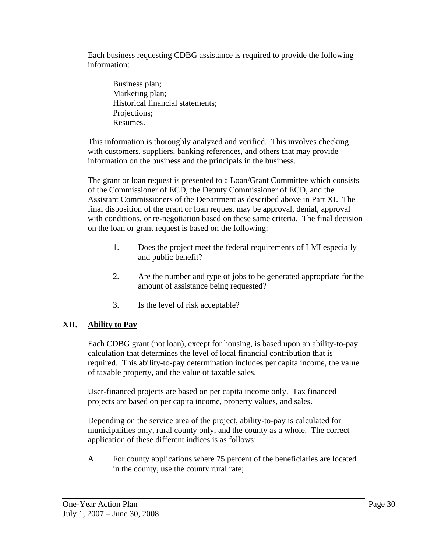Each business requesting CDBG assistance is required to provide the following information:

Business plan; Marketing plan; Historical financial statements; Projections; Resumes.

This information is thoroughly analyzed and verified. This involves checking with customers, suppliers, banking references, and others that may provide information on the business and the principals in the business.

The grant or loan request is presented to a Loan/Grant Committee which consists of the Commissioner of ECD, the Deputy Commissioner of ECD, and the Assistant Commissioners of the Department as described above in Part XI. The final disposition of the grant or loan request may be approval, denial, approval with conditions, or re-negotiation based on these same criteria. The final decision on the loan or grant request is based on the following:

- 1. Does the project meet the federal requirements of LMI especially and public benefit?
- 2. Are the number and type of jobs to be generated appropriate for the amount of assistance being requested?
- 3. Is the level of risk acceptable?

# **XII. Ability to Pay**

Each CDBG grant (not loan), except for housing, is based upon an ability-to-pay calculation that determines the level of local financial contribution that is required. This ability-to-pay determination includes per capita income, the value of taxable property, and the value of taxable sales.

User-financed projects are based on per capita income only. Tax financed projects are based on per capita income, property values, and sales.

Depending on the service area of the project, ability-to-pay is calculated for municipalities only, rural county only, and the county as a whole. The correct application of these different indices is as follows:

A. For county applications where 75 percent of the beneficiaries are located in the county, use the county rural rate;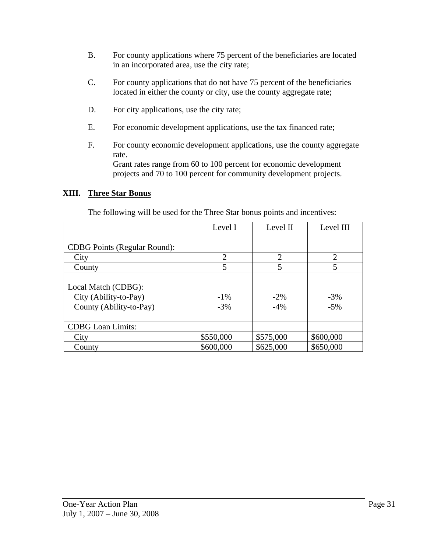- B. For county applications where 75 percent of the beneficiaries are located in an incorporated area, use the city rate;
- C. For county applications that do not have 75 percent of the beneficiaries located in either the county or city, use the county aggregate rate;
- D. For city applications, use the city rate;
- E. For economic development applications, use the tax financed rate;
- F. For county economic development applications, use the county aggregate rate. Grant rates range from 60 to 100 percent for economic development projects and 70 to 100 percent for community development projects.

#### **XIII. Three Star Bonus**

The following will be used for the Three Star bonus points and incentives:

|                                     | Level I        | Level II       | Level III      |
|-------------------------------------|----------------|----------------|----------------|
|                                     |                |                |                |
| <b>CDBG</b> Points (Regular Round): |                |                |                |
| City                                | $\overline{2}$ | $\overline{2}$ | $\overline{2}$ |
| County                              | 5              | 5              | 5              |
|                                     |                |                |                |
| Local Match (CDBG):                 |                |                |                |
| City (Ability-to-Pay)               | $-1\%$         | $-2\%$         | $-3%$          |
| County (Ability-to-Pay)             | $-3%$          | $-4%$          | $-5%$          |
|                                     |                |                |                |
| <b>CDBG</b> Loan Limits:            |                |                |                |
| City                                | \$550,000      | \$575,000      | \$600,000      |
| County                              | \$600,000      | \$625,000      | \$650,000      |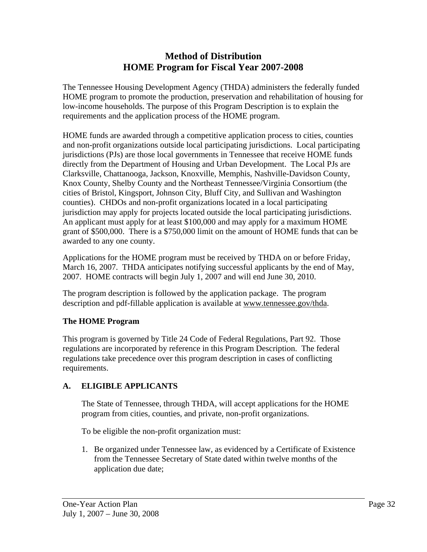# **Method of Distribution HOME Program for Fiscal Year 2007-2008**

The Tennessee Housing Development Agency (THDA) administers the federally funded HOME program to promote the production, preservation and rehabilitation of housing for low-income households. The purpose of this Program Description is to explain the requirements and the application process of the HOME program.

HOME funds are awarded through a competitive application process to cities, counties and non-profit organizations outside local participating jurisdictions. Local participating jurisdictions (PJs) are those local governments in Tennessee that receive HOME funds directly from the Department of Housing and Urban Development. The Local PJs are Clarksville, Chattanooga, Jackson, Knoxville, Memphis, Nashville-Davidson County, Knox County, Shelby County and the Northeast Tennessee/Virginia Consortium (the cities of Bristol, Kingsport, Johnson City, Bluff City, and Sullivan and Washington counties). CHDOs and non-profit organizations located in a local participating jurisdiction may apply for projects located outside the local participating jurisdictions. An applicant must apply for at least \$100,000 and may apply for a maximum HOME grant of \$500,000. There is a \$750,000 limit on the amount of HOME funds that can be awarded to any one county.

Applications for the HOME program must be received by THDA on or before Friday, March 16, 2007. THDA anticipates notifying successful applicants by the end of May, 2007. HOME contracts will begin July 1, 2007 and will end June 30, 2010.

The program description is followed by the application package. The program description and pdf-fillable application is available at www.tennessee.gov/thda.

# **The HOME Program**

This program is governed by Title 24 Code of Federal Regulations, Part 92. Those regulations are incorporated by reference in this Program Description. The federal regulations take precedence over this program description in cases of conflicting requirements.

# **A. ELIGIBLE APPLICANTS**

The State of Tennessee, through THDA, will accept applications for the HOME program from cities, counties, and private, non-profit organizations.

To be eligible the non-profit organization must:

1. Be organized under Tennessee law, as evidenced by a Certificate of Existence from the Tennessee Secretary of State dated within twelve months of the application due date;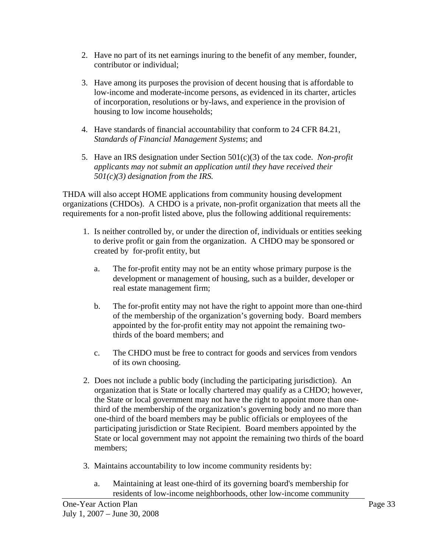- 2. Have no part of its net earnings inuring to the benefit of any member, founder, contributor or individual;
- 3. Have among its purposes the provision of decent housing that is affordable to low-income and moderate-income persons, as evidenced in its charter, articles of incorporation, resolutions or by-laws, and experience in the provision of housing to low income households;
- 4. Have standards of financial accountability that conform to 24 CFR 84.21, *Standards of Financial Management Systems*; and
- 5. Have an IRS designation under Section 501(c)(3) of the tax code. *Non-profit applicants may not submit an application until they have received their 501(c)(3) designation from the IRS.*

THDA will also accept HOME applications from community housing development organizations (CHDOs). A CHDO is a private, non-profit organization that meets all the requirements for a non-profit listed above, plus the following additional requirements:

- 1. Is neither controlled by, or under the direction of, individuals or entities seeking to derive profit or gain from the organization. A CHDO may be sponsored or created by for-profit entity, but
	- a. The for-profit entity may not be an entity whose primary purpose is the development or management of housing, such as a builder, developer or real estate management firm;
	- b. The for-profit entity may not have the right to appoint more than one-third of the membership of the organization's governing body. Board members appointed by the for-profit entity may not appoint the remaining twothirds of the board members; and
	- c. The CHDO must be free to contract for goods and services from vendors of its own choosing.
- 2. Does not include a public body (including the participating jurisdiction). An organization that is State or locally chartered may qualify as a CHDO; however, the State or local government may not have the right to appoint more than onethird of the membership of the organization's governing body and no more than one-third of the board members may be public officials or employees of the participating jurisdiction or State Recipient. Board members appointed by the State or local government may not appoint the remaining two thirds of the board members;
- 3. Maintains accountability to low income community residents by:
	- a. Maintaining at least one-third of its governing board's membership for residents of low-income neighborhoods, other low-income community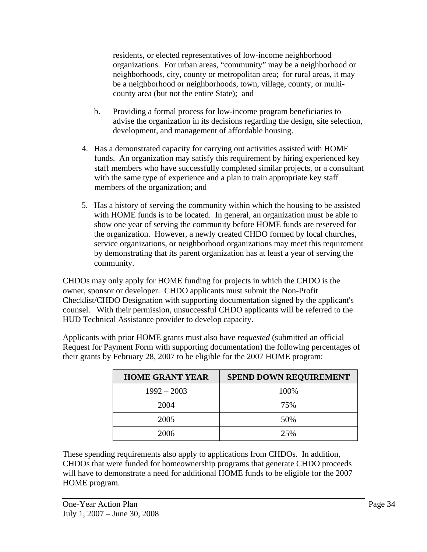residents, or elected representatives of low-income neighborhood organizations. For urban areas, "community" may be a neighborhood or neighborhoods, city, county or metropolitan area; for rural areas, it may be a neighborhood or neighborhoods, town, village, county, or multicounty area (but not the entire State); and

- b. Providing a formal process for low-income program beneficiaries to advise the organization in its decisions regarding the design, site selection, development, and management of affordable housing.
- 4. Has a demonstrated capacity for carrying out activities assisted with HOME funds. An organization may satisfy this requirement by hiring experienced key staff members who have successfully completed similar projects, or a consultant with the same type of experience and a plan to train appropriate key staff members of the organization; and
- 5. Has a history of serving the community within which the housing to be assisted with HOME funds is to be located. In general, an organization must be able to show one year of serving the community before HOME funds are reserved for the organization. However, a newly created CHDO formed by local churches, service organizations, or neighborhood organizations may meet this requirement by demonstrating that its parent organization has at least a year of serving the community.

CHDOs may only apply for HOME funding for projects in which the CHDO is the owner, sponsor or developer. CHDO applicants must submit the Non-Profit Checklist/CHDO Designation with supporting documentation signed by the applicant's counsel. With their permission, unsuccessful CHDO applicants will be referred to the HUD Technical Assistance provider to develop capacity.

Applicants with prior HOME grants must also have *requested* (submitted an official Request for Payment Form with supporting documentation) the following percentages of their grants by February 28, 2007 to be eligible for the 2007 HOME program:

| <b>HOME GRANT YEAR</b> | <b>SPEND DOWN REQUIREMENT</b> |
|------------------------|-------------------------------|
| $1992 - 2003$          | 100%                          |
| 2004                   | 75%                           |
| 2005                   | 50%                           |
| 2006                   | 25%                           |

These spending requirements also apply to applications from CHDOs. In addition, CHDOs that were funded for homeownership programs that generate CHDO proceeds will have to demonstrate a need for additional HOME funds to be eligible for the 2007 HOME program.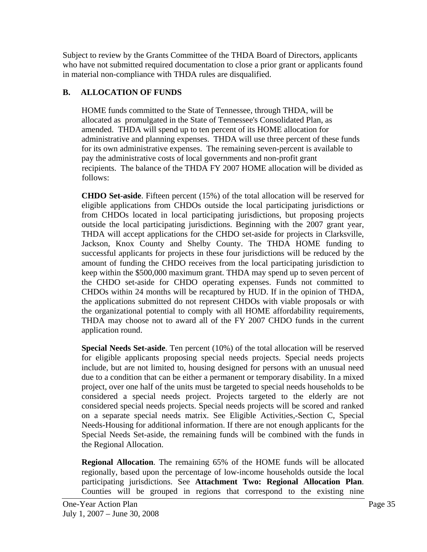Subject to review by the Grants Committee of the THDA Board of Directors, applicants who have not submitted required documentation to close a prior grant or applicants found in material non-compliance with THDA rules are disqualified.

# **B. ALLOCATION OF FUNDS**

HOME funds committed to the State of Tennessee, through THDA, will be allocated as promulgated in the State of Tennessee's Consolidated Plan, as amended. THDA will spend up to ten percent of its HOME allocation for administrative and planning expenses. THDA will use three percent of these funds for its own administrative expenses. The remaining seven-percent is available to pay the administrative costs of local governments and non-profit grant recipients. The balance of the THDA FY 2007 HOME allocation will be divided as follows:

**CHDO Set-aside**. Fifteen percent (15%) of the total allocation will be reserved for eligible applications from CHDOs outside the local participating jurisdictions or from CHDOs located in local participating jurisdictions, but proposing projects outside the local participating jurisdictions. Beginning with the 2007 grant year, THDA will accept applications for the CHDO set-aside for projects in Clarksville, Jackson, Knox County and Shelby County. The THDA HOME funding to successful applicants for projects in these four jurisdictions will be reduced by the amount of funding the CHDO receives from the local participating jurisdiction to keep within the \$500,000 maximum grant. THDA may spend up to seven percent of the CHDO set-aside for CHDO operating expenses. Funds not committed to CHDOs within 24 months will be recaptured by HUD. If in the opinion of THDA, the applications submitted do not represent CHDOs with viable proposals or with the organizational potential to comply with all HOME affordability requirements, THDA may choose not to award all of the FY 2007 CHDO funds in the current application round.

**Special Needs Set-aside**. Ten percent (10%) of the total allocation will be reserved for eligible applicants proposing special needs projects. Special needs projects include, but are not limited to, housing designed for persons with an unusual need due to a condition that can be either a permanent or temporary disability. In a mixed project, over one half of the units must be targeted to special needs households to be considered a special needs project. Projects targeted to the elderly are not considered special needs projects. Special needs projects will be scored and ranked on a separate special needs matrix. See Eligible Activities,-Section C, Special Needs-Housing for additional information. If there are not enough applicants for the Special Needs Set-aside, the remaining funds will be combined with the funds in the Regional Allocation.

**Regional Allocation**. The remaining 65% of the HOME funds will be allocated regionally, based upon the percentage of low-income households outside the local participating jurisdictions. See **Attachment Two: Regional Allocation Plan**. Counties will be grouped in regions that correspond to the existing nine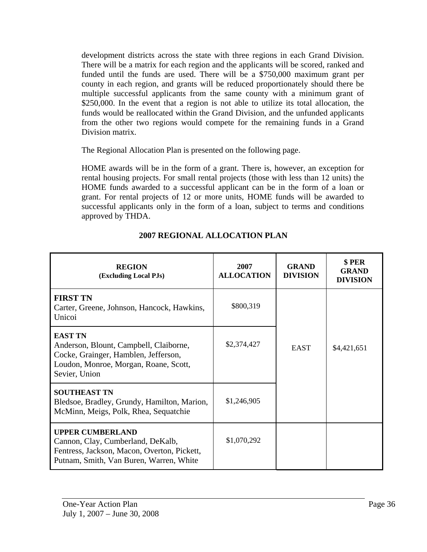development districts across the state with three regions in each Grand Division. There will be a matrix for each region and the applicants will be scored, ranked and funded until the funds are used. There will be a \$750,000 maximum grant per county in each region, and grants will be reduced proportionately should there be multiple successful applicants from the same county with a minimum grant of \$250,000. In the event that a region is not able to utilize its total allocation, the funds would be reallocated within the Grand Division, and the unfunded applicants from the other two regions would compete for the remaining funds in a Grand Division matrix.

The Regional Allocation Plan is presented on the following page.

HOME awards will be in the form of a grant. There is, however, an exception for rental housing projects. For small rental projects (those with less than 12 units) the HOME funds awarded to a successful applicant can be in the form of a loan or grant. For rental projects of 12 or more units, HOME funds will be awarded to successful applicants only in the form of a loan, subject to terms and conditions approved by THDA.

| <b>REGION</b><br>(Excluding Local PJs)                                                                                                                     | 2007<br><b>ALLOCATION</b> | <b>GRAND</b><br><b>DIVISION</b> | \$PER<br><b>GRAND</b><br><b>DIVISION</b> |
|------------------------------------------------------------------------------------------------------------------------------------------------------------|---------------------------|---------------------------------|------------------------------------------|
| <b>FIRST TN</b><br>Carter, Greene, Johnson, Hancock, Hawkins,<br>Unicoi                                                                                    | \$800,319                 |                                 |                                          |
| <b>EAST TN</b><br>Anderson, Blount, Campbell, Claiborne,<br>Cocke, Grainger, Hamblen, Jefferson,<br>Loudon, Monroe, Morgan, Roane, Scott,<br>Sevier, Union | \$2,374,427               | <b>EAST</b>                     | \$4,421,651                              |
| <b>SOUTHEAST TN</b><br>Bledsoe, Bradley, Grundy, Hamilton, Marion,<br>McMinn, Meigs, Polk, Rhea, Sequatchie                                                | \$1,246,905               |                                 |                                          |
| <b>UPPER CUMBERLAND</b><br>Cannon, Clay, Cumberland, DeKalb,<br>Fentress, Jackson, Macon, Overton, Pickett,<br>Putnam, Smith, Van Buren, Warren, White     | \$1,070,292               |                                 |                                          |

# **2007 REGIONAL ALLOCATION PLAN**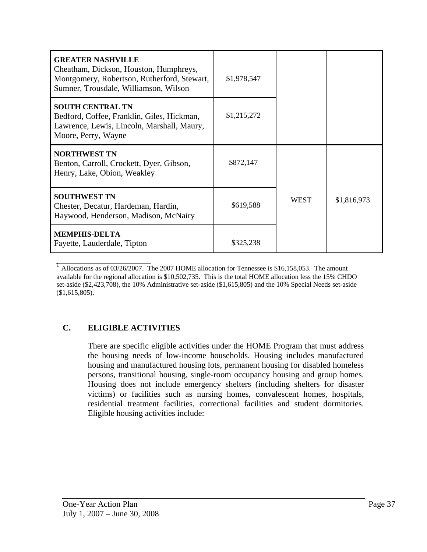| <b>GREATER NASHVILLE</b><br>Cheatham, Dickson, Houston, Humphreys,<br>Montgomery, Robertson, Rutherford, Stewart,<br>Sumner, Trousdale, Williamson, Wilson | \$1,978,547 |             |             |
|------------------------------------------------------------------------------------------------------------------------------------------------------------|-------------|-------------|-------------|
| <b>SOUTH CENTRAL TN</b><br>Bedford, Coffee, Franklin, Giles, Hickman,<br>Lawrence, Lewis, Lincoln, Marshall, Maury,<br>Moore, Perry, Wayne                 | \$1,215,272 |             |             |
| <b>NORTHWEST TN</b><br>Benton, Carroll, Crockett, Dyer, Gibson,<br>Henry, Lake, Obion, Weakley                                                             | \$872,147   |             |             |
| <b>SOUTHWEST TN</b><br>Chester, Decatur, Hardeman, Hardin,<br>Haywood, Henderson, Madison, McNairy                                                         | \$619,588   | <b>WEST</b> | \$1,816,973 |
| <b>MEMPHIS-DELTA</b><br>Fayette, Lauderdale, Tipton                                                                                                        | \$325,238   |             |             |

<sup>1</sup> Allocations as of 03/26/2007. The 2007 HOME allocation for Tennessee is \$16,158,053. The amount available for the regional allocation is \$10,502,735. This is the total HOME allocation less the 15% CHDO set-aside (\$2,423,708), the 10% Administrative set-aside (\$1,615,805) and the 10% Special Needs set-aside (\$1,615,805).

# **C. ELIGIBLE ACTIVITIES**

There are specific eligible activities under the HOME Program that must address the housing needs of low-income households. Housing includes manufactured housing and manufactured housing lots, permanent housing for disabled homeless persons, transitional housing, single-room occupancy housing and group homes. Housing does not include emergency shelters (including shelters for disaster victims) or facilities such as nursing homes, convalescent homes, hospitals, residential treatment facilities, correctional facilities and student dormitories. Eligible housing activities include: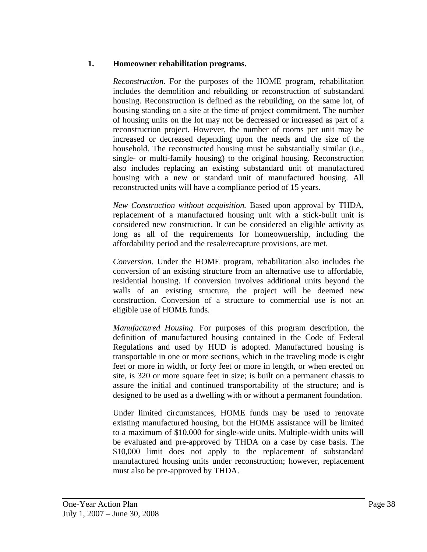#### **1. Homeowner rehabilitation programs.**

*Reconstruction.* For the purposes of the HOME program, rehabilitation includes the demolition and rebuilding or reconstruction of substandard housing. Reconstruction is defined as the rebuilding, on the same lot, of housing standing on a site at the time of project commitment. The number of housing units on the lot may not be decreased or increased as part of a reconstruction project. However, the number of rooms per unit may be increased or decreased depending upon the needs and the size of the household. The reconstructed housing must be substantially similar (i.e., single- or multi-family housing) to the original housing. Reconstruction also includes replacing an existing substandard unit of manufactured housing with a new or standard unit of manufactured housing. All reconstructed units will have a compliance period of 15 years.

*New Construction without acquisition.* Based upon approval by THDA, replacement of a manufactured housing unit with a stick-built unit is considered new construction. It can be considered an eligible activity as long as all of the requirements for homeownership, including the affordability period and the resale/recapture provisions, are met.

*Conversion*. Under the HOME program, rehabilitation also includes the conversion of an existing structure from an alternative use to affordable, residential housing. If conversion involves additional units beyond the walls of an existing structure, the project will be deemed new construction. Conversion of a structure to commercial use is not an eligible use of HOME funds.

*Manufactured Housing*. For purposes of this program description, the definition of manufactured housing contained in the Code of Federal Regulations and used by HUD is adopted. Manufactured housing is transportable in one or more sections, which in the traveling mode is eight feet or more in width, or forty feet or more in length, or when erected on site, is 320 or more square feet in size; is built on a permanent chassis to assure the initial and continued transportability of the structure; and is designed to be used as a dwelling with or without a permanent foundation.

Under limited circumstances, HOME funds may be used to renovate existing manufactured housing, but the HOME assistance will be limited to a maximum of \$10,000 for single-wide units. Multiple-width units will be evaluated and pre-approved by THDA on a case by case basis. The \$10,000 limit does not apply to the replacement of substandard manufactured housing units under reconstruction; however, replacement must also be pre-approved by THDA.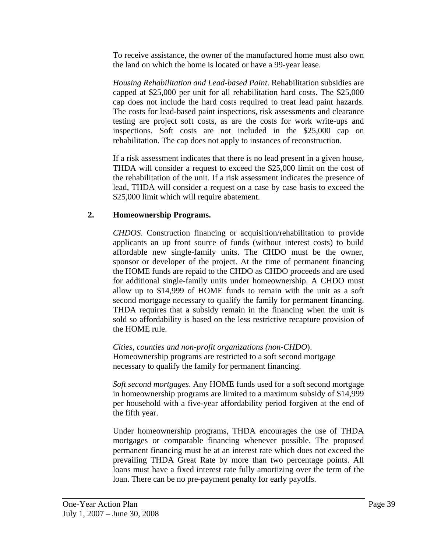To receive assistance, the owner of the manufactured home must also own the land on which the home is located or have a 99-year lease.

*Housing Rehabilitation and Lead-based Paint*. Rehabilitation subsidies are capped at \$25,000 per unit for all rehabilitation hard costs. The \$25,000 cap does not include the hard costs required to treat lead paint hazards. The costs for lead-based paint inspections, risk assessments and clearance testing are project soft costs, as are the costs for work write-ups and inspections. Soft costs are not included in the \$25,000 cap on rehabilitation. The cap does not apply to instances of reconstruction.

If a risk assessment indicates that there is no lead present in a given house, THDA will consider a request to exceed the \$25,000 limit on the cost of the rehabilitation of the unit. If a risk assessment indicates the presence of lead, THDA will consider a request on a case by case basis to exceed the \$25,000 limit which will require abatement.

## **2. Homeownership Programs.**

*CHDOS*. Construction financing or acquisition/rehabilitation to provide applicants an up front source of funds (without interest costs) to build affordable new single-family units. The CHDO must be the owner, sponsor or developer of the project. At the time of permanent financing the HOME funds are repaid to the CHDO as CHDO proceeds and are used for additional single-family units under homeownership. A CHDO must allow up to \$14,999 of HOME funds to remain with the unit as a soft second mortgage necessary to qualify the family for permanent financing. THDA requires that a subsidy remain in the financing when the unit is sold so affordability is based on the less restrictive recapture provision of the HOME rule.

*Cities, counties and non-profit organizations (non-CHDO*). Homeownership programs are restricted to a soft second mortgage necessary to qualify the family for permanent financing.

*Soft second mortgages*. Any HOME funds used for a soft second mortgage in homeownership programs are limited to a maximum subsidy of \$14,999 per household with a five-year affordability period forgiven at the end of the fifth year.

Under homeownership programs, THDA encourages the use of THDA mortgages or comparable financing whenever possible. The proposed permanent financing must be at an interest rate which does not exceed the prevailing THDA Great Rate by more than two percentage points. All loans must have a fixed interest rate fully amortizing over the term of the loan. There can be no pre-payment penalty for early payoffs.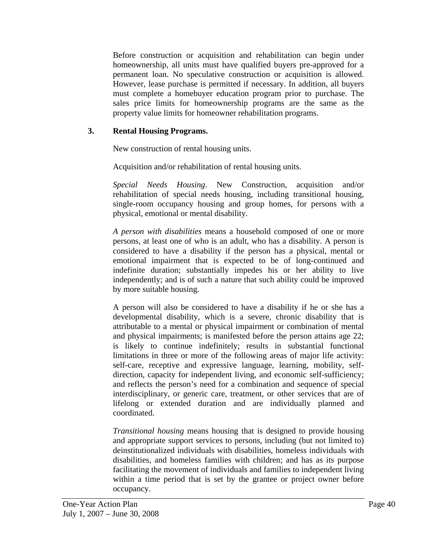Before construction or acquisition and rehabilitation can begin under homeownership, all units must have qualified buyers pre-approved for a permanent loan. No speculative construction or acquisition is allowed. However, lease purchase is permitted if necessary. In addition, all buyers must complete a homebuyer education program prior to purchase. The sales price limits for homeownership programs are the same as the property value limits for homeowner rehabilitation programs.

### **3. Rental Housing Programs.**

New construction of rental housing units.

Acquisition and/or rehabilitation of rental housing units.

*Special Needs Housing*. New Construction, acquisition and/or rehabilitation of special needs housing, including transitional housing, single-room occupancy housing and group homes, for persons with a physical, emotional or mental disability.

*A person with disabilities* means a household composed of one or more persons, at least one of who is an adult, who has a disability. A person is considered to have a disability if the person has a physical, mental or emotional impairment that is expected to be of long-continued and indefinite duration; substantially impedes his or her ability to live independently; and is of such a nature that such ability could be improved by more suitable housing.

A person will also be considered to have a disability if he or she has a developmental disability, which is a severe, chronic disability that is attributable to a mental or physical impairment or combination of mental and physical impairments; is manifested before the person attains age 22; is likely to continue indefinitely; results in substantial functional limitations in three or more of the following areas of major life activity: self-care, receptive and expressive language, learning, mobility, selfdirection, capacity for independent living, and economic self-sufficiency; and reflects the person's need for a combination and sequence of special interdisciplinary, or generic care, treatment, or other services that are of lifelong or extended duration and are individually planned and coordinated.

*Transitional housing* means housing that is designed to provide housing and appropriate support services to persons, including (but not limited to) deinstitutionalized individuals with disabilities, homeless individuals with disabilities, and homeless families with children; and has as its purpose facilitating the movement of individuals and families to independent living within a time period that is set by the grantee or project owner before occupancy.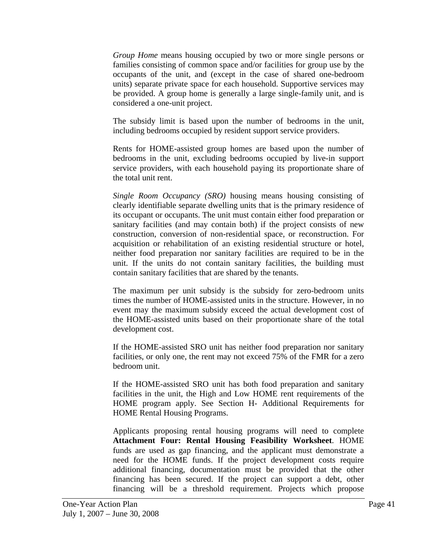*Group Home* means housing occupied by two or more single persons or families consisting of common space and/or facilities for group use by the occupants of the unit, and (except in the case of shared one-bedroom units) separate private space for each household. Supportive services may be provided. A group home is generally a large single-family unit, and is considered a one-unit project.

The subsidy limit is based upon the number of bedrooms in the unit, including bedrooms occupied by resident support service providers.

Rents for HOME-assisted group homes are based upon the number of bedrooms in the unit, excluding bedrooms occupied by live-in support service providers, with each household paying its proportionate share of the total unit rent.

*Single Room Occupancy (SRO)* housing means housing consisting of clearly identifiable separate dwelling units that is the primary residence of its occupant or occupants. The unit must contain either food preparation or sanitary facilities (and may contain both) if the project consists of new construction, conversion of non-residential space, or reconstruction. For acquisition or rehabilitation of an existing residential structure or hotel, neither food preparation nor sanitary facilities are required to be in the unit. If the units do not contain sanitary facilities, the building must contain sanitary facilities that are shared by the tenants.

The maximum per unit subsidy is the subsidy for zero-bedroom units times the number of HOME-assisted units in the structure. However, in no event may the maximum subsidy exceed the actual development cost of the HOME-assisted units based on their proportionate share of the total development cost.

If the HOME-assisted SRO unit has neither food preparation nor sanitary facilities, or only one, the rent may not exceed 75% of the FMR for a zero bedroom unit.

If the HOME-assisted SRO unit has both food preparation and sanitary facilities in the unit, the High and Low HOME rent requirements of the HOME program apply. See Section H- Additional Requirements for HOME Rental Housing Programs.

Applicants proposing rental housing programs will need to complete **Attachment Four: Rental Housing Feasibility Worksheet**. HOME funds are used as gap financing, and the applicant must demonstrate a need for the HOME funds. If the project development costs require additional financing, documentation must be provided that the other financing has been secured. If the project can support a debt, other financing will be a threshold requirement. Projects which propose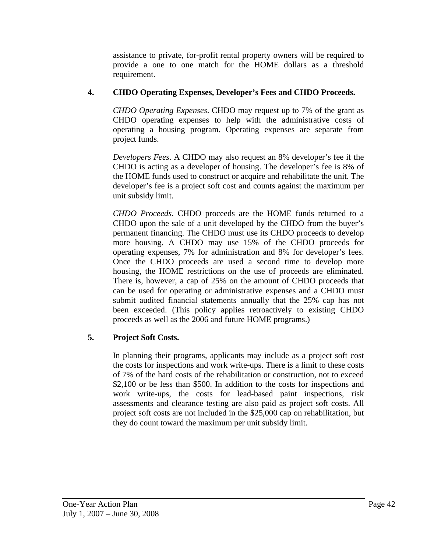assistance to private, for-profit rental property owners will be required to provide a one to one match for the HOME dollars as a threshold requirement.

## **4. CHDO Operating Expenses, Developer's Fees and CHDO Proceeds.**

*CHDO Operating Expenses*. CHDO may request up to 7% of the grant as CHDO operating expenses to help with the administrative costs of operating a housing program. Operating expenses are separate from project funds.

*Developers Fees*. A CHDO may also request an 8% developer's fee if the CHDO is acting as a developer of housing. The developer's fee is 8% of the HOME funds used to construct or acquire and rehabilitate the unit. The developer's fee is a project soft cost and counts against the maximum per unit subsidy limit.

*CHDO Proceeds*. CHDO proceeds are the HOME funds returned to a CHDO upon the sale of a unit developed by the CHDO from the buyer's permanent financing. The CHDO must use its CHDO proceeds to develop more housing. A CHDO may use 15% of the CHDO proceeds for operating expenses, 7% for administration and 8% for developer's fees. Once the CHDO proceeds are used a second time to develop more housing, the HOME restrictions on the use of proceeds are eliminated. There is, however, a cap of 25% on the amount of CHDO proceeds that can be used for operating or administrative expenses and a CHDO must submit audited financial statements annually that the 25% cap has not been exceeded. (This policy applies retroactively to existing CHDO proceeds as well as the 2006 and future HOME programs.)

# **5. Project Soft Costs.**

In planning their programs, applicants may include as a project soft cost the costs for inspections and work write-ups. There is a limit to these costs of 7% of the hard costs of the rehabilitation or construction, not to exceed \$2,100 or be less than \$500. In addition to the costs for inspections and work write-ups, the costs for lead-based paint inspections, risk assessments and clearance testing are also paid as project soft costs. All project soft costs are not included in the \$25,000 cap on rehabilitation, but they do count toward the maximum per unit subsidy limit.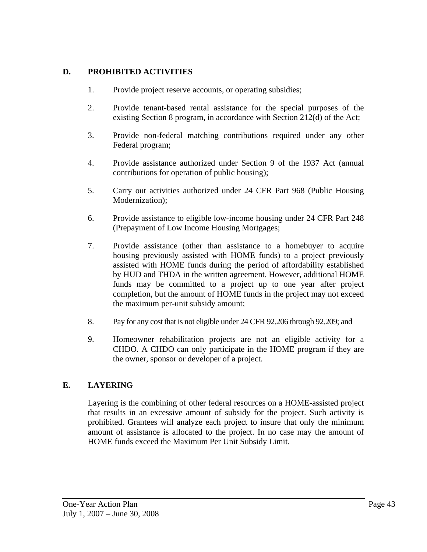### **D. PROHIBITED ACTIVITIES**

- 1. Provide project reserve accounts, or operating subsidies;
- 2. Provide tenant-based rental assistance for the special purposes of the existing Section 8 program, in accordance with Section 212(d) of the Act;
- 3. Provide non-federal matching contributions required under any other Federal program;
- 4. Provide assistance authorized under Section 9 of the 1937 Act (annual contributions for operation of public housing);
- 5. Carry out activities authorized under 24 CFR Part 968 (Public Housing Modernization);
- 6. Provide assistance to eligible low-income housing under 24 CFR Part 248 (Prepayment of Low Income Housing Mortgages;
- 7. Provide assistance (other than assistance to a homebuyer to acquire housing previously assisted with HOME funds) to a project previously assisted with HOME funds during the period of affordability established by HUD and THDA in the written agreement. However, additional HOME funds may be committed to a project up to one year after project completion, but the amount of HOME funds in the project may not exceed the maximum per-unit subsidy amount;
- 8. Pay for any cost that is not eligible under 24 CFR 92.206 through 92.209; and
- 9. Homeowner rehabilitation projects are not an eligible activity for a CHDO. A CHDO can only participate in the HOME program if they are the owner, sponsor or developer of a project.

## **E. LAYERING**

Layering is the combining of other federal resources on a HOME-assisted project that results in an excessive amount of subsidy for the project. Such activity is prohibited. Grantees will analyze each project to insure that only the minimum amount of assistance is allocated to the project. In no case may the amount of HOME funds exceed the Maximum Per Unit Subsidy Limit.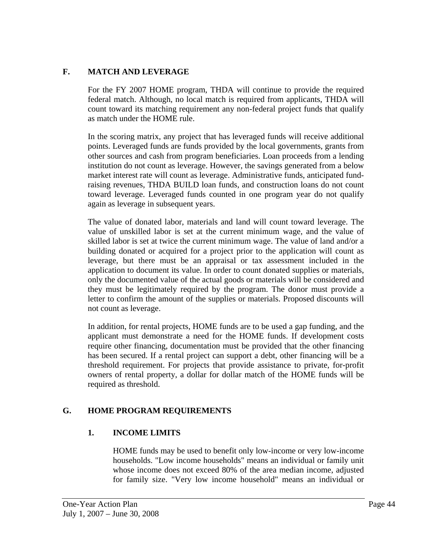## **F. MATCH AND LEVERAGE**

For the FY 2007 HOME program, THDA will continue to provide the required federal match. Although, no local match is required from applicants, THDA will count toward its matching requirement any non-federal project funds that qualify as match under the HOME rule.

In the scoring matrix, any project that has leveraged funds will receive additional points. Leveraged funds are funds provided by the local governments, grants from other sources and cash from program beneficiaries. Loan proceeds from a lending institution do not count as leverage. However, the savings generated from a below market interest rate will count as leverage. Administrative funds, anticipated fundraising revenues, THDA BUILD loan funds, and construction loans do not count toward leverage. Leveraged funds counted in one program year do not qualify again as leverage in subsequent years.

The value of donated labor, materials and land will count toward leverage. The value of unskilled labor is set at the current minimum wage, and the value of skilled labor is set at twice the current minimum wage. The value of land and/or a building donated or acquired for a project prior to the application will count as leverage, but there must be an appraisal or tax assessment included in the application to document its value. In order to count donated supplies or materials, only the documented value of the actual goods or materials will be considered and they must be legitimately required by the program. The donor must provide a letter to confirm the amount of the supplies or materials. Proposed discounts will not count as leverage.

In addition, for rental projects, HOME funds are to be used a gap funding, and the applicant must demonstrate a need for the HOME funds. If development costs require other financing, documentation must be provided that the other financing has been secured. If a rental project can support a debt, other financing will be a threshold requirement. For projects that provide assistance to private, for-profit owners of rental property, a dollar for dollar match of the HOME funds will be required as threshold.

# **G. HOME PROGRAM REQUIREMENTS**

## **1. INCOME LIMITS**

HOME funds may be used to benefit only low-income or very low-income households. "Low income households" means an individual or family unit whose income does not exceed 80% of the area median income, adjusted for family size. "Very low income household" means an individual or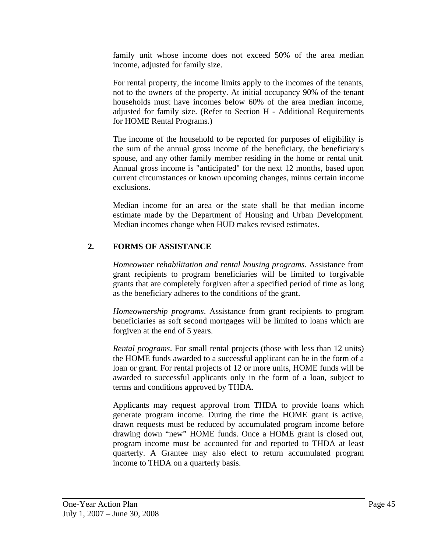family unit whose income does not exceed 50% of the area median income, adjusted for family size.

For rental property, the income limits apply to the incomes of the tenants, not to the owners of the property. At initial occupancy 90% of the tenant households must have incomes below 60% of the area median income, adjusted for family size. (Refer to Section H - Additional Requirements for HOME Rental Programs.)

The income of the household to be reported for purposes of eligibility is the sum of the annual gross income of the beneficiary, the beneficiary's spouse, and any other family member residing in the home or rental unit. Annual gross income is "anticipated" for the next 12 months, based upon current circumstances or known upcoming changes, minus certain income exclusions.

Median income for an area or the state shall be that median income estimate made by the Department of Housing and Urban Development. Median incomes change when HUD makes revised estimates.

# **2. FORMS OF ASSISTANCE**

*Homeowner rehabilitation and rental housing programs*. Assistance from grant recipients to program beneficiaries will be limited to forgivable grants that are completely forgiven after a specified period of time as long as the beneficiary adheres to the conditions of the grant.

*Homeownership programs*. Assistance from grant recipients to program beneficiaries as soft second mortgages will be limited to loans which are forgiven at the end of 5 years.

*Rental programs*. For small rental projects (those with less than 12 units) the HOME funds awarded to a successful applicant can be in the form of a loan or grant. For rental projects of 12 or more units, HOME funds will be awarded to successful applicants only in the form of a loan, subject to terms and conditions approved by THDA.

Applicants may request approval from THDA to provide loans which generate program income. During the time the HOME grant is active, drawn requests must be reduced by accumulated program income before drawing down "new" HOME funds. Once a HOME grant is closed out, program income must be accounted for and reported to THDA at least quarterly. A Grantee may also elect to return accumulated program income to THDA on a quarterly basis.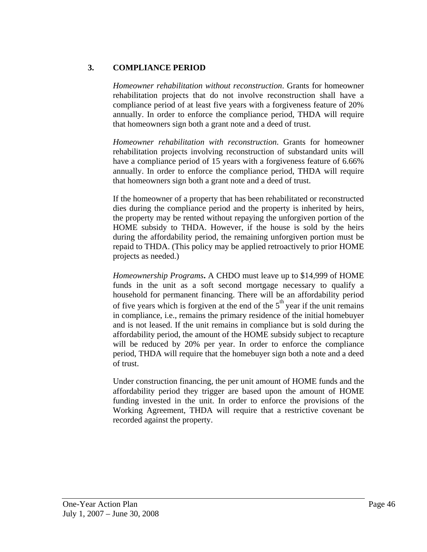## **3. COMPLIANCE PERIOD**

*Homeowner rehabilitation without reconstruction*. Grants for homeowner rehabilitation projects that do not involve reconstruction shall have a compliance period of at least five years with a forgiveness feature of 20% annually. In order to enforce the compliance period, THDA will require that homeowners sign both a grant note and a deed of trust.

*Homeowner rehabilitation with reconstruction*. Grants for homeowner rehabilitation projects involving reconstruction of substandard units will have a compliance period of 15 years with a forgiveness feature of 6.66% annually. In order to enforce the compliance period, THDA will require that homeowners sign both a grant note and a deed of trust.

If the homeowner of a property that has been rehabilitated or reconstructed dies during the compliance period and the property is inherited by heirs, the property may be rented without repaying the unforgiven portion of the HOME subsidy to THDA. However, if the house is sold by the heirs during the affordability period, the remaining unforgiven portion must be repaid to THDA. (This policy may be applied retroactively to prior HOME projects as needed.)

*Homeownership Programs***.** A CHDO must leave up to \$14,999 of HOME funds in the unit as a soft second mortgage necessary to qualify a household for permanent financing. There will be an affordability period of five years which is forgiven at the end of the  $5<sup>th</sup>$  year if the unit remains in compliance, i.e., remains the primary residence of the initial homebuyer and is not leased. If the unit remains in compliance but is sold during the affordability period, the amount of the HOME subsidy subject to recapture will be reduced by 20% per year. In order to enforce the compliance period, THDA will require that the homebuyer sign both a note and a deed of trust.

Under construction financing, the per unit amount of HOME funds and the affordability period they trigger are based upon the amount of HOME funding invested in the unit. In order to enforce the provisions of the Working Agreement, THDA will require that a restrictive covenant be recorded against the property.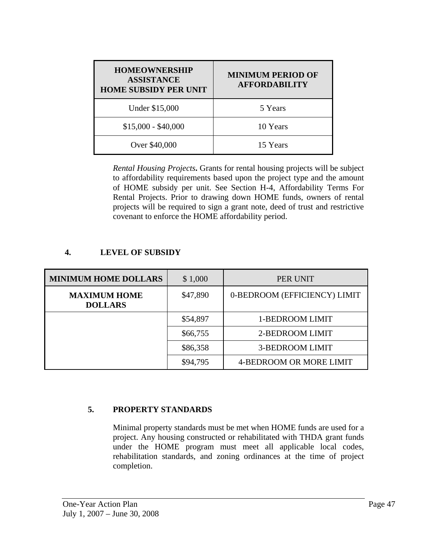| <b>HOMEOWNERSHIP</b><br><b>ASSISTANCE</b><br><b>HOME SUBSIDY PER UNIT</b> | <b>MINIMUM PERIOD OF</b><br><b>AFFORDABILITY</b> |  |
|---------------------------------------------------------------------------|--------------------------------------------------|--|
| Under \$15,000                                                            | 5 Years                                          |  |
| $$15,000 - $40,000$                                                       | 10 Years                                         |  |
| Over \$40,000                                                             | 15 Years                                         |  |

*Rental Housing Projects***.** Grants for rental housing projects will be subject to affordability requirements based upon the project type and the amount of HOME subsidy per unit. See Section H-4, Affordability Terms For Rental Projects. Prior to drawing down HOME funds, owners of rental projects will be required to sign a grant note, deed of trust and restrictive covenant to enforce the HOME affordability period.

| <b>MINIMUM HOME DOLLARS</b>           | \$1,000  | PER UNIT                     |
|---------------------------------------|----------|------------------------------|
| <b>MAXIMUM HOME</b><br><b>DOLLARS</b> | \$47,890 | 0-BEDROOM (EFFICIENCY) LIMIT |
|                                       | \$54,897 | 1-BEDROOM LIMIT              |
|                                       | \$66,755 | 2-BEDROOM LIMIT              |
|                                       | \$86,358 | <b>3-BEDROOM LIMIT</b>       |
|                                       | \$94,795 | 4-BEDROOM OR MORE LIMIT      |

#### **4. LEVEL OF SUBSIDY**

#### **5. PROPERTY STANDARDS**

Minimal property standards must be met when HOME funds are used for a project. Any housing constructed or rehabilitated with THDA grant funds under the HOME program must meet all applicable local codes, rehabilitation standards, and zoning ordinances at the time of project completion.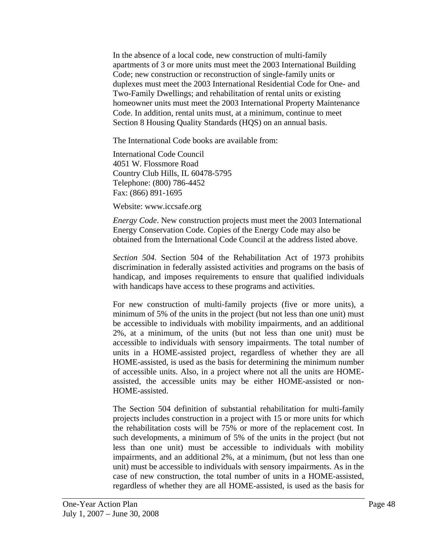In the absence of a local code, new construction of multi-family apartments of 3 or more units must meet the 2003 International Building Code; new construction or reconstruction of single-family units or duplexes must meet the 2003 International Residential Code for One- and Two-Family Dwellings; and rehabilitation of rental units or existing homeowner units must meet the 2003 International Property Maintenance Code. In addition, rental units must, at a minimum, continue to meet Section 8 Housing Quality Standards (HQS) on an annual basis.

The International Code books are available from:

International Code Council 4051 W. Flossmore Road Country Club Hills, IL 60478-5795 Telephone: (800) 786-4452 Fax: (866) 891-1695

Website: www.iccsafe.org

*Energy Code*. New construction projects must meet the 2003 International Energy Conservation Code. Copies of the Energy Code may also be obtained from the International Code Council at the address listed above.

*Section 504*. Section 504 of the Rehabilitation Act of 1973 prohibits discrimination in federally assisted activities and programs on the basis of handicap, and imposes requirements to ensure that qualified individuals with handicaps have access to these programs and activities.

For new construction of multi-family projects (five or more units), a minimum of 5% of the units in the project (but not less than one unit) must be accessible to individuals with mobility impairments, and an additional 2%, at a minimum, of the units (but not less than one unit) must be accessible to individuals with sensory impairments. The total number of units in a HOME-assisted project, regardless of whether they are all HOME-assisted, is used as the basis for determining the minimum number of accessible units. Also, in a project where not all the units are HOMEassisted, the accessible units may be either HOME-assisted or non-HOME-assisted.

The Section 504 definition of substantial rehabilitation for multi-family projects includes construction in a project with 15 or more units for which the rehabilitation costs will be 75% or more of the replacement cost. In such developments, a minimum of 5% of the units in the project (but not less than one unit) must be accessible to individuals with mobility impairments, and an additional 2%, at a minimum, (but not less than one unit) must be accessible to individuals with sensory impairments. As in the case of new construction, the total number of units in a HOME-assisted, regardless of whether they are all HOME-assisted, is used as the basis for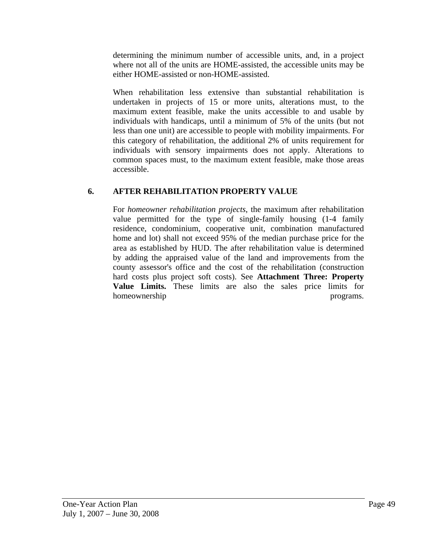determining the minimum number of accessible units, and, in a project where not all of the units are HOME-assisted, the accessible units may be either HOME-assisted or non-HOME-assisted.

When rehabilitation less extensive than substantial rehabilitation is undertaken in projects of 15 or more units, alterations must, to the maximum extent feasible, make the units accessible to and usable by individuals with handicaps, until a minimum of 5% of the units (but not less than one unit) are accessible to people with mobility impairments. For this category of rehabilitation, the additional 2% of units requirement for individuals with sensory impairments does not apply. Alterations to common spaces must, to the maximum extent feasible, make those areas accessible.

# **6. AFTER REHABILITATION PROPERTY VALUE**

For *homeowner rehabilitation projects*, the maximum after rehabilitation value permitted for the type of single-family housing (1-4 family residence, condominium, cooperative unit, combination manufactured home and lot) shall not exceed 95% of the median purchase price for the area as established by HUD. The after rehabilitation value is determined by adding the appraised value of the land and improvements from the county assessor's office and the cost of the rehabilitation (construction hard costs plus project soft costs). See **Attachment Three: Property Value Limits.** These limits are also the sales price limits for homeownership programs.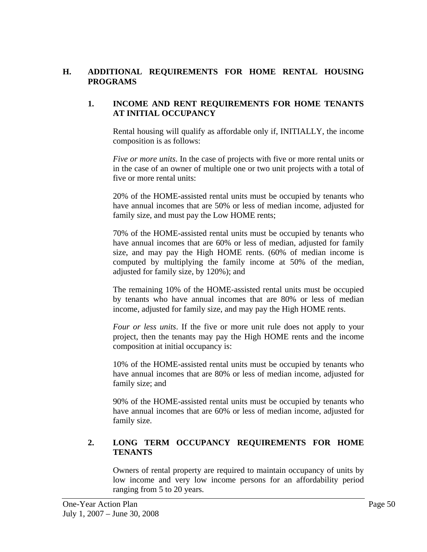#### **H. ADDITIONAL REQUIREMENTS FOR HOME RENTAL HOUSING PROGRAMS**

#### **1. INCOME AND RENT REQUIREMENTS FOR HOME TENANTS AT INITIAL OCCUPANCY**

Rental housing will qualify as affordable only if, INITIALLY, the income composition is as follows:

*Five or more units*. In the case of projects with five or more rental units or in the case of an owner of multiple one or two unit projects with a total of five or more rental units:

20% of the HOME-assisted rental units must be occupied by tenants who have annual incomes that are 50% or less of median income, adjusted for family size, and must pay the Low HOME rents;

70% of the HOME-assisted rental units must be occupied by tenants who have annual incomes that are 60% or less of median, adjusted for family size, and may pay the High HOME rents. (60% of median income is computed by multiplying the family income at 50% of the median, adjusted for family size, by 120%); and

The remaining 10% of the HOME-assisted rental units must be occupied by tenants who have annual incomes that are 80% or less of median income, adjusted for family size, and may pay the High HOME rents.

*Four or less units*. If the five or more unit rule does not apply to your project, then the tenants may pay the High HOME rents and the income composition at initial occupancy is:

10% of the HOME-assisted rental units must be occupied by tenants who have annual incomes that are 80% or less of median income, adjusted for family size; and

90% of the HOME-assisted rental units must be occupied by tenants who have annual incomes that are 60% or less of median income, adjusted for family size.

## **2. LONG TERM OCCUPANCY REQUIREMENTS FOR HOME TENANTS**

Owners of rental property are required to maintain occupancy of units by low income and very low income persons for an affordability period ranging from 5 to 20 years.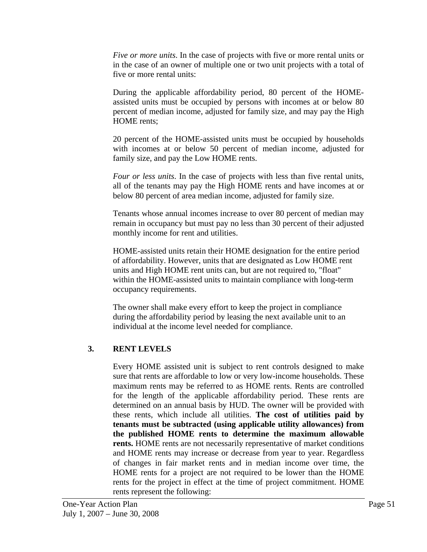*Five or more units*. In the case of projects with five or more rental units or in the case of an owner of multiple one or two unit projects with a total of five or more rental units:

During the applicable affordability period, 80 percent of the HOMEassisted units must be occupied by persons with incomes at or below 80 percent of median income, adjusted for family size, and may pay the High HOME rents;

20 percent of the HOME-assisted units must be occupied by households with incomes at or below 50 percent of median income, adjusted for family size, and pay the Low HOME rents.

*Four or less units*. In the case of projects with less than five rental units, all of the tenants may pay the High HOME rents and have incomes at or below 80 percent of area median income, adjusted for family size.

Tenants whose annual incomes increase to over 80 percent of median may remain in occupancy but must pay no less than 30 percent of their adjusted monthly income for rent and utilities.

HOME-assisted units retain their HOME designation for the entire period of affordability. However, units that are designated as Low HOME rent units and High HOME rent units can, but are not required to, "float" within the HOME-assisted units to maintain compliance with long-term occupancy requirements.

The owner shall make every effort to keep the project in compliance during the affordability period by leasing the next available unit to an individual at the income level needed for compliance.

# **3. RENT LEVELS**

Every HOME assisted unit is subject to rent controls designed to make sure that rents are affordable to low or very low-income households. These maximum rents may be referred to as HOME rents. Rents are controlled for the length of the applicable affordability period. These rents are determined on an annual basis by HUD. The owner will be provided with these rents, which include all utilities. **The cost of utilities paid by tenants must be subtracted (using applicable utility allowances) from the published HOME rents to determine the maximum allowable rents.** HOME rents are not necessarily representative of market conditions and HOME rents may increase or decrease from year to year. Regardless of changes in fair market rents and in median income over time, the HOME rents for a project are not required to be lower than the HOME rents for the project in effect at the time of project commitment. HOME rents represent the following: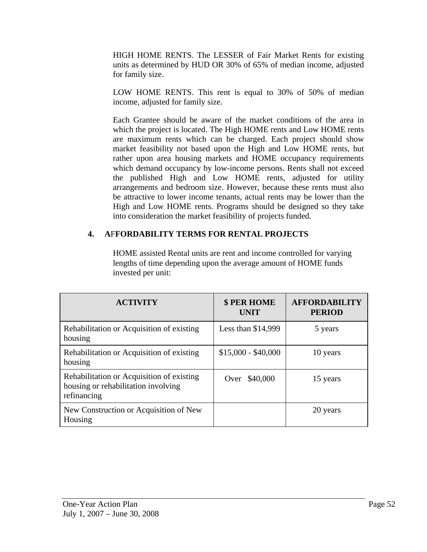HIGH HOME RENTS. The LESSER of Fair Market Rents for existing units as determined by HUD OR 30% of 65% of median income, adjusted for family size.

LOW HOME RENTS. This rent is equal to 30% of 50% of median income, adjusted for family size.

Each Grantee should be aware of the market conditions of the area in which the project is located. The High HOME rents and Low HOME rents are maximum rents which can be charged. Each project should show market feasibility not based upon the High and Low HOME rents, but rather upon area housing markets and HOME occupancy requirements which demand occupancy by low-income persons. Rents shall not exceed the published High and Low HOME rents, adjusted for utility arrangements and bedroom size. However, because these rents must also be attractive to lower income tenants, actual rents may be lower than the High and Low HOME rents. Programs should be designed so they take into consideration the market feasibility of projects funded.

# **4. A**F**FORDABILITY TERMS FOR RENTAL PROJECTS**

 HOME assisted Rental units are rent and income controlled for varying lengths of time depending upon the average amount of HOME funds invested per unit:

| <b>ACTIVITY</b>                                                                                 | <b>\$ PER HOME</b><br><b>UNIT</b> | <b>AFFORDABILITY</b><br><b>PERIOD</b> |
|-------------------------------------------------------------------------------------------------|-----------------------------------|---------------------------------------|
| Rehabilitation or Acquisition of existing<br>housing                                            | Less than $$14,999$               | 5 years                               |
| Rehabilitation or Acquisition of existing<br>housing                                            | $$15,000 - $40,000$               | 10 years                              |
| Rehabilitation or Acquisition of existing<br>housing or rehabilitation involving<br>refinancing | Over \$40,000                     | 15 years                              |
| New Construction or Acquisition of New<br>Housing                                               |                                   | 20 years                              |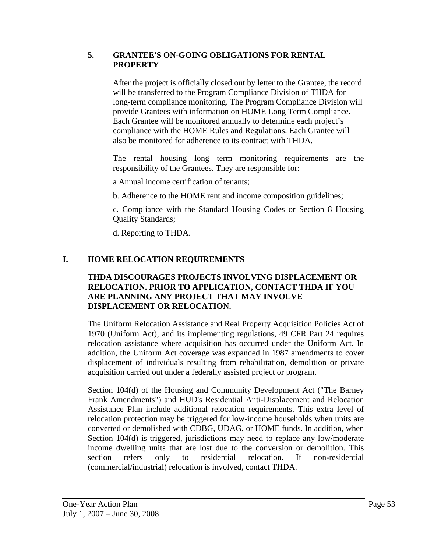#### **5. GRANTEE'S ON-GOING OBLIGATIONS FOR RENTAL PROPERTY**

After the project is officially closed out by letter to the Grantee, the record will be transferred to the Program Compliance Division of THDA for long-term compliance monitoring. The Program Compliance Division will provide Grantees with information on HOME Long Term Compliance. Each Grantee will be monitored annually to determine each project's compliance with the HOME Rules and Regulations. Each Grantee will also be monitored for adherence to its contract with THDA.

The rental housing long term monitoring requirements are the responsibility of the Grantees. They are responsible for:

a Annual income certification of tenants;

b. Adherence to the HOME rent and income composition guidelines;

c. Compliance with the Standard Housing Codes or Section 8 Housing Quality Standards;

d. Reporting to THDA.

# **I. HOME RELOCATION REQUIREMENTS**

#### **THDA DISCOURAGES PROJECTS INVOLVING DISPLACEMENT OR RELOCATION. PRIOR TO APPLICATION, CONTACT THDA IF YOU ARE PLANNING ANY PROJECT THAT MAY INVOLVE DISPLACEMENT OR RELOCATION.**

The Uniform Relocation Assistance and Real Property Acquisition Policies Act of 1970 (Uniform Act), and its implementing regulations, 49 CFR Part 24 requires relocation assistance where acquisition has occurred under the Uniform Act. In addition, the Uniform Act coverage was expanded in 1987 amendments to cover displacement of individuals resulting from rehabilitation, demolition or private acquisition carried out under a federally assisted project or program.

Section 104(d) of the Housing and Community Development Act ("The Barney Frank Amendments") and HUD's Residential Anti-Displacement and Relocation Assistance Plan include additional relocation requirements. This extra level of relocation protection may be triggered for low-income households when units are converted or demolished with CDBG, UDAG, or HOME funds. In addition, when Section 104(d) is triggered, jurisdictions may need to replace any low/moderate income dwelling units that are lost due to the conversion or demolition. This section refers only to residential relocation. If non-residential (commercial/industrial) relocation is involved, contact THDA.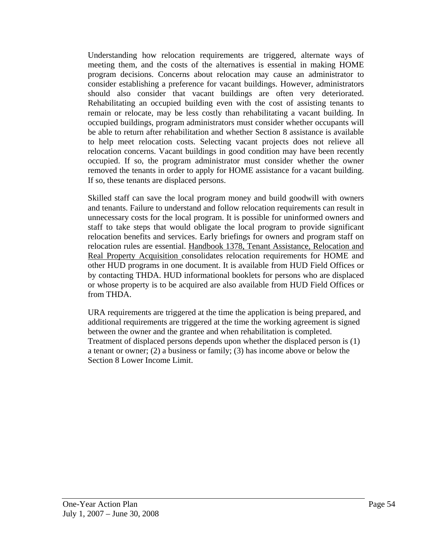Understanding how relocation requirements are triggered, alternate ways of meeting them, and the costs of the alternatives is essential in making HOME program decisions. Concerns about relocation may cause an administrator to consider establishing a preference for vacant buildings. However, administrators should also consider that vacant buildings are often very deteriorated. Rehabilitating an occupied building even with the cost of assisting tenants to remain or relocate, may be less costly than rehabilitating a vacant building. In occupied buildings, program administrators must consider whether occupants will be able to return after rehabilitation and whether Section 8 assistance is available to help meet relocation costs. Selecting vacant projects does not relieve all relocation concerns. Vacant buildings in good condition may have been recently occupied. If so, the program administrator must consider whether the owner removed the tenants in order to apply for HOME assistance for a vacant building. If so, these tenants are displaced persons.

Skilled staff can save the local program money and build goodwill with owners and tenants. Failure to understand and follow relocation requirements can result in unnecessary costs for the local program. It is possible for uninformed owners and staff to take steps that would obligate the local program to provide significant relocation benefits and services. Early briefings for owners and program staff on relocation rules are essential. Handbook 1378, Tenant Assistance, Relocation and Real Property Acquisition consolidates relocation requirements for HOME and other HUD programs in one document. It is available from HUD Field Offices or by contacting THDA. HUD informational booklets for persons who are displaced or whose property is to be acquired are also available from HUD Field Offices or from THDA.

URA requirements are triggered at the time the application is being prepared, and additional requirements are triggered at the time the working agreement is signed between the owner and the grantee and when rehabilitation is completed. Treatment of displaced persons depends upon whether the displaced person is (1) a tenant or owner; (2) a business or family; (3) has income above or below the Section 8 Lower Income Limit.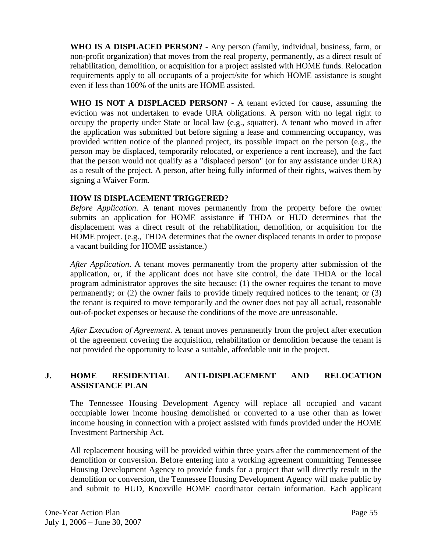**WHO IS A DISPLACED PERSON? -** Any person (family, individual, business, farm, or non-profit organization) that moves from the real property, permanently, as a direct result of rehabilitation, demolition, or acquisition for a project assisted with HOME funds. Relocation requirements apply to all occupants of a project/site for which HOME assistance is sought even if less than 100% of the units are HOME assisted.

**WHO IS NOT A DISPLACED PERSON?** - A tenant evicted for cause, assuming the eviction was not undertaken to evade URA obligations. A person with no legal right to occupy the property under State or local law (e.g., squatter). A tenant who moved in after the application was submitted but before signing a lease and commencing occupancy, was provided written notice of the planned project, its possible impact on the person (e.g., the person may be displaced, temporarily relocated, or experience a rent increase), and the fact that the person would not qualify as a "displaced person" (or for any assistance under URA) as a result of the project. A person, after being fully informed of their rights, waives them by signing a Waiver Form.

#### **HOW IS DISPLACEMENT TRIGGERED?**

*Before Application*. A tenant moves permanently from the property before the owner submits an application for HOME assistance **if** THDA or HUD determines that the displacement was a direct result of the rehabilitation, demolition, or acquisition for the HOME project. (e.g., THDA determines that the owner displaced tenants in order to propose a vacant building for HOME assistance.)

*After Application*. A tenant moves permanently from the property after submission of the application, or, if the applicant does not have site control, the date THDA or the local program administrator approves the site because: (1) the owner requires the tenant to move permanently; or (2) the owner fails to provide timely required notices to the tenant; or (3) the tenant is required to move temporarily and the owner does not pay all actual, reasonable out-of-pocket expenses or because the conditions of the move are unreasonable.

*After Execution of Agreement*. A tenant moves permanently from the project after execution of the agreement covering the acquisition, rehabilitation or demolition because the tenant is not provided the opportunity to lease a suitable, affordable unit in the project.

## **J. HOME RESIDENTIAL ANTI-DISPLACEMENT AND RELOCATION ASSISTANCE PLAN**

The Tennessee Housing Development Agency will replace all occupied and vacant occupiable lower income housing demolished or converted to a use other than as lower income housing in connection with a project assisted with funds provided under the HOME Investment Partnership Act.

All replacement housing will be provided within three years after the commencement of the demolition or conversion. Before entering into a working agreement committing Tennessee Housing Development Agency to provide funds for a project that will directly result in the demolition or conversion, the Tennessee Housing Development Agency will make public by and submit to HUD, Knoxville HOME coordinator certain information. Each applicant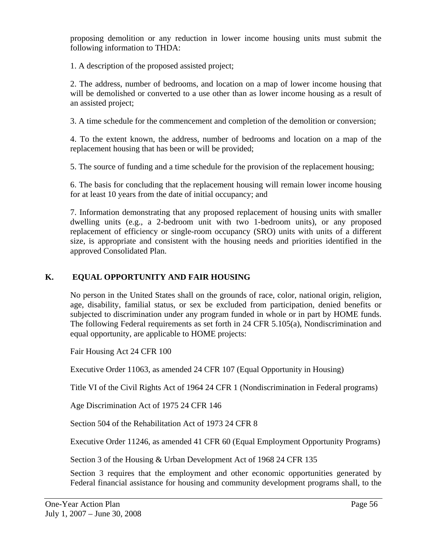proposing demolition or any reduction in lower income housing units must submit the following information to THDA:

1. A description of the proposed assisted project;

2. The address, number of bedrooms, and location on a map of lower income housing that will be demolished or converted to a use other than as lower income housing as a result of an assisted project;

3. A time schedule for the commencement and completion of the demolition or conversion;

4. To the extent known, the address, number of bedrooms and location on a map of the replacement housing that has been or will be provided;

5. The source of funding and a time schedule for the provision of the replacement housing;

6. The basis for concluding that the replacement housing will remain lower income housing for at least 10 years from the date of initial occupancy; and

7. Information demonstrating that any proposed replacement of housing units with smaller dwelling units (e.g., a 2-bedroom unit with two 1-bedroom units), or any proposed replacement of efficiency or single-room occupancy (SRO) units with units of a different size, is appropriate and consistent with the housing needs and priorities identified in the approved Consolidated Plan.

## **K. EQUAL OPPORTUNITY AND FAIR HOUSING**

No person in the United States shall on the grounds of race, color, national origin, religion, age, disability, familial status, or sex be excluded from participation, denied benefits or subjected to discrimination under any program funded in whole or in part by HOME funds. The following Federal requirements as set forth in 24 CFR 5.105(a), Nondiscrimination and equal opportunity, are applicable to HOME projects:

Fair Housing Act 24 CFR 100

Executive Order 11063, as amended 24 CFR 107 (Equal Opportunity in Housing)

Title VI of the Civil Rights Act of 1964 24 CFR 1 (Nondiscrimination in Federal programs)

Age Discrimination Act of 1975 24 CFR 146

Section 504 of the Rehabilitation Act of 1973 24 CFR 8

Executive Order 11246, as amended 41 CFR 60 (Equal Employment Opportunity Programs)

Section 3 of the Housing & Urban Development Act of 1968 24 CFR 135

Section 3 requires that the employment and other economic opportunities generated by Federal financial assistance for housing and community development programs shall, to the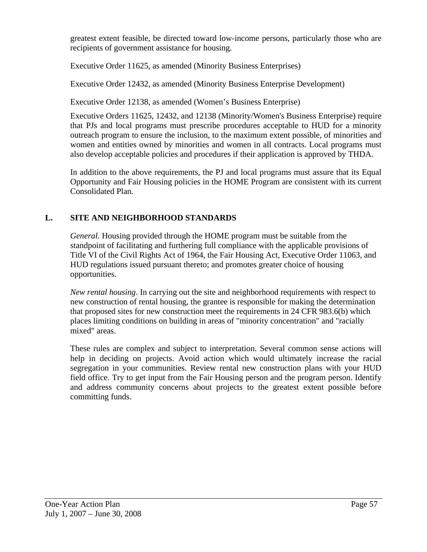greatest extent feasible, be directed toward low-income persons, particularly those who are recipients of government assistance for housing.

Executive Order 11625, as amended (Minority Business Enterprises)

Executive Order 12432, as amended (Minority Business Enterprise Development)

Executive Order 12138, as amended (Women's Business Enterprise)

Executive Orders 11625, 12432, and 12138 (Minority/Women's Business Enterprise) require that PJs and local programs must prescribe procedures acceptable to HUD for a minority outreach program to ensure the inclusion, to the maximum extent possible, of minorities and women and entities owned by minorities and women in all contracts. Local programs must also develop acceptable policies and procedures if their application is approved by THDA.

In addition to the above requirements, the PJ and local programs must assure that its Equal Opportunity and Fair Housing policies in the HOME Program are consistent with its current Consolidated Plan.

# **L. SITE AND NEIGHBORHOOD STANDARDS**

*General*. Housing provided through the HOME program must be suitable from the standpoint of facilitating and furthering full compliance with the applicable provisions of Title VI of the Civil Rights Act of 1964, the Fair Housing Act, Executive Order 11063, and HUD regulations issued pursuant thereto; and promotes greater choice of housing opportunities.

*New rental housing*. In carrying out the site and neighborhood requirements with respect to new construction of rental housing, the grantee is responsible for making the determination that proposed sites for new construction meet the requirements in 24 CFR 983.6(b) which places limiting conditions on building in areas of "minority concentration" and "racially mixed" areas.

These rules are complex and subject to interpretation. Several common sense actions will help in deciding on projects. Avoid action which would ultimately increase the racial segregation in your communities. Review rental new construction plans with your HUD field office. Try to get input from the Fair Housing person and the program person. Identify and address community concerns about projects to the greatest extent possible before committing funds.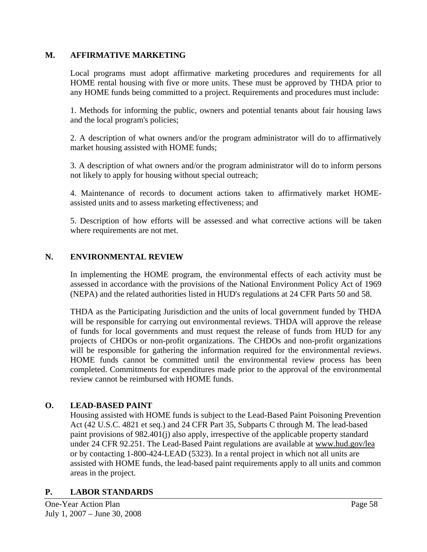#### **M. AFFIRMATIVE MARKETING**

Local programs must adopt affirmative marketing procedures and requirements for all HOME rental housing with five or more units. These must be approved by THDA prior to any HOME funds being committed to a project. Requirements and procedures must include:

1. Methods for informing the public, owners and potential tenants about fair housing laws and the local program's policies;

2. A description of what owners and/or the program administrator will do to affirmatively market housing assisted with HOME funds;

3. A description of what owners and/or the program administrator will do to inform persons not likely to apply for housing without special outreach;

4. Maintenance of records to document actions taken to affirmatively market HOMEassisted units and to assess marketing effectiveness; and

5. Description of how efforts will be assessed and what corrective actions will be taken where requirements are not met.

#### **N. ENVIRONMENTAL REVIEW**

In implementing the HOME program, the environmental effects of each activity must be assessed in accordance with the provisions of the National Environment Policy Act of 1969 (NEPA) and the related authorities listed in HUD's regulations at 24 CFR Parts 50 and 58.

THDA as the Participating Jurisdiction and the units of local government funded by THDA will be responsible for carrying out environmental reviews. THDA will approve the release of funds for local governments and must request the release of funds from HUD for any projects of CHDOs or non-profit organizations. The CHDOs and non-profit organizations will be responsible for gathering the information required for the environmental reviews. HOME funds cannot be committed until the environmental review process has been completed. Commitments for expenditures made prior to the approval of the environmental review cannot be reimbursed with HOME funds.

#### **O. LEAD-BASED PAINT**

Housing assisted with HOME funds is subject to the Lead-Based Paint Poisoning Prevention Act (42 U.S.C. 4821 et seq.) and 24 CFR Part 35, Subparts C through M. The lead-based paint provisions of 982.401(j) also apply, irrespective of the applicable property standard under 24 CFR 92.251. The Lead-Based Paint regulations are available at www.hud.gov/lea or by contacting 1-800-424-LEAD (5323). In a rental project in which not all units are assisted with HOME funds, the lead-based paint requirements apply to all units and common areas in the project.

#### **P. LABOR STANDARDS**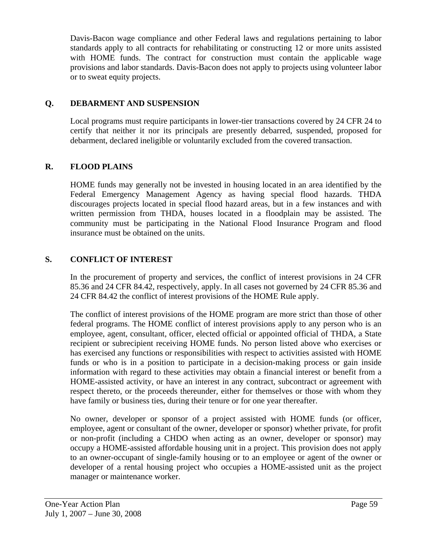Davis-Bacon wage compliance and other Federal laws and regulations pertaining to labor standards apply to all contracts for rehabilitating or constructing 12 or more units assisted with HOME funds. The contract for construction must contain the applicable wage provisions and labor standards. Davis-Bacon does not apply to projects using volunteer labor or to sweat equity projects.

## **Q. DEBARMENT AND SUSPENSION**

Local programs must require participants in lower-tier transactions covered by 24 CFR 24 to certify that neither it nor its principals are presently debarred, suspended, proposed for debarment, declared ineligible or voluntarily excluded from the covered transaction.

## **R. FLOOD PLAINS**

HOME funds may generally not be invested in housing located in an area identified by the Federal Emergency Management Agency as having special flood hazards. THDA discourages projects located in special flood hazard areas, but in a few instances and with written permission from THDA, houses located in a floodplain may be assisted. The community must be participating in the National Flood Insurance Program and flood insurance must be obtained on the units.

## **S. CONFLICT OF INTEREST**

In the procurement of property and services, the conflict of interest provisions in 24 CFR 85.36 and 24 CFR 84.42, respectively, apply. In all cases not governed by 24 CFR 85.36 and 24 CFR 84.42 the conflict of interest provisions of the HOME Rule apply.

The conflict of interest provisions of the HOME program are more strict than those of other federal programs. The HOME conflict of interest provisions apply to any person who is an employee, agent, consultant, officer, elected official or appointed official of THDA, a State recipient or subrecipient receiving HOME funds. No person listed above who exercises or has exercised any functions or responsibilities with respect to activities assisted with HOME funds or who is in a position to participate in a decision-making process or gain inside information with regard to these activities may obtain a financial interest or benefit from a HOME-assisted activity, or have an interest in any contract, subcontract or agreement with respect thereto, or the proceeds thereunder, either for themselves or those with whom they have family or business ties, during their tenure or for one year thereafter.

No owner, developer or sponsor of a project assisted with HOME funds (or officer, employee, agent or consultant of the owner, developer or sponsor) whether private, for profit or non-profit (including a CHDO when acting as an owner, developer or sponsor) may occupy a HOME-assisted affordable housing unit in a project. This provision does not apply to an owner-occupant of single-family housing or to an employee or agent of the owner or developer of a rental housing project who occupies a HOME-assisted unit as the project manager or maintenance worker.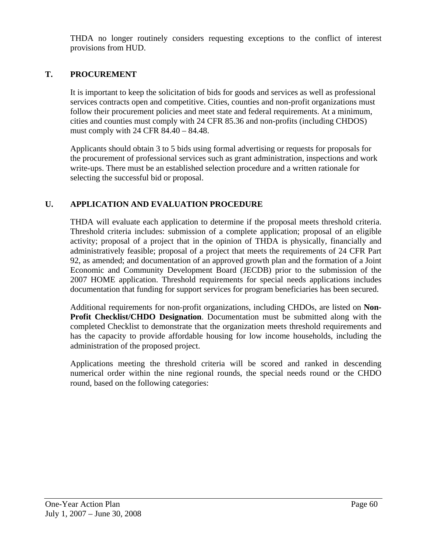THDA no longer routinely considers requesting exceptions to the conflict of interest provisions from HUD.

## **T. PROCUREMENT**

It is important to keep the solicitation of bids for goods and services as well as professional services contracts open and competitive. Cities, counties and non-profit organizations must follow their procurement policies and meet state and federal requirements. At a minimum, cities and counties must comply with 24 CFR 85.36 and non-profits (including CHDOS) must comply with 24 CFR 84.40 – 84.48.

Applicants should obtain 3 to 5 bids using formal advertising or requests for proposals for the procurement of professional services such as grant administration, inspections and work write-ups. There must be an established selection procedure and a written rationale for selecting the successful bid or proposal.

#### **U. APPLICATION AND EVALUATION PROCEDURE**

THDA will evaluate each application to determine if the proposal meets threshold criteria. Threshold criteria includes: submission of a complete application; proposal of an eligible activity; proposal of a project that in the opinion of THDA is physically, financially and administratively feasible; proposal of a project that meets the requirements of 24 CFR Part 92, as amended; and documentation of an approved growth plan and the formation of a Joint Economic and Community Development Board (JECDB) prior to the submission of the 2007 HOME application. Threshold requirements for special needs applications includes documentation that funding for support services for program beneficiaries has been secured.

Additional requirements for non-profit organizations, including CHDOs, are listed on **Non-Profit Checklist/CHDO Designation**. Documentation must be submitted along with the completed Checklist to demonstrate that the organization meets threshold requirements and has the capacity to provide affordable housing for low income households, including the administration of the proposed project.

Applications meeting the threshold criteria will be scored and ranked in descending numerical order within the nine regional rounds, the special needs round or the CHDO round, based on the following categories: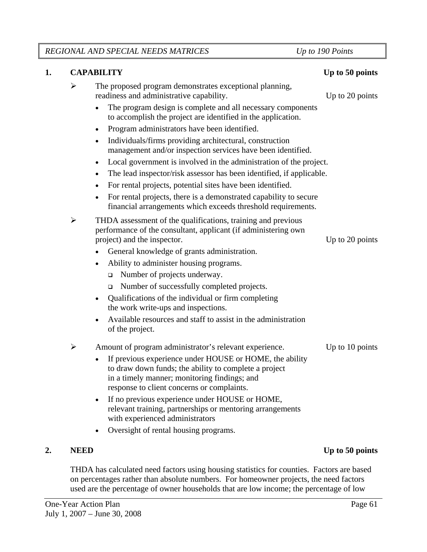*REGIONAL AND SPECIAL NEEDS MATRICES Up to 190 Points* 

#### **1.** CAPABILITY Up to 50 points

 $\triangleright$  The proposed program demonstrates exceptional planning, readiness and administrative capability. Up to 20 points

- The program design is complete and all necessary components to accomplish the project are identified in the application.
- Program administrators have been identified.
- Individuals/firms providing architectural, construction management and/or inspection services have been identified.
- Local government is involved in the administration of the project.
- The lead inspector/risk assessor has been identified, if applicable.
- For rental projects, potential sites have been identified.
- For rental projects, there is a demonstrated capability to secure financial arrangements which exceeds threshold requirements.
- $\triangleright$  THDA assessment of the qualifications, training and previous performance of the consultant, applicant (if administering own project) and the inspector. Up to 20 points
	- General knowledge of grants administration.
	- Ability to administer housing programs.
		- Number of projects underway.
		- Number of successfully completed projects.
	- Qualifications of the individual or firm completing the work write-ups and inspections.
	- Available resources and staff to assist in the administration of the project.

## ¾ Amount of program administrator's relevant experience. Up to 10 points

- If previous experience under HOUSE or HOME, the ability to draw down funds; the ability to complete a project in a timely manner; monitoring findings; and response to client concerns or complaints.
- If no previous experience under HOUSE or HOME, relevant training, partnerships or mentoring arrangements with experienced administrators
- Oversight of rental housing programs.

THDA has calculated need factors using housing statistics for counties. Factors are based on percentages rather than absolute numbers. For homeowner projects, the need factors used are the percentage of owner households that are low income; the percentage of low

# **2.** NEED Up to 50 points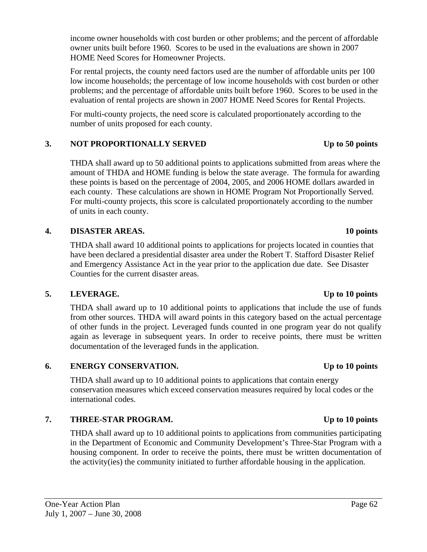income owner households with cost burden or other problems; and the percent of affordable owner units built before 1960. Scores to be used in the evaluations are shown in 2007 HOME Need Scores for Homeowner Projects.

For rental projects, the county need factors used are the number of affordable units per 100 low income households; the percentage of low income households with cost burden or other problems; and the percentage of affordable units built before 1960. Scores to be used in the evaluation of rental projects are shown in 2007 HOME Need Scores for Rental Projects.

For multi-county projects, the need score is calculated proportionately according to the number of units proposed for each county.

# 3. NOT PROPORTIONALLY SERVED Up to 50 points

THDA shall award up to 50 additional points to applications submitted from areas where the amount of THDA and HOME funding is below the state average. The formula for awarding these points is based on the percentage of 2004, 2005, and 2006 HOME dollars awarded in each county. These calculations are shown in HOME Program Not Proportionally Served. For multi-county projects, this score is calculated proportionately according to the number of units in each county.

# **4. DISASTER AREAS. 10 points**

 THDA shall award 10 additional points to applications for projects located in counties that have been declared a presidential disaster area under the Robert T. Stafford Disaster Relief and Emergency Assistance Act in the year prior to the application due date. See Disaster Counties for the current disaster areas.

# **5. LEVERAGE. Up to 10 points**

THDA shall award up to 10 additional points to applications that include the use of funds from other sources. THDA will award points in this category based on the actual percentage of other funds in the project. Leveraged funds counted in one program year do not qualify again as leverage in subsequent years. In order to receive points, there must be written documentation of the leveraged funds in the application.

# **6. ENERGY CONSERVATION. Up to 10 points**

THDA shall award up to 10 additional points to applications that contain energy conservation measures which exceed conservation measures required by local codes or the international codes.

# **7. THREE-STAR PROGRAM. Up to 10 points**

THDA shall award up to 10 additional points to applications from communities participating in the Department of Economic and Community Development's Three-Star Program with a housing component. In order to receive the points, there must be written documentation of the activity(ies) the community initiated to further affordable housing in the application.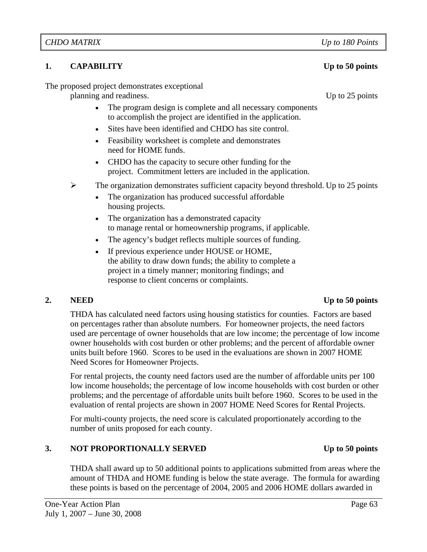## **1.** CAPABILITY Up to 50 points

The proposed project demonstrates exceptional

planning and readiness. Up to 25 points

- The program design is complete and all necessary components to accomplish the project are identified in the application.
- Sites have been identified and CHDO has site control.
- Feasibility worksheet is complete and demonstrates need for HOME funds.
- CHDO has the capacity to secure other funding for the project. Commitment letters are included in the application.
- $\triangleright$  The organization demonstrates sufficient capacity beyond threshold. Up to 25 points
	- The organization has produced successful affordable housing projects.
	- The organization has a demonstrated capacity to manage rental or homeownership programs, if applicable.
	- The agency's budget reflects multiple sources of funding.
	- If previous experience under HOUSE or HOME, the ability to draw down funds; the ability to complete a project in a timely manner; monitoring findings; and response to client concerns or complaints.

## **2.** NEED Up to 50 points

 THDA has calculated need factors using housing statistics for counties. Factors are based on percentages rather than absolute numbers. For homeowner projects, the need factors used are percentage of owner households that are low income; the percentage of low income owner households with cost burden or other problems; and the percent of affordable owner units built before 1960. Scores to be used in the evaluations are shown in 2007 HOME Need Scores for Homeowner Projects.

For rental projects, the county need factors used are the number of affordable units per 100 low income households; the percentage of low income households with cost burden or other problems; and the percentage of affordable units built before 1960. Scores to be used in the evaluation of rental projects are shown in 2007 HOME Need Scores for Rental Projects.

For multi-county projects, the need score is calculated proportionately according to the number of units proposed for each county.

# **3.** NOT PROPORTIONALLY SERVED Up to 50 points

THDA shall award up to 50 additional points to applications submitted from areas where the amount of THDA and HOME funding is below the state average. The formula for awarding these points is based on the percentage of 2004, 2005 and 2006 HOME dollars awarded in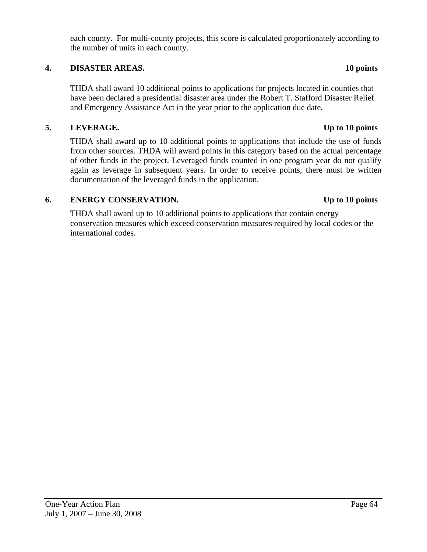each county. For multi-county projects, this score is calculated proportionately according to the number of units in each county.

## **4. DISASTER AREAS. 10 points**

THDA shall award 10 additional points to applications for projects located in counties that have been declared a presidential disaster area under the Robert T. Stafford Disaster Relief and Emergency Assistance Act in the year prior to the application due date.

### **5. LEVERAGE. Up to 10 points**

THDA shall award up to 10 additional points to applications that include the use of funds from other sources. THDA will award points in this category based on the actual percentage of other funds in the project. Leveraged funds counted in one program year do not qualify again as leverage in subsequent years. In order to receive points, there must be written documentation of the leveraged funds in the application.

#### **6. ENERGY CONSERVATION. Up to 10 points**

THDA shall award up to 10 additional points to applications that contain energy conservation measures which exceed conservation measures required by local codes or the international codes.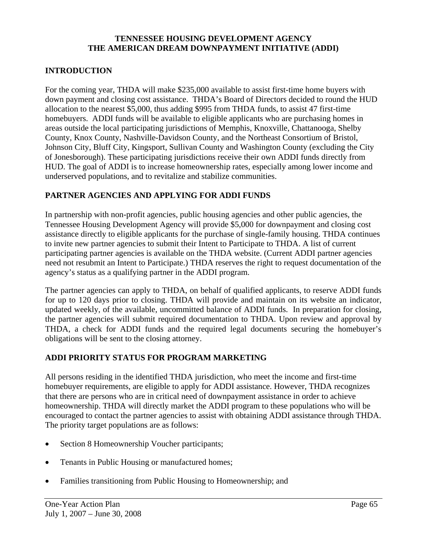#### **TENNESSEE HOUSING DEVELOPMENT AGENCY THE AMERICAN DREAM DOWNPAYMENT INITIATIVE (ADDI)**

### **INTRODUCTION**

For the coming year, THDA will make \$235,000 available to assist first-time home buyers with down payment and closing cost assistance. THDA's Board of Directors decided to round the HUD allocation to the nearest \$5,000, thus adding \$995 from THDA funds, to assist 47 first-time homebuyers. ADDI funds will be available to eligible applicants who are purchasing homes in areas outside the local participating jurisdictions of Memphis, Knoxville, Chattanooga, Shelby County, Knox County, Nashville-Davidson County, and the Northeast Consortium of Bristol, Johnson City, Bluff City, Kingsport, Sullivan County and Washington County (excluding the City of Jonesborough). These participating jurisdictions receive their own ADDI funds directly from HUD. The goal of ADDI is to increase homeownership rates, especially among lower income and underserved populations, and to revitalize and stabilize communities.

#### **PARTNER AGENCIES AND APPLYING FOR ADDI FUNDS**

In partnership with non-profit agencies, public housing agencies and other public agencies, the Tennessee Housing Development Agency will provide \$5,000 for downpayment and closing cost assistance directly to eligible applicants for the purchase of single-family housing. THDA continues to invite new partner agencies to submit their Intent to Participate to THDA. A list of current participating partner agencies is available on the THDA website. (Current ADDI partner agencies need not resubmit an Intent to Participate.) THDA reserves the right to request documentation of the agency's status as a qualifying partner in the ADDI program.

The partner agencies can apply to THDA, on behalf of qualified applicants, to reserve ADDI funds for up to 120 days prior to closing. THDA will provide and maintain on its website an indicator, updated weekly, of the available, uncommitted balance of ADDI funds. In preparation for closing, the partner agencies will submit required documentation to THDA. Upon review and approval by THDA, a check for ADDI funds and the required legal documents securing the homebuyer's obligations will be sent to the closing attorney.

#### **ADDI PRIORITY STATUS FOR PROGRAM MARKETING**

All persons residing in the identified THDA jurisdiction, who meet the income and first-time homebuyer requirements, are eligible to apply for ADDI assistance. However, THDA recognizes that there are persons who are in critical need of downpayment assistance in order to achieve homeownership. THDA will directly market the ADDI program to these populations who will be encouraged to contact the partner agencies to assist with obtaining ADDI assistance through THDA. The priority target populations are as follows:

- Section 8 Homeownership Voucher participants;
- Tenants in Public Housing or manufactured homes;
- Families transitioning from Public Housing to Homeownership; and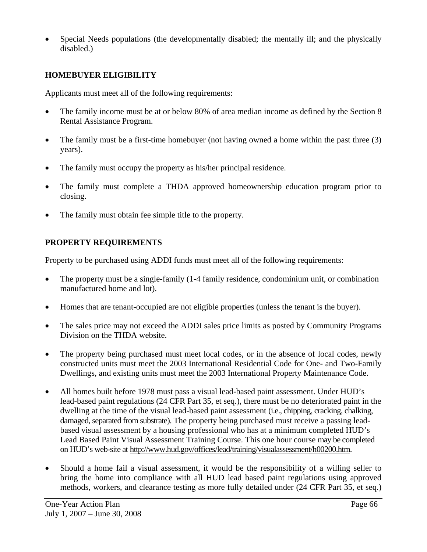• Special Needs populations (the developmentally disabled; the mentally ill; and the physically disabled.)

## **HOMEBUYER ELIGIBILITY**

Applicants must meet all of the following requirements:

- The family income must be at or below 80% of area median income as defined by the Section 8 Rental Assistance Program.
- The family must be a first-time homebuyer (not having owned a home within the past three (3) years).
- The family must occupy the property as his/her principal residence.
- The family must complete a THDA approved homeownership education program prior to closing.
- The family must obtain fee simple title to the property.

# **PROPERTY REQUIREMENTS**

Property to be purchased using ADDI funds must meet all of the following requirements:

- The property must be a single-family (1-4 family residence, condominium unit, or combination manufactured home and lot).
- Homes that are tenant-occupied are not eligible properties (unless the tenant is the buyer).
- The sales price may not exceed the ADDI sales price limits as posted by Community Programs Division on the THDA website.
- The property being purchased must meet local codes, or in the absence of local codes, newly constructed units must meet the 2003 International Residential Code for One- and Two-Family Dwellings, and existing units must meet the 2003 International Property Maintenance Code.
- All homes built before 1978 must pass a visual lead-based paint assessment. Under HUD's lead-based paint regulations (24 CFR Part 35, et seq.), there must be no deteriorated paint in the dwelling at the time of the visual lead-based paint assessment (i.e., chipping, cracking, chalking, damaged, separated from substrate). The property being purchased must receive a passing leadbased visual assessment by a housing professional who has at a minimum completed HUD's Lead Based Paint Visual Assessment Training Course. This one hour course may be completed on HUD's web-site at http://www.hud.gov/offices/lead/training/visualassessment/h00200.htm.
- Should a home fail a visual assessment, it would be the responsibility of a willing seller to bring the home into compliance with all HUD lead based paint regulations using approved methods, workers, and clearance testing as more fully detailed under (24 CFR Part 35, et seq.)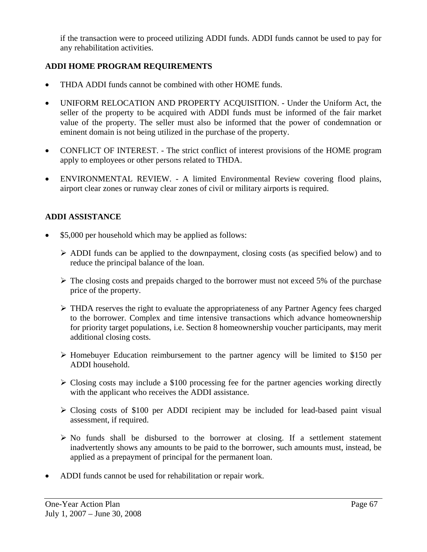if the transaction were to proceed utilizing ADDI funds. ADDI funds cannot be used to pay for any rehabilitation activities.

# **ADDI HOME PROGRAM REQUIREMENTS**

- THDA ADDI funds cannot be combined with other HOME funds.
- UNIFORM RELOCATION AND PROPERTY ACQUISITION. Under the Uniform Act, the seller of the property to be acquired with ADDI funds must be informed of the fair market value of the property. The seller must also be informed that the power of condemnation or eminent domain is not being utilized in the purchase of the property.
- CONFLICT OF INTEREST. The strict conflict of interest provisions of the HOME program apply to employees or other persons related to THDA.
- ENVIRONMENTAL REVIEW. A limited Environmental Review covering flood plains, airport clear zones or runway clear zones of civil or military airports is required.

## **ADDI ASSISTANCE**

- \$5,000 per household which may be applied as follows:
	- ¾ ADDI funds can be applied to the downpayment, closing costs (as specified below) and to reduce the principal balance of the loan.
	- $\triangleright$  The closing costs and prepaids charged to the borrower must not exceed 5% of the purchase price of the property.
	- $\triangleright$  THDA reserves the right to evaluate the appropriateness of any Partner Agency fees charged to the borrower. Complex and time intensive transactions which advance homeownership for priority target populations, i.e. Section 8 homeownership voucher participants, may merit additional closing costs.
	- ¾ Homebuyer Education reimbursement to the partner agency will be limited to \$150 per ADDI household.
	- $\geq$  Closing costs may include a \$100 processing fee for the partner agencies working directly with the applicant who receives the ADDI assistance.
	- $\triangleright$  Closing costs of \$100 per ADDI recipient may be included for lead-based paint visual assessment, if required.
	- $\triangleright$  No funds shall be disbursed to the borrower at closing. If a settlement statement inadvertently shows any amounts to be paid to the borrower, such amounts must, instead, be applied as a prepayment of principal for the permanent loan.
- ADDI funds cannot be used for rehabilitation or repair work.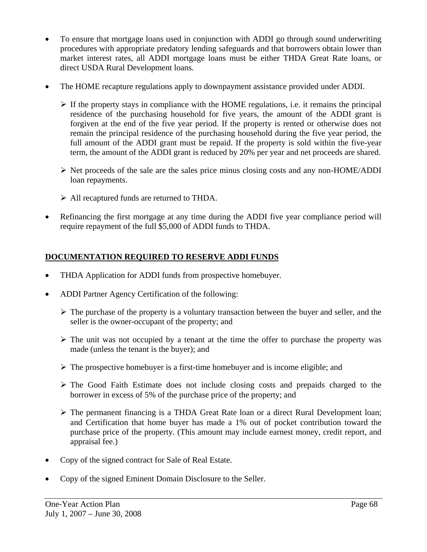- To ensure that mortgage loans used in conjunction with ADDI go through sound underwriting procedures with appropriate predatory lending safeguards and that borrowers obtain lower than market interest rates, all ADDI mortgage loans must be either THDA Great Rate loans, or direct USDA Rural Development loans.
- The HOME recapture regulations apply to downpayment assistance provided under ADDI.
	- $\triangleright$  If the property stays in compliance with the HOME regulations, i.e. it remains the principal residence of the purchasing household for five years, the amount of the ADDI grant is forgiven at the end of the five year period. If the property is rented or otherwise does not remain the principal residence of the purchasing household during the five year period, the full amount of the ADDI grant must be repaid. If the property is sold within the five-year term, the amount of the ADDI grant is reduced by 20% per year and net proceeds are shared.
	- $\triangleright$  Net proceeds of the sale are the sales price minus closing costs and any non-HOME/ADDI loan repayments.
	- $\triangleright$  All recaptured funds are returned to THDA.
- Refinancing the first mortgage at any time during the ADDI five year compliance period will require repayment of the full \$5,000 of ADDI funds to THDA.

# **DOCUMENTATION REQUIRED TO RESERVE ADDI FUNDS**

- THDA Application for ADDI funds from prospective homebuyer.
- ADDI Partner Agency Certification of the following:
	- $\triangleright$  The purchase of the property is a voluntary transaction between the buyer and seller, and the seller is the owner-occupant of the property; and
	- $\triangleright$  The unit was not occupied by a tenant at the time the offer to purchase the property was made (unless the tenant is the buyer); and
	- $\triangleright$  The prospective homebuyer is a first-time homebuyer and is income eligible; and
	- $\triangleright$  The Good Faith Estimate does not include closing costs and prepaids charged to the borrower in excess of 5% of the purchase price of the property; and
	- $\triangleright$  The permanent financing is a THDA Great Rate loan or a direct Rural Development loan; and Certification that home buyer has made a 1% out of pocket contribution toward the purchase price of the property. (This amount may include earnest money, credit report, and appraisal fee.)
- Copy of the signed contract for Sale of Real Estate.
- Copy of the signed Eminent Domain Disclosure to the Seller.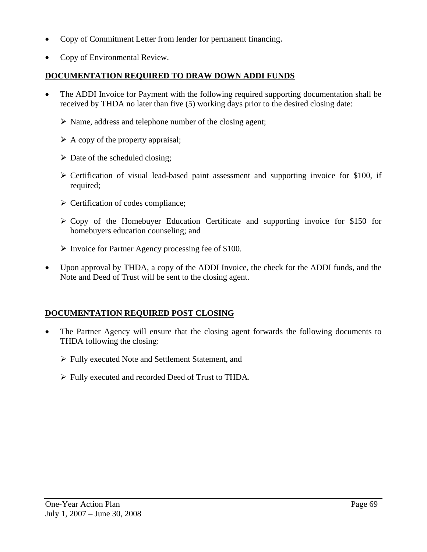- Copy of Commitment Letter from lender for permanent financing.
- Copy of Environmental Review.

### **DOCUMENTATION REQUIRED TO DRAW DOWN ADDI FUNDS**

- The ADDI Invoice for Payment with the following required supporting documentation shall be received by THDA no later than five (5) working days prior to the desired closing date:
	- $\triangleright$  Name, address and telephone number of the closing agent;
	- $\triangleright$  A copy of the property appraisal;
	- $\triangleright$  Date of the scheduled closing;
	- $\triangleright$  Certification of visual lead-based paint assessment and supporting invoice for \$100, if required;
	- $\triangleright$  Certification of codes compliance;
	- $\geq$  Copy of the Homebuyer Education Certificate and supporting invoice for \$150 for homebuyers education counseling; and
	- $\triangleright$  Invoice for Partner Agency processing fee of \$100.
- Upon approval by THDA, a copy of the ADDI Invoice, the check for the ADDI funds, and the Note and Deed of Trust will be sent to the closing agent.

## **DOCUMENTATION REQUIRED POST CLOSING**

- The Partner Agency will ensure that the closing agent forwards the following documents to THDA following the closing:
	- ¾ Fully executed Note and Settlement Statement, and
	- ¾ Fully executed and recorded Deed of Trust to THDA.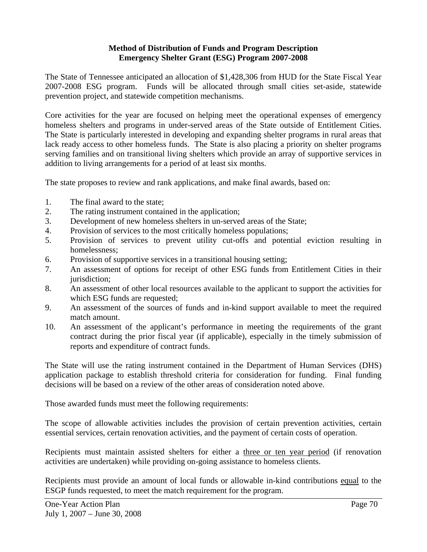#### **Method of Distribution of Funds and Program Description Emergency Shelter Grant (ESG) Program 2007-2008**

The State of Tennessee anticipated an allocation of \$1,428,306 from HUD for the State Fiscal Year 2007-2008 ESG program. Funds will be allocated through small cities set-aside, statewide prevention project, and statewide competition mechanisms.

Core activities for the year are focused on helping meet the operational expenses of emergency homeless shelters and programs in under-served areas of the State outside of Entitlement Cities. The State is particularly interested in developing and expanding shelter programs in rural areas that lack ready access to other homeless funds. The State is also placing a priority on shelter programs serving families and on transitional living shelters which provide an array of supportive services in addition to living arrangements for a period of at least six months.

The state proposes to review and rank applications, and make final awards, based on:

- 1. The final award to the state;
- 2. The rating instrument contained in the application;
- 3. Development of new homeless shelters in un-served areas of the State;
- 4. Provision of services to the most critically homeless populations;
- 5. Provision of services to prevent utility cut-offs and potential eviction resulting in homelessness;
- 6. Provision of supportive services in a transitional housing setting;
- 7. An assessment of options for receipt of other ESG funds from Entitlement Cities in their jurisdiction;
- 8. An assessment of other local resources available to the applicant to support the activities for which ESG funds are requested;
- 9. An assessment of the sources of funds and in-kind support available to meet the required match amount.
- 10. An assessment of the applicant's performance in meeting the requirements of the grant contract during the prior fiscal year (if applicable), especially in the timely submission of reports and expenditure of contract funds.

The State will use the rating instrument contained in the Department of Human Services (DHS) application package to establish threshold criteria for consideration for funding. Final funding decisions will be based on a review of the other areas of consideration noted above.

Those awarded funds must meet the following requirements:

The scope of allowable activities includes the provision of certain prevention activities, certain essential services, certain renovation activities, and the payment of certain costs of operation.

Recipients must maintain assisted shelters for either a three or ten year period (if renovation activities are undertaken) while providing on-going assistance to homeless clients.

Recipients must provide an amount of local funds or allowable in-kind contributions equal to the ESGP funds requested, to meet the match requirement for the program.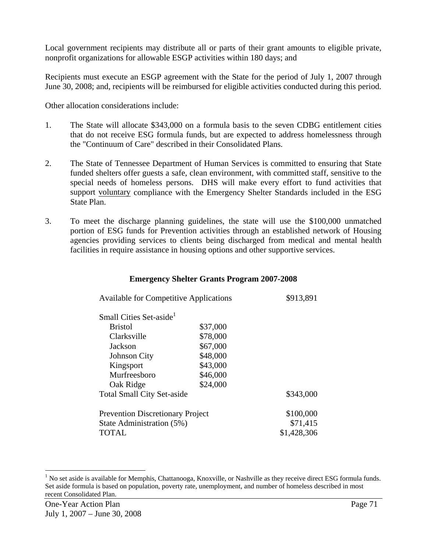Local government recipients may distribute all or parts of their grant amounts to eligible private, nonprofit organizations for allowable ESGP activities within 180 days; and

Recipients must execute an ESGP agreement with the State for the period of July 1, 2007 through June 30, 2008; and, recipients will be reimbursed for eligible activities conducted during this period.

Other allocation considerations include:

- 1. The State will allocate \$343,000 on a formula basis to the seven CDBG entitlement cities that do not receive ESG formula funds, but are expected to address homelessness through the "Continuum of Care" described in their Consolidated Plans.
- 2. The State of Tennessee Department of Human Services is committed to ensuring that State funded shelters offer guests a safe, clean environment, with committed staff, sensitive to the special needs of homeless persons. DHS will make every effort to fund activities that support voluntary compliance with the Emergency Shelter Standards included in the ESG State Plan.
- 3. To meet the discharge planning guidelines, the state will use the \$100,000 unmatched portion of ESG funds for Prevention activities through an established network of Housing agencies providing services to clients being discharged from medical and mental health facilities in require assistance in housing options and other supportive services.

#### **Emergency Shelter Grants Program 2007-2008**

| <b>Available for Competitive Applications</b> |          | \$913,891   |
|-----------------------------------------------|----------|-------------|
| Small Cities Set-aside <sup>1</sup>           |          |             |
| <b>Bristol</b>                                | \$37,000 |             |
| Clarksville                                   | \$78,000 |             |
| Jackson                                       | \$67,000 |             |
| <b>Johnson City</b>                           | \$48,000 |             |
| Kingsport                                     | \$43,000 |             |
| Murfreesboro                                  | \$46,000 |             |
| Oak Ridge                                     | \$24,000 |             |
| <b>Total Small City Set-aside</b>             |          | \$343,000   |
| <b>Prevention Discretionary Project</b>       |          | \$100,000   |
| State Administration (5%)                     |          | \$71,415    |
| TOTAL                                         |          | \$1,428,306 |

l

<sup>&</sup>lt;sup>1</sup> No set aside is available for Memphis, Chattanooga, Knoxville, or Nashville as they receive direct ESG formula funds. Set aside formula is based on population, poverty rate, unemployment, and number of homeless described in most recent Consolidated Plan.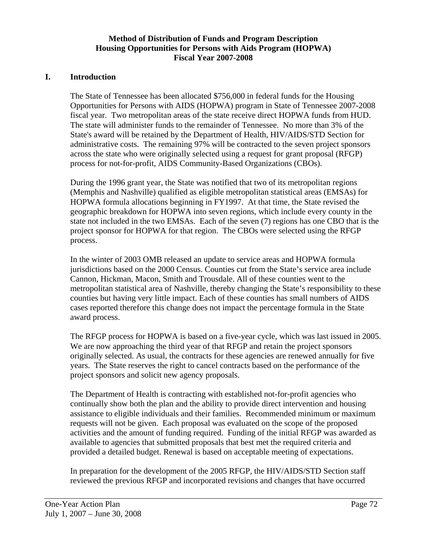## **Method of Distribution of Funds and Program Description Housing Opportunities for Persons with Aids Program (HOPWA) Fiscal Year 2007-2008**

#### **I. Introduction**

The State of Tennessee has been allocated \$756,000 in federal funds for the Housing Opportunities for Persons with AIDS (HOPWA) program in State of Tennessee 2007-2008 fiscal year. Two metropolitan areas of the state receive direct HOPWA funds from HUD. The state will administer funds to the remainder of Tennessee. No more than 3% of the State's award will be retained by the Department of Health, HIV/AIDS/STD Section for administrative costs. The remaining 97% will be contracted to the seven project sponsors across the state who were originally selected using a request for grant proposal (RFGP) process for not-for-profit, AIDS Community-Based Organizations (CBOs).

During the 1996 grant year, the State was notified that two of its metropolitan regions (Memphis and Nashville) qualified as eligible metropolitan statistical areas (EMSAs) for HOPWA formula allocations beginning in FY1997. At that time, the State revised the geographic breakdown for HOPWA into seven regions, which include every county in the state not included in the two EMSAs. Each of the seven (7) regions has one CBO that is the project sponsor for HOPWA for that region. The CBOs were selected using the RFGP process.

In the winter of 2003 OMB released an update to service areas and HOPWA formula jurisdictions based on the 2000 Census. Counties cut from the State's service area include Cannon, Hickman, Macon, Smith and Trousdale. All of these counties went to the metropolitan statistical area of Nashville, thereby changing the State's responsibility to these counties but having very little impact. Each of these counties has small numbers of AIDS cases reported therefore this change does not impact the percentage formula in the State award process.

The RFGP process for HOPWA is based on a five-year cycle, which was last issued in 2005. We are now approaching the third year of that RFGP and retain the project sponsors originally selected. As usual, the contracts for these agencies are renewed annually for five years. The State reserves the right to cancel contracts based on the performance of the project sponsors and solicit new agency proposals.

The Department of Health is contracting with established not-for-profit agencies who continually show both the plan and the ability to provide direct intervention and housing assistance to eligible individuals and their families. Recommended minimum or maximum requests will not be given. Each proposal was evaluated on the scope of the proposed activities and the amount of funding required. Funding of the initial RFGP was awarded as available to agencies that submitted proposals that best met the required criteria and provided a detailed budget. Renewal is based on acceptable meeting of expectations.

In preparation for the development of the 2005 RFGP, the HIV/AIDS/STD Section staff reviewed the previous RFGP and incorporated revisions and changes that have occurred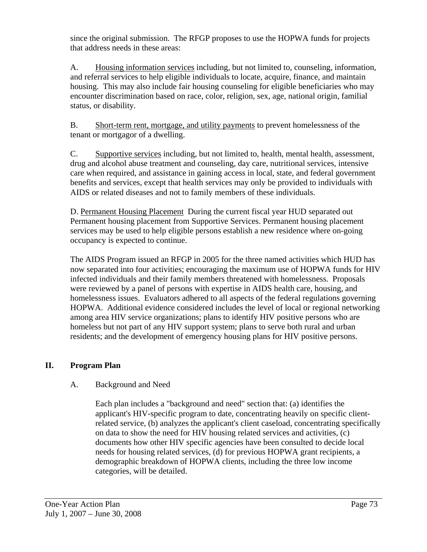since the original submission. The RFGP proposes to use the HOPWA funds for projects that address needs in these areas:

A. Housing information services including, but not limited to, counseling, information, and referral services to help eligible individuals to locate, acquire, finance, and maintain housing. This may also include fair housing counseling for eligible beneficiaries who may encounter discrimination based on race, color, religion, sex, age, national origin, familial status, or disability.

B. Short-term rent, mortgage, and utility payments to prevent homelessness of the tenant or mortgagor of a dwelling.

C. Supportive services including, but not limited to, health, mental health, assessment, drug and alcohol abuse treatment and counseling, day care, nutritional services, intensive care when required, and assistance in gaining access in local, state, and federal government benefits and services, except that health services may only be provided to individuals with AIDS or related diseases and not to family members of these individuals.

D. Permanent Housing Placement During the current fiscal year HUD separated out Permanent housing placement from Supportive Services. Permanent housing placement services may be used to help eligible persons establish a new residence where on-going occupancy is expected to continue.

The AIDS Program issued an RFGP in 2005 for the three named activities which HUD has now separated into four activities; encouraging the maximum use of HOPWA funds for HIV infected individuals and their family members threatened with homelessness. Proposals were reviewed by a panel of persons with expertise in AIDS health care, housing, and homelessness issues. Evaluators adhered to all aspects of the federal regulations governing HOPWA. Additional evidence considered includes the level of local or regional networking among area HIV service organizations; plans to identify HIV positive persons who are homeless but not part of any HIV support system; plans to serve both rural and urban residents; and the development of emergency housing plans for HIV positive persons.

## **II. Program Plan**

## A. Background and Need

Each plan includes a "background and need" section that: (a) identifies the applicant's HIV-specific program to date, concentrating heavily on specific clientrelated service, (b) analyzes the applicant's client caseload, concentrating specifically on data to show the need for HIV housing related services and activities, (c) documents how other HIV specific agencies have been consulted to decide local needs for housing related services, (d) for previous HOPWA grant recipients, a demographic breakdown of HOPWA clients, including the three low income categories, will be detailed.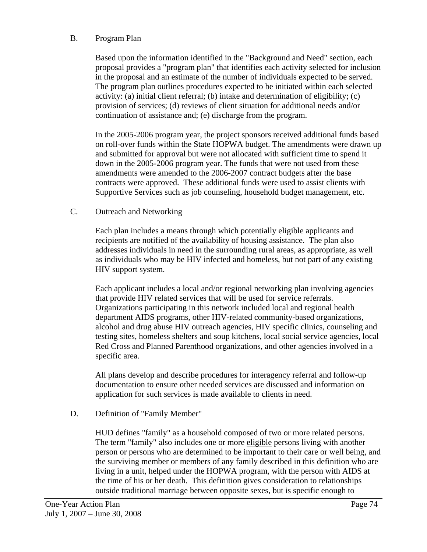#### B. Program Plan

Based upon the information identified in the "Background and Need" section, each proposal provides a "program plan" that identifies each activity selected for inclusion in the proposal and an estimate of the number of individuals expected to be served. The program plan outlines procedures expected to be initiated within each selected activity: (a) initial client referral; (b) intake and determination of eligibility; (c) provision of services; (d) reviews of client situation for additional needs and/or continuation of assistance and; (e) discharge from the program.

In the 2005-2006 program year, the project sponsors received additional funds based on roll-over funds within the State HOPWA budget. The amendments were drawn up and submitted for approval but were not allocated with sufficient time to spend it down in the 2005-2006 program year. The funds that were not used from these amendments were amended to the 2006-2007 contract budgets after the base contracts were approved. These additional funds were used to assist clients with Supportive Services such as job counseling, household budget management, etc.

#### C. Outreach and Networking

Each plan includes a means through which potentially eligible applicants and recipients are notified of the availability of housing assistance. The plan also addresses individuals in need in the surrounding rural areas, as appropriate, as well as individuals who may be HIV infected and homeless, but not part of any existing HIV support system.

Each applicant includes a local and/or regional networking plan involving agencies that provide HIV related services that will be used for service referrals. Organizations participating in this network included local and regional health department AIDS programs, other HIV-related community-based organizations, alcohol and drug abuse HIV outreach agencies, HIV specific clinics, counseling and testing sites, homeless shelters and soup kitchens, local social service agencies, local Red Cross and Planned Parenthood organizations, and other agencies involved in a specific area.

All plans develop and describe procedures for interagency referral and follow-up documentation to ensure other needed services are discussed and information on application for such services is made available to clients in need.

#### D. Definition of "Family Member"

HUD defines "family" as a household composed of two or more related persons. The term "family" also includes one or more eligible persons living with another person or persons who are determined to be important to their care or well being, and the surviving member or members of any family described in this definition who are living in a unit, helped under the HOPWA program, with the person with AIDS at the time of his or her death. This definition gives consideration to relationships outside traditional marriage between opposite sexes, but is specific enough to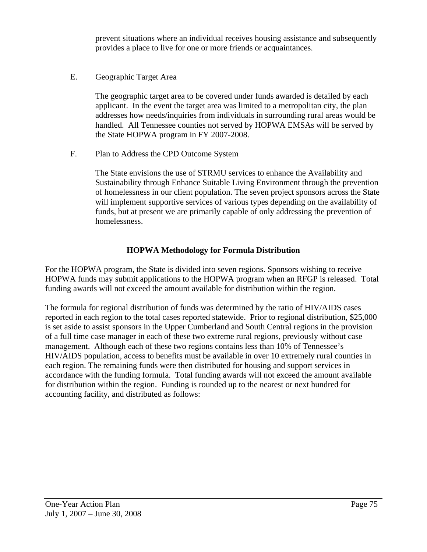prevent situations where an individual receives housing assistance and subsequently provides a place to live for one or more friends or acquaintances.

E. Geographic Target Area

The geographic target area to be covered under funds awarded is detailed by each applicant. In the event the target area was limited to a metropolitan city, the plan addresses how needs/inquiries from individuals in surrounding rural areas would be handled. All Tennessee counties not served by HOPWA EMSAs will be served by the State HOPWA program in FY 2007-2008.

F. Plan to Address the CPD Outcome System

The State envisions the use of STRMU services to enhance the Availability and Sustainability through Enhance Suitable Living Environment through the prevention of homelessness in our client population. The seven project sponsors across the State will implement supportive services of various types depending on the availability of funds, but at present we are primarily capable of only addressing the prevention of homelessness.

## **HOPWA Methodology for Formula Distribution**

For the HOPWA program, the State is divided into seven regions. Sponsors wishing to receive HOPWA funds may submit applications to the HOPWA program when an RFGP is released. Total funding awards will not exceed the amount available for distribution within the region.

The formula for regional distribution of funds was determined by the ratio of HIV/AIDS cases reported in each region to the total cases reported statewide. Prior to regional distribution, \$25,000 is set aside to assist sponsors in the Upper Cumberland and South Central regions in the provision of a full time case manager in each of these two extreme rural regions, previously without case management. Although each of these two regions contains less than 10% of Tennessee's HIV/AIDS population, access to benefits must be available in over 10 extremely rural counties in each region. The remaining funds were then distributed for housing and support services in accordance with the funding formula. Total funding awards will not exceed the amount available for distribution within the region. Funding is rounded up to the nearest or next hundred for accounting facility, and distributed as follows: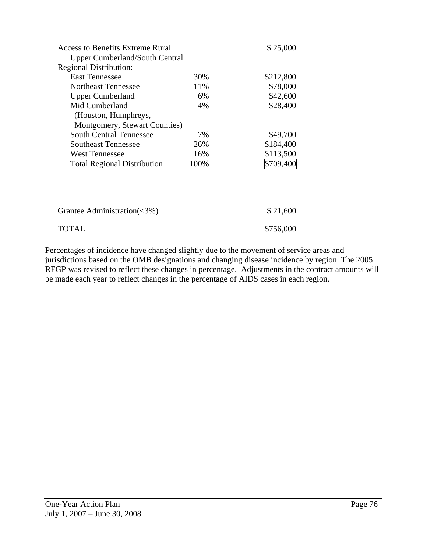| <b>Access to Benefits Extreme Rural</b> |      | \$25,000  |
|-----------------------------------------|------|-----------|
| <b>Upper Cumberland/South Central</b>   |      |           |
| <b>Regional Distribution:</b>           |      |           |
| <b>East Tennessee</b>                   | 30%  | \$212,800 |
| Northeast Tennessee                     | 11%  | \$78,000  |
| <b>Upper Cumberland</b>                 | 6%   | \$42,600  |
| Mid Cumberland                          | 4%   | \$28,400  |
| (Houston, Humphreys,                    |      |           |
| Montgomery, Stewart Counties)           |      |           |
| South Central Tennessee                 | 7%   | \$49,700  |
| Southeast Tennessee                     | 26%  | \$184,400 |
| <b>West Tennessee</b>                   | 16%  | \$113,500 |
| <b>Total Regional Distribution</b>      | 100% | \$709,400 |
|                                         |      |           |
|                                         |      |           |
|                                         |      |           |
|                                         |      |           |

| Grantee Administration( $\langle 3\% \rangle$ ) | \$21,600  |  |
|-------------------------------------------------|-----------|--|
| <b>TOTAL</b>                                    | \$756,000 |  |

Percentages of incidence have changed slightly due to the movement of service areas and jurisdictions based on the OMB designations and changing disease incidence by region. The 2005 RFGP was revised to reflect these changes in percentage. Adjustments in the contract amounts will be made each year to reflect changes in the percentage of AIDS cases in each region.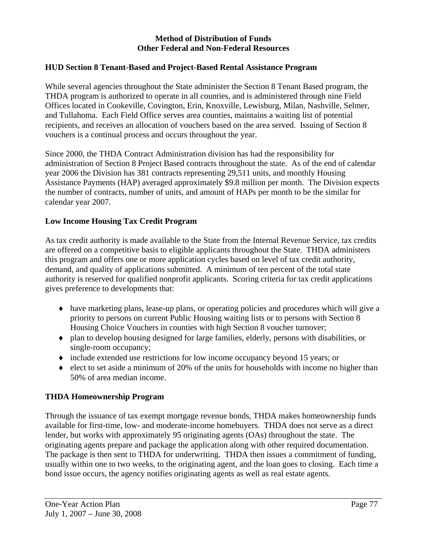#### **Method of Distribution of Funds Other Federal and Non-Federal Resources**

#### **HUD Section 8 Tenant-Based and Project-Based Rental Assistance Program**

While several agencies throughout the State administer the Section 8 Tenant Based program, the THDA program is authorized to operate in all counties, and is administered through nine Field Offices located in Cookeville, Covington, Erin, Knoxville, Lewisburg, Milan, Nashville, Selmer, and Tullahoma. Each Field Office serves area counties, maintains a waiting list of potential recipients, and receives an allocation of vouchers based on the area served. Issuing of Section 8 vouchers is a continual process and occurs throughout the year.

Since 2000, the THDA Contract Administration division has had the responsibility for administration of Section 8 Project Based contracts throughout the state. As of the end of calendar year 2006 the Division has 381 contracts representing 29,511 units, and monthly Housing Assistance Payments (HAP) averaged approximately \$9.8 million per month. The Division expects the number of contracts, number of units, and amount of HAPs per month to be the similar for calendar year 2007.

## **Low Income Housing Tax Credit Program**

As tax credit authority is made available to the State from the Internal Revenue Service, tax credits are offered on a competitive basis to eligible applicants throughout the State. THDA administers this program and offers one or more application cycles based on level of tax credit authority, demand, and quality of applications submitted. A minimum of ten percent of the total state authority is reserved for qualified nonprofit applicants. Scoring criteria for tax credit applications gives preference to developments that:

- ♦ have marketing plans, lease-up plans, or operating policies and procedures which will give a priority to persons on current Public Housing waiting lists or to persons with Section 8 Housing Choice Vouchers in counties with high Section 8 voucher turnover;
- ♦ plan to develop housing designed for large families, elderly, persons with disabilities, or single-room occupancy;
- ♦ include extended use restrictions for low income occupancy beyond 15 years; or
- ♦ elect to set aside a minimum of 20% of the units for households with income no higher than 50% of area median income.

## **THDA Homeownership Program**

Through the issuance of tax exempt mortgage revenue bonds, THDA makes homeownership funds available for first-time, low- and moderate-income homebuyers. THDA does not serve as a direct lender, but works with approximately 95 originating agents (OAs) throughout the state. The originating agents prepare and package the application along with other required documentation. The package is then sent to THDA for underwriting. THDA then issues a commitment of funding, usually within one to two weeks, to the originating agent, and the loan goes to closing. Each time a bond issue occurs, the agency notifies originating agents as well as real estate agents.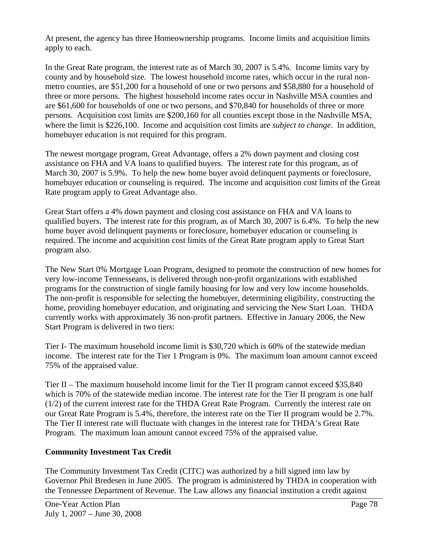At present, the agency has three Homeownership programs. Income limits and acquisition limits apply to each.

In the Great Rate program, the interest rate as of March 30, 2007 is 5.4%. Income limits vary by county and by household size. The lowest household income rates, which occur in the rural nonmetro counties, are \$51,200 for a household of one or two persons and \$58,880 for a household of three or more persons. The highest household income rates occur in Nashville MSA counties and are \$61,600 for households of one or two persons, and \$70,840 for households of three or more persons. Acquisition cost limits are \$200,160 for all counties except those in the Nashville MSA, where the limit is \$226,100. Income and acquisition cost limits are *subject to change*. In addition, homebuyer education is not required for this program.

The newest mortgage program, Great Advantage, offers a 2% down payment and closing cost assistance on FHA and VA loans to qualified buyers. The interest rate for this program, as of March 30, 2007 is 5.9%. To help the new home buyer avoid delinquent payments or foreclosure, homebuyer education or counseling is required. The income and acquisition cost limits of the Great Rate program apply to Great Advantage also.

Great Start offers a 4% down payment and closing cost assistance on FHA and VA loans to qualified buyers. The interest rate for this program, as of March 30, 2007 is 6.4%. To help the new home buyer avoid delinquent payments or foreclosure, homebuyer education or counseling is required. The income and acquisition cost limits of the Great Rate program apply to Great Start program also.

The New Start 0% Mortgage Loan Program, designed to promote the construction of new homes for very low-income Tennesseans, is delivered through non-profit organizations with established programs for the construction of single family housing for low and very low income households. The non-profit is responsible for selecting the homebuyer, determining eligibility, constructing the home, providing homebuyer education, and originating and servicing the New Start Loan. THDA currently works with approximately 36 non-profit partners. Effective in January 2006, the New Start Program is delivered in two tiers:

Tier I- The maximum household income limit is \$30,720 which is 60% of the statewide median income. The interest rate for the Tier 1 Program is 0%. The maximum loan amount cannot exceed 75% of the appraised value.

Tier II – The maximum household income limit for the Tier II program cannot exceed \$35,840 which is 70% of the statewide median income. The interest rate for the Tier II program is one half (1/2) of the current interest rate for the THDA Great Rate Program. Currently the interest rate on our Great Rate Program is 5.4%, therefore, the interest rate on the Tier II program would be 2.7%. The Tier II interest rate will fluctuate with changes in the interest rate for THDA's Great Rate Program. The maximum loan amount cannot exceed 75% of the appraised value.

## **Community Investment Tax Credit**

The Community Investment Tax Credit (CITC) was authorized by a bill signed into law by Governor Phil Bredesen in June 2005. The program is administered by THDA in cooperation with the Tennessee Department of Revenue. The Law allows any financial institution a credit against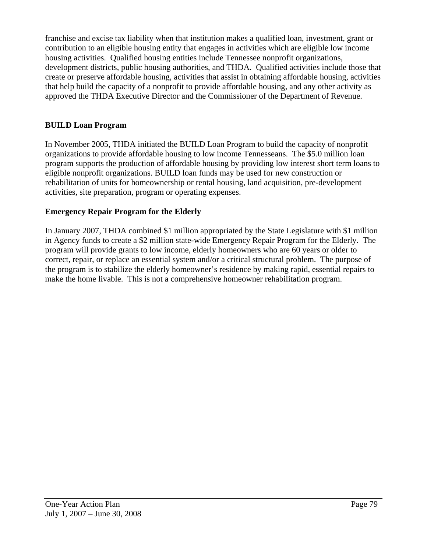franchise and excise tax liability when that institution makes a qualified loan, investment, grant or contribution to an eligible housing entity that engages in activities which are eligible low income housing activities. Qualified housing entities include Tennessee nonprofit organizations, development districts, public housing authorities, and THDA. Qualified activities include those that create or preserve affordable housing, activities that assist in obtaining affordable housing, activities that help build the capacity of a nonprofit to provide affordable housing, and any other activity as approved the THDA Executive Director and the Commissioner of the Department of Revenue.

## **BUILD Loan Program**

In November 2005, THDA initiated the BUILD Loan Program to build the capacity of nonprofit organizations to provide affordable housing to low income Tennesseans. The \$5.0 million loan program supports the production of affordable housing by providing low interest short term loans to eligible nonprofit organizations. BUILD loan funds may be used for new construction or rehabilitation of units for homeownership or rental housing, land acquisition, pre-development activities, site preparation, program or operating expenses.

## **Emergency Repair Program for the Elderly**

In January 2007, THDA combined \$1 million appropriated by the State Legislature with \$1 million in Agency funds to create a \$2 million state-wide Emergency Repair Program for the Elderly. The program will provide grants to low income, elderly homeowners who are 60 years or older to correct, repair, or replace an essential system and/or a critical structural problem. The purpose of the program is to stabilize the elderly homeowner's residence by making rapid, essential repairs to make the home livable. This is not a comprehensive homeowner rehabilitation program.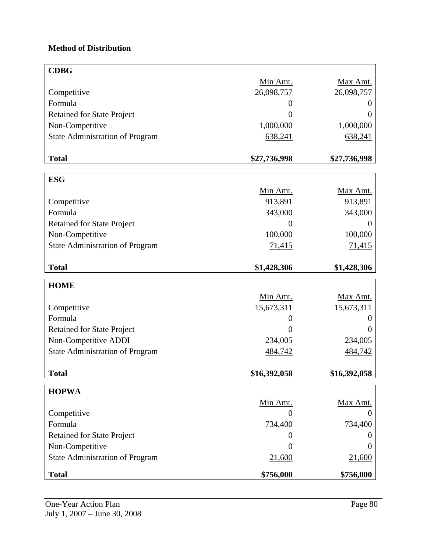# **Method of Distribution**

| <b>CDBG</b>                            |                |                |
|----------------------------------------|----------------|----------------|
|                                        | Min Amt.       | Max Amt.       |
| Competitive                            | 26,098,757     | 26,098,757     |
| Formula                                | $\overline{0}$ | $\theta$       |
| <b>Retained for State Project</b>      | $\overline{0}$ | ()             |
| Non-Competitive                        | 1,000,000      | 1,000,000      |
| <b>State Administration of Program</b> | 638,241        | 638,241        |
|                                        |                |                |
| <b>Total</b>                           | \$27,736,998   | \$27,736,998   |
|                                        |                |                |
| <b>ESG</b>                             |                |                |
|                                        | Min Amt.       | Max Amt.       |
| Competitive                            | 913,891        | 913,891        |
| Formula                                | 343,000        | 343,000        |
| <b>Retained for State Project</b>      | $\overline{0}$ | $\overline{0}$ |
| Non-Competitive                        | 100,000        | 100,000        |
| <b>State Administration of Program</b> | 71,415         | 71,415         |
|                                        |                |                |
| <b>Total</b>                           | \$1,428,306    | \$1,428,306    |
| <b>HOME</b>                            |                |                |
|                                        | Min Amt.       | Max Amt.       |
| Competitive                            | 15,673,311     | 15,673,311     |
| Formula                                | 0              | O              |
| <b>Retained for State Project</b>      | $\overline{0}$ | $\Omega$       |
| Non-Competitive ADDI                   | 234,005        | 234,005        |
| <b>State Administration of Program</b> | 484,742        | 484,742        |
|                                        |                |                |
| <b>Total</b>                           | \$16,392,058   | \$16,392,058   |
|                                        |                |                |
| <b>HOPWA</b>                           |                |                |
|                                        | Min Amt.       | Max Amt.       |
| Competitive                            | 0              | 0              |
| Formula                                | 734,400        | 734,400        |
| <b>Retained for State Project</b>      | $\overline{0}$ | O              |
| Non-Competitive                        | $\overline{0}$ | $\theta$       |
| <b>State Administration of Program</b> | 21,600         | 21,600         |
| <b>Total</b>                           | \$756,000      | \$756,000      |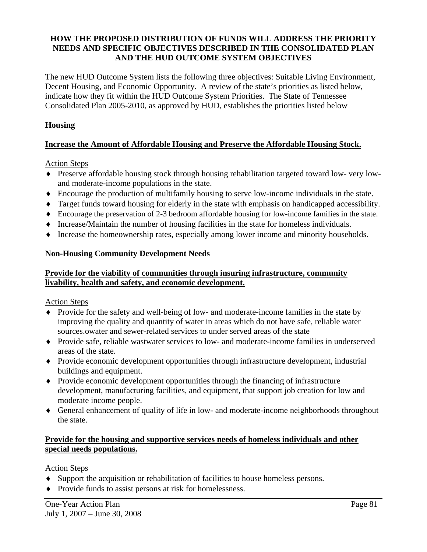## **HOW THE PROPOSED DISTRIBUTION OF FUNDS WILL ADDRESS THE PRIORITY NEEDS AND SPECIFIC OBJECTIVES DESCRIBED IN THE CONSOLIDATED PLAN AND THE HUD OUTCOME SYSTEM OBJECTIVES**

The new HUD Outcome System lists the following three objectives: Suitable Living Environment, Decent Housing, and Economic Opportunity. A review of the state's priorities as listed below, indicate how they fit within the HUD Outcome System Priorities. The State of Tennessee Consolidated Plan 2005-2010, as approved by HUD, establishes the priorities listed below

## **Housing**

## **Increase the Amount of Affordable Housing and Preserve the Affordable Housing Stock.**

Action Steps

- ♦ Preserve affordable housing stock through housing rehabilitation targeted toward low- very lowand moderate-income populations in the state.
- ♦ Encourage the production of multifamily housing to serve low-income individuals in the state.
- ♦ Target funds toward housing for elderly in the state with emphasis on handicapped accessibility.
- ♦ Encourage the preservation of 2-3 bedroom affordable housing for low-income families in the state.
- ♦ Increase/Maintain the number of housing facilities in the state for homeless individuals.
- ♦ Increase the homeownership rates, especially among lower income and minority households.

#### **Non-Housing Community Development Needs**

## **Provide for the viability of communities through insuring infrastructure, community livability, health and safety, and economic development.**

Action Steps

- ♦ Provide for the safety and well-being of low- and moderate-income families in the state by improving the quality and quantity of water in areas which do not have safe, reliable water sources.owater and sewer-related services to under served areas of the state
- ♦ Provide safe, reliable wastwater services to low- and moderate-income families in underserved areas of the state.
- ♦ Provide economic development opportunities through infrastructure development, industrial buildings and equipment.
- ♦ Provide economic development opportunities through the financing of infrastructure development, manufacturing facilities, and equipment, that support job creation for low and moderate income people.
- ♦ General enhancement of quality of life in low- and moderate-income neighborhoods throughout the state.

#### **Provide for the housing and supportive services needs of homeless individuals and other special needs populations.**

Action Steps

- ♦ Support the acquisition or rehabilitation of facilities to house homeless persons.
- ♦ Provide funds to assist persons at risk for homelessness.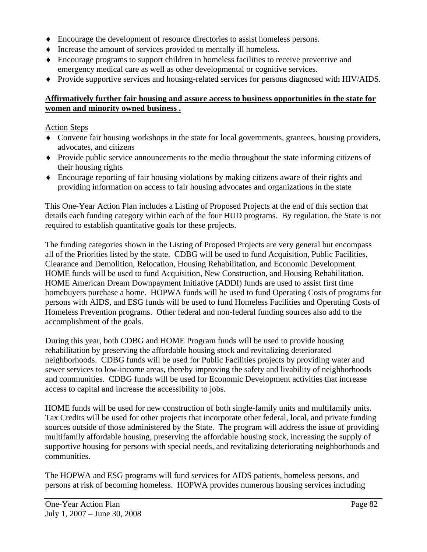- ♦ Encourage the development of resource directories to assist homeless persons.
- ♦ Increase the amount of services provided to mentally ill homeless.
- ♦ Encourage programs to support children in homeless facilities to receive preventive and emergency medical care as well as other developmental or cognitive services.
- ♦ Provide supportive services and housing-related services for persons diagnosed with HIV/AIDS.

#### **Affirmatively further fair housing and assure access to business opportunities in the state for women and minority owned business .**

#### Action Steps

- ♦ Convene fair housing workshops in the state for local governments, grantees, housing providers, advocates, and citizens
- ♦ Provide public service announcements to the media throughout the state informing citizens of their housing rights
- ♦ Encourage reporting of fair housing violations by making citizens aware of their rights and providing information on access to fair housing advocates and organizations in the state

This One-Year Action Plan includes a Listing of Proposed Projects at the end of this section that details each funding category within each of the four HUD programs. By regulation, the State is not required to establish quantitative goals for these projects.

The funding categories shown in the Listing of Proposed Projects are very general but encompass all of the Priorities listed by the state. CDBG will be used to fund Acquisition, Public Facilities, Clearance and Demolition, Relocation, Housing Rehabilitation, and Economic Development. HOME funds will be used to fund Acquisition, New Construction, and Housing Rehabilitation. HOME American Dream Downpayment Initiative (ADDI) funds are used to assist first time homebuyers purchase a home. HOPWA funds will be used to fund Operating Costs of programs for persons with AIDS, and ESG funds will be used to fund Homeless Facilities and Operating Costs of Homeless Prevention programs. Other federal and non-federal funding sources also add to the accomplishment of the goals.

During this year, both CDBG and HOME Program funds will be used to provide housing rehabilitation by preserving the affordable housing stock and revitalizing deteriorated neighborhoods. CDBG funds will be used for Public Facilities projects by providing water and sewer services to low-income areas, thereby improving the safety and livability of neighborhoods and communities. CDBG funds will be used for Economic Development activities that increase access to capital and increase the accessibility to jobs.

HOME funds will be used for new construction of both single-family units and multifamily units. Tax Credits will be used for other projects that incorporate other federal, local, and private funding sources outside of those administered by the State. The program will address the issue of providing multifamily affordable housing, preserving the affordable housing stock, increasing the supply of supportive housing for persons with special needs, and revitalizing deteriorating neighborhoods and communities.

The HOPWA and ESG programs will fund services for AIDS patients, homeless persons, and persons at risk of becoming homeless. HOPWA provides numerous housing services including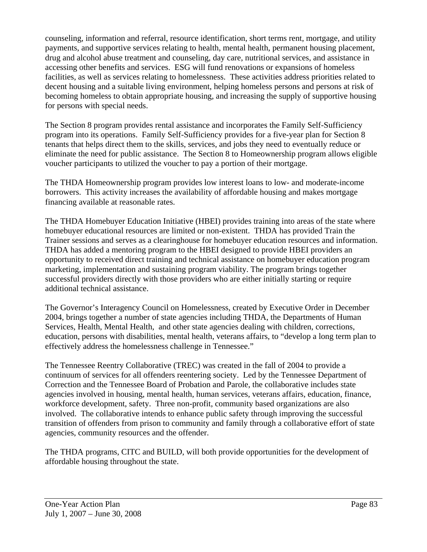counseling, information and referral, resource identification, short terms rent, mortgage, and utility payments, and supportive services relating to health, mental health, permanent housing placement, drug and alcohol abuse treatment and counseling, day care, nutritional services, and assistance in accessing other benefits and services. ESG will fund renovations or expansions of homeless facilities, as well as services relating to homelessness. These activities address priorities related to decent housing and a suitable living environment, helping homeless persons and persons at risk of becoming homeless to obtain appropriate housing, and increasing the supply of supportive housing for persons with special needs.

The Section 8 program provides rental assistance and incorporates the Family Self-Sufficiency program into its operations. Family Self-Sufficiency provides for a five-year plan for Section 8 tenants that helps direct them to the skills, services, and jobs they need to eventually reduce or eliminate the need for public assistance. The Section 8 to Homeownership program allows eligible voucher participants to utilized the voucher to pay a portion of their mortgage.

The THDA Homeownership program provides low interest loans to low- and moderate-income borrowers. This activity increases the availability of affordable housing and makes mortgage financing available at reasonable rates.

The THDA Homebuyer Education Initiative (HBEI) provides training into areas of the state where homebuyer educational resources are limited or non-existent. THDA has provided Train the Trainer sessions and serves as a clearinghouse for homebuyer education resources and information. THDA has added a mentoring program to the HBEI designed to provide HBEI providers an opportunity to received direct training and technical assistance on homebuyer education program marketing, implementation and sustaining program viability. The program brings together successful providers directly with those providers who are either initially starting or require additional technical assistance.

The Governor's Interagency Council on Homelessness, created by Executive Order in December 2004, brings together a number of state agencies including THDA, the Departments of Human Services, Health, Mental Health, and other state agencies dealing with children, corrections, education, persons with disabilities, mental health, veterans affairs, to "develop a long term plan to effectively address the homelessness challenge in Tennessee."

The Tennessee Reentry Collaborative (TREC) was created in the fall of 2004 to provide a continuum of services for all offenders reentering society. Led by the Tennessee Department of Correction and the Tennessee Board of Probation and Parole, the collaborative includes state agencies involved in housing, mental health, human services, veterans affairs, education, finance, workforce development, safety. Three non-profit, community based organizations are also involved. The collaborative intends to enhance public safety through improving the successful transition of offenders from prison to community and family through a collaborative effort of state agencies, community resources and the offender.

The THDA programs, CITC and BUILD, will both provide opportunities for the development of affordable housing throughout the state.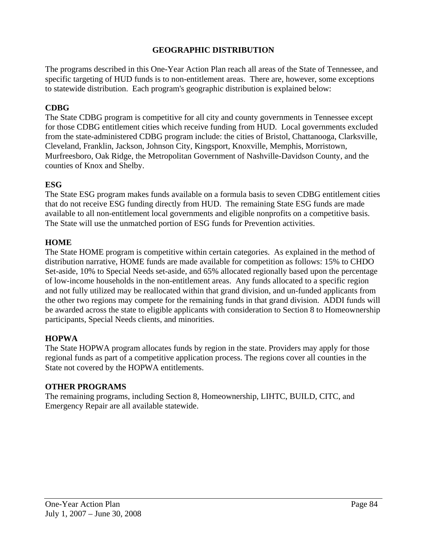## **GEOGRAPHIC DISTRIBUTION**

The programs described in this One-Year Action Plan reach all areas of the State of Tennessee, and specific targeting of HUD funds is to non-entitlement areas. There are, however, some exceptions to statewide distribution. Each program's geographic distribution is explained below:

## **CDBG**

The State CDBG program is competitive for all city and county governments in Tennessee except for those CDBG entitlement cities which receive funding from HUD. Local governments excluded from the state-administered CDBG program include: the cities of Bristol, Chattanooga, Clarksville, Cleveland, Franklin, Jackson, Johnson City, Kingsport, Knoxville, Memphis, Morristown, Murfreesboro, Oak Ridge, the Metropolitan Government of Nashville-Davidson County, and the counties of Knox and Shelby.

#### **ESG**

The State ESG program makes funds available on a formula basis to seven CDBG entitlement cities that do not receive ESG funding directly from HUD. The remaining State ESG funds are made available to all non-entitlement local governments and eligible nonprofits on a competitive basis. The State will use the unmatched portion of ESG funds for Prevention activities.

#### **HOME**

The State HOME program is competitive within certain categories. As explained in the method of distribution narrative, HOME funds are made available for competition as follows: 15% to CHDO Set-aside, 10% to Special Needs set-aside, and 65% allocated regionally based upon the percentage of low-income households in the non-entitlement areas. Any funds allocated to a specific region and not fully utilized may be reallocated within that grand division, and un-funded applicants from the other two regions may compete for the remaining funds in that grand division. ADDI funds will be awarded across the state to eligible applicants with consideration to Section 8 to Homeownership participants, Special Needs clients, and minorities.

#### **HOPWA**

The State HOPWA program allocates funds by region in the state. Providers may apply for those regional funds as part of a competitive application process. The regions cover all counties in the State not covered by the HOPWA entitlements.

#### **OTHER PROGRAMS**

The remaining programs, including Section 8, Homeownership, LIHTC, BUILD, CITC, and Emergency Repair are all available statewide.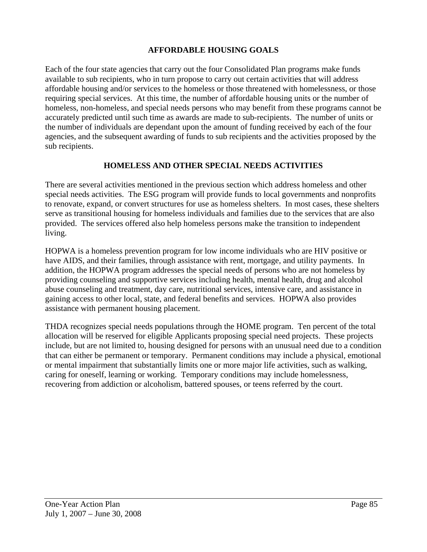#### **AFFORDABLE HOUSING GOALS**

Each of the four state agencies that carry out the four Consolidated Plan programs make funds available to sub recipients, who in turn propose to carry out certain activities that will address affordable housing and/or services to the homeless or those threatened with homelessness, or those requiring special services. At this time, the number of affordable housing units or the number of homeless, non-homeless, and special needs persons who may benefit from these programs cannot be accurately predicted until such time as awards are made to sub-recipients. The number of units or the number of individuals are dependant upon the amount of funding received by each of the four agencies, and the subsequent awarding of funds to sub recipients and the activities proposed by the sub recipients.

#### **HOMELESS AND OTHER SPECIAL NEEDS ACTIVITIES**

There are several activities mentioned in the previous section which address homeless and other special needs activities. The ESG program will provide funds to local governments and nonprofits to renovate, expand, or convert structures for use as homeless shelters. In most cases, these shelters serve as transitional housing for homeless individuals and families due to the services that are also provided. The services offered also help homeless persons make the transition to independent living.

HOPWA is a homeless prevention program for low income individuals who are HIV positive or have AIDS, and their families, through assistance with rent, mortgage, and utility payments. In addition, the HOPWA program addresses the special needs of persons who are not homeless by providing counseling and supportive services including health, mental health, drug and alcohol abuse counseling and treatment, day care, nutritional services, intensive care, and assistance in gaining access to other local, state, and federal benefits and services. HOPWA also provides assistance with permanent housing placement.

THDA recognizes special needs populations through the HOME program. Ten percent of the total allocation will be reserved for eligible Applicants proposing special need projects. These projects include, but are not limited to, housing designed for persons with an unusual need due to a condition that can either be permanent or temporary. Permanent conditions may include a physical, emotional or mental impairment that substantially limits one or more major life activities, such as walking, caring for oneself, learning or working. Temporary conditions may include homelessness, recovering from addiction or alcoholism, battered spouses, or teens referred by the court.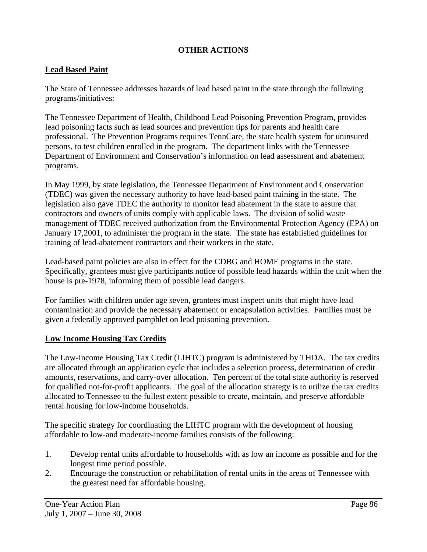## **OTHER ACTIONS**

#### **Lead Based Paint**

The State of Tennessee addresses hazards of lead based paint in the state through the following programs/initiatives:

The Tennessee Department of Health, Childhood Lead Poisoning Prevention Program, provides lead poisoning facts such as lead sources and prevention tips for parents and health care professional. The Prevention Programs requires TennCare, the state health system for uninsured persons, to test children enrolled in the program. The department links with the Tennessee Department of Environment and Conservation's information on lead assessment and abatement programs.

In May 1999, by state legislation, the Tennessee Department of Environment and Conservation (TDEC) was given the necessary authority to have lead-based paint training in the state. The legislation also gave TDEC the authority to monitor lead abatement in the state to assure that contractors and owners of units comply with applicable laws. The division of solid waste management of TDEC received authorization from the Environmental Protection Agency (EPA) on January 17,2001, to administer the program in the state. The state has established guidelines for training of lead-abatement contractors and their workers in the state.

Lead-based paint policies are also in effect for the CDBG and HOME programs in the state. Specifically, grantees must give participants notice of possible lead hazards within the unit when the house is pre-1978, informing them of possible lead dangers.

For families with children under age seven, grantees must inspect units that might have lead contamination and provide the necessary abatement or encapsulation activities. Families must be given a federally approved pamphlet on lead poisoning prevention.

#### **Low Income Housing Tax Credits**

The Low-Income Housing Tax Credit (LIHTC) program is administered by THDA. The tax credits are allocated through an application cycle that includes a selection process, determination of credit amounts, reservations, and carry-over allocation. Ten percent of the total state authority is reserved for qualified not-for-profit applicants. The goal of the allocation strategy is to utilize the tax credits allocated to Tennessee to the fullest extent possible to create, maintain, and preserve affordable rental housing for low-income households.

The specific strategy for coordinating the LIHTC program with the development of housing affordable to low-and moderate-income families consists of the following:

- 1. Develop rental units affordable to households with as low an income as possible and for the longest time period possible.
- 2. Encourage the construction or rehabilitation of rental units in the areas of Tennessee with the greatest need for affordable housing.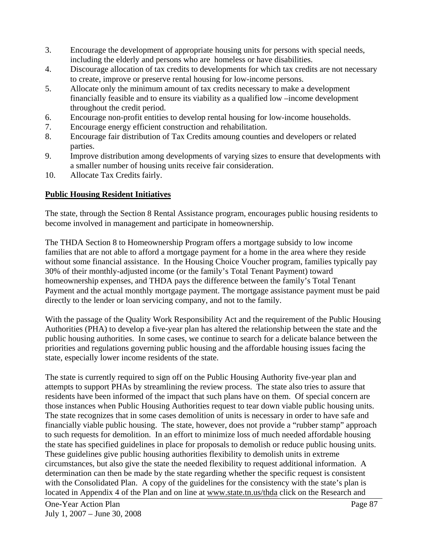- 3. Encourage the development of appropriate housing units for persons with special needs, including the elderly and persons who are homeless or have disabilities.
- 4. Discourage allocation of tax credits to developments for which tax credits are not necessary to create, improve or preserve rental housing for low-income persons.
- 5. Allocate only the minimum amount of tax credits necessary to make a development financially feasible and to ensure its viability as a qualified low –income development throughout the credit period.
- 6. Encourage non-profit entities to develop rental housing for low-income households.
- 7. Encourage energy efficient construction and rehabilitation.
- 8. Encourage fair distribution of Tax Credits amoung counties and developers or related parties.
- 9. Improve distribution among developments of varying sizes to ensure that developments with a smaller number of housing units receive fair consideration.
- 10. Allocate Tax Credits fairly.

# **Public Housing Resident Initiatives**

The state, through the Section 8 Rental Assistance program, encourages public housing residents to become involved in management and participate in homeownership.

The THDA Section 8 to Homeownership Program offers a mortgage subsidy to low income families that are not able to afford a mortgage payment for a home in the area where they reside without some financial assistance. In the Housing Choice Voucher program, families typically pay 30% of their monthly-adjusted income (or the family's Total Tenant Payment) toward homeownership expenses, and THDA pays the difference between the family's Total Tenant Payment and the actual monthly mortgage payment. The mortgage assistance payment must be paid directly to the lender or loan servicing company, and not to the family.

With the passage of the Quality Work Responsibility Act and the requirement of the Public Housing Authorities (PHA) to develop a five-year plan has altered the relationship between the state and the public housing authorities. In some cases, we continue to search for a delicate balance between the priorities and regulations governing public housing and the affordable housing issues facing the state, especially lower income residents of the state.

The state is currently required to sign off on the Public Housing Authority five-year plan and attempts to support PHAs by streamlining the review process. The state also tries to assure that residents have been informed of the impact that such plans have on them. Of special concern are those instances when Public Housing Authorities request to tear down viable public housing units. The state recognizes that in some cases demolition of units is necessary in order to have safe and financially viable public housing. The state, however, does not provide a "rubber stamp" approach to such requests for demolition. In an effort to minimize loss of much needed affordable housing the state has specified guidelines in place for proposals to demolish or reduce public housing units. These guidelines give public housing authorities flexibility to demolish units in extreme circumstances, but also give the state the needed flexibility to request additional information. A determination can then be made by the state regarding whether the specific request is consistent with the Consolidated Plan. A copy of the guidelines for the consistency with the state's plan is located in Appendix 4 of the Plan and on line at www.state.tn.us/thda click on the Research and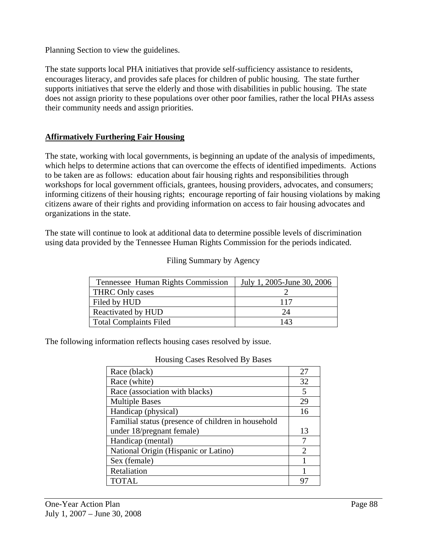Planning Section to view the guidelines.

The state supports local PHA initiatives that provide self-sufficiency assistance to residents, encourages literacy, and provides safe places for children of public housing. The state further supports initiatives that serve the elderly and those with disabilities in public housing. The state does not assign priority to these populations over other poor families, rather the local PHAs assess their community needs and assign priorities.

## **Affirmatively Furthering Fair Housing**

The state, working with local governments, is beginning an update of the analysis of impediments, which helps to determine actions that can overcome the effects of identified impediments. Actions to be taken are as follows: education about fair housing rights and responsibilities through workshops for local government officials, grantees, housing providers, advocates, and consumers; informing citizens of their housing rights; encourage reporting of fair housing violations by making citizens aware of their rights and providing information on access to fair housing advocates and organizations in the state.

The state will continue to look at additional data to determine possible levels of discrimination using data provided by the Tennessee Human Rights Commission for the periods indicated.

| Tennessee Human Rights Commission | July 1, 2005-June 30, 2006 |
|-----------------------------------|----------------------------|
| <b>THRC Only cases</b>            |                            |
| Filed by HUD                      | 117                        |
| Reactivated by HUD                | 24                         |
| <b>Total Complaints Filed</b>     | 143                        |

#### Filing Summary by Agency

The following information reflects housing cases resolved by issue.

| Race (black)                                       | 27                          |
|----------------------------------------------------|-----------------------------|
| Race (white)                                       | 32                          |
| Race (association with blacks)                     | 5                           |
| <b>Multiple Bases</b>                              | 29                          |
| Handicap (physical)                                | 16                          |
| Familial status (presence of children in household |                             |
| under 18/pregnant female)                          | 13                          |
| Handicap (mental)                                  |                             |
| National Origin (Hispanic or Latino)               | $\mathcal{D}_{\mathcal{L}}$ |
| Sex (female)                                       |                             |
| Retaliation                                        |                             |
| <b>TOTAL</b>                                       |                             |

#### Housing Cases Resolved By Bases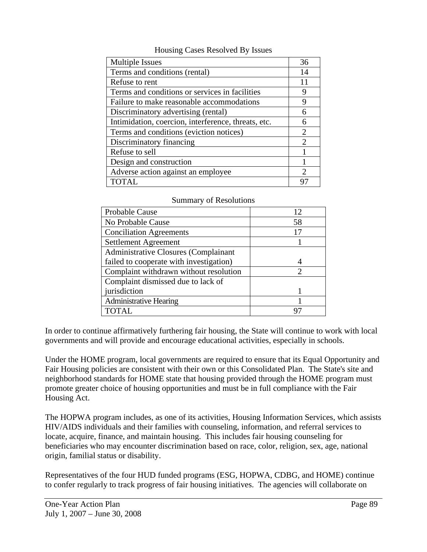| <b>Multiple Issues</b>                              | 36                          |
|-----------------------------------------------------|-----------------------------|
| Terms and conditions (rental)                       | 14                          |
| Refuse to rent                                      |                             |
| Terms and conditions or services in facilities      |                             |
| Failure to make reasonable accommodations           |                             |
| Discriminatory advertising (rental)                 | 6                           |
| Intimidation, coercion, interference, threats, etc. | 6                           |
| Terms and conditions (eviction notices)             | 2                           |
| Discriminatory financing                            | $\mathcal{D}_{\cdot}$       |
| Refuse to sell                                      |                             |
| Design and construction                             |                             |
| Adverse action against an employee                  | $\mathcal{D}_{\mathcal{L}}$ |
| TOTAL                                               |                             |

Housing Cases Resolved By Issues

| <b>Summary of Resolutions</b> |  |  |  |
|-------------------------------|--|--|--|
|-------------------------------|--|--|--|

| Probable Cause                              | 12 |
|---------------------------------------------|----|
| No Probable Cause                           | 58 |
| <b>Conciliation Agreements</b>              | 17 |
| Settlement Agreement                        |    |
| <b>Administrative Closures (Complainant</b> |    |
| failed to cooperate with investigation)     |    |
| Complaint withdrawn without resolution      | 2  |
| Complaint dismissed due to lack of          |    |
| jurisdiction                                |    |
| <b>Administrative Hearing</b>               |    |
| <b>TOTAL</b>                                |    |

In order to continue affirmatively furthering fair housing, the State will continue to work with local governments and will provide and encourage educational activities, especially in schools.

Under the HOME program, local governments are required to ensure that its Equal Opportunity and Fair Housing policies are consistent with their own or this Consolidated Plan. The State's site and neighborhood standards for HOME state that housing provided through the HOME program must promote greater choice of housing opportunities and must be in full compliance with the Fair Housing Act.

The HOPWA program includes, as one of its activities, Housing Information Services, which assists HIV/AIDS individuals and their families with counseling, information, and referral services to locate, acquire, finance, and maintain housing. This includes fair housing counseling for beneficiaries who may encounter discrimination based on race, color, religion, sex, age, national origin, familial status or disability.

Representatives of the four HUD funded programs (ESG, HOPWA, CDBG, and HOME) continue to confer regularly to track progress of fair housing initiatives. The agencies will collaborate on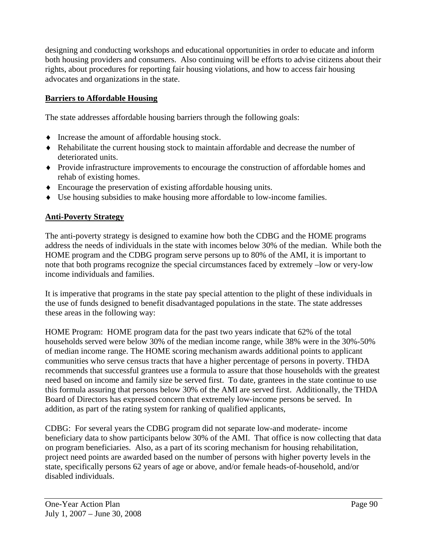designing and conducting workshops and educational opportunities in order to educate and inform both housing providers and consumers. Also continuing will be efforts to advise citizens about their rights, about procedures for reporting fair housing violations, and how to access fair housing advocates and organizations in the state.

## **Barriers to Affordable Housing**

The state addresses affordable housing barriers through the following goals:

- ♦ Increase the amount of affordable housing stock.
- ♦ Rehabilitate the current housing stock to maintain affordable and decrease the number of deteriorated units.
- ♦ Provide infrastructure improvements to encourage the construction of affordable homes and rehab of existing homes.
- ♦ Encourage the preservation of existing affordable housing units.
- ♦ Use housing subsidies to make housing more affordable to low-income families.

## **Anti-Poverty Strategy**

The anti-poverty strategy is designed to examine how both the CDBG and the HOME programs address the needs of individuals in the state with incomes below 30% of the median. While both the HOME program and the CDBG program serve persons up to 80% of the AMI, it is important to note that both programs recognize the special circumstances faced by extremely –low or very-low income individuals and families.

It is imperative that programs in the state pay special attention to the plight of these individuals in the use of funds designed to benefit disadvantaged populations in the state. The state addresses these areas in the following way:

HOME Program: HOME program data for the past two years indicate that 62% of the total households served were below 30% of the median income range, while 38% were in the 30%-50% of median income range. The HOME scoring mechanism awards additional points to applicant communities who serve census tracts that have a higher percentage of persons in poverty. THDA recommends that successful grantees use a formula to assure that those households with the greatest need based on income and family size be served first. To date, grantees in the state continue to use this formula assuring that persons below 30% of the AMI are served first. Additionally, the THDA Board of Directors has expressed concern that extremely low-income persons be served. In addition, as part of the rating system for ranking of qualified applicants,

CDBG: For several years the CDBG program did not separate low-and moderate- income beneficiary data to show participants below 30% of the AMI. That office is now collecting that data on program beneficiaries. Also, as a part of its scoring mechanism for housing rehabilitation, project need points are awarded based on the number of persons with higher poverty levels in the state, specifically persons 62 years of age or above, and/or female heads-of-household, and/or disabled individuals.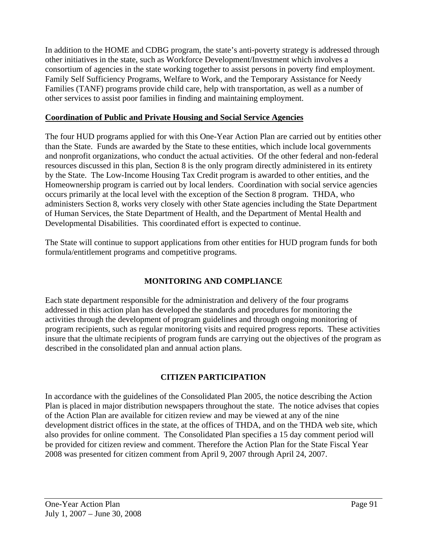In addition to the HOME and CDBG program, the state's anti-poverty strategy is addressed through other initiatives in the state, such as Workforce Development/Investment which involves a consortium of agencies in the state working together to assist persons in poverty find employment. Family Self Sufficiency Programs, Welfare to Work, and the Temporary Assistance for Needy Families (TANF) programs provide child care, help with transportation, as well as a number of other services to assist poor families in finding and maintaining employment.

## **Coordination of Public and Private Housing and Social Service Agencies**

The four HUD programs applied for with this One-Year Action Plan are carried out by entities other than the State. Funds are awarded by the State to these entities, which include local governments and nonprofit organizations, who conduct the actual activities. Of the other federal and non-federal resources discussed in this plan, Section 8 is the only program directly administered in its entirety by the State. The Low-Income Housing Tax Credit program is awarded to other entities, and the Homeownership program is carried out by local lenders. Coordination with social service agencies occurs primarily at the local level with the exception of the Section 8 program. THDA, who administers Section 8, works very closely with other State agencies including the State Department of Human Services, the State Department of Health, and the Department of Mental Health and Developmental Disabilities. This coordinated effort is expected to continue.

The State will continue to support applications from other entities for HUD program funds for both formula/entitlement programs and competitive programs.

## **MONITORING AND COMPLIANCE**

Each state department responsible for the administration and delivery of the four programs addressed in this action plan has developed the standards and procedures for monitoring the activities through the development of program guidelines and through ongoing monitoring of program recipients, such as regular monitoring visits and required progress reports. These activities insure that the ultimate recipients of program funds are carrying out the objectives of the program as described in the consolidated plan and annual action plans.

## **CITIZEN PARTICIPATION**

In accordance with the guidelines of the Consolidated Plan 2005, the notice describing the Action Plan is placed in major distribution newspapers throughout the state. The notice advises that copies of the Action Plan are available for citizen review and may be viewed at any of the nine development district offices in the state, at the offices of THDA, and on the THDA web site, which also provides for online comment. The Consolidated Plan specifies a 15 day comment period will be provided for citizen review and comment. Therefore the Action Plan for the State Fiscal Year 2008 was presented for citizen comment from April 9, 2007 through April 24, 2007.